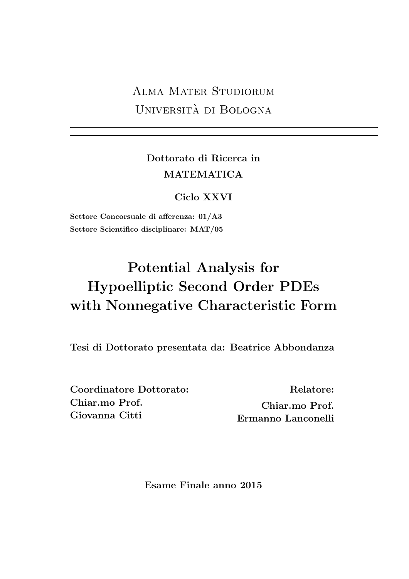### Alma Mater Studiorum Universita di Bologna `

### Dottorato di Ricerca in MATEMATICA

#### Ciclo XXVI

Settore Concorsuale di afferenza: 01/A3 Settore Scientifico disciplinare: MAT/05

## Potential Analysis for Hypoelliptic Second Order PDEs with Nonnegative Characteristic Form

Tesi di Dottorato presentata da: Beatrice Abbondanza

Coordinatore Dottorato: Chiar.mo Prof. Giovanna Citti

Relatore:

Chiar.mo Prof. Ermanno Lanconelli

Esame Finale anno 2015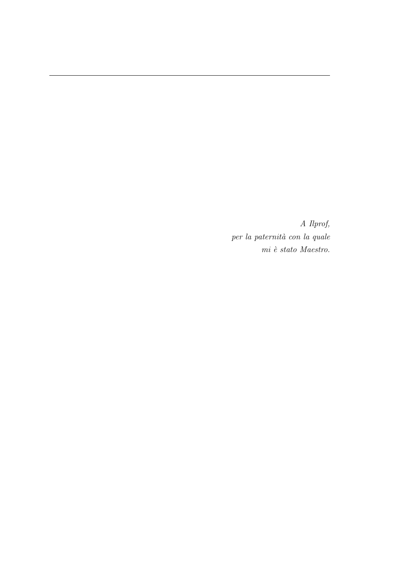A Ilprof, per la paternità con la quale  $mi \t{e}$  stato Maestro.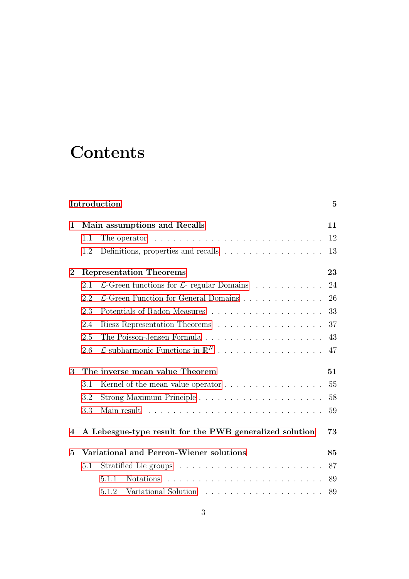# **Contents**

|          |     | Introduction                                                                   | $5\overline{)}$ |
|----------|-----|--------------------------------------------------------------------------------|-----------------|
| 1        |     | Main assumptions and Recalls                                                   | 11              |
|          | 1.1 | The operator $\dots \dots \dots \dots \dots \dots \dots \dots \dots \dots$     | 12              |
|          | 1.2 | Definitions, properties and recalls                                            | 13              |
| $\bf{2}$ |     | <b>Representation Theorems</b>                                                 | 23              |
|          | 2.1 | $\mathcal{L}\text{-Green}$ functions for $\mathcal{L}\text{-}$ regular Domains | 24              |
|          | 2.2 | $\mathcal{L}\text{-Green Function}$ for General Domains                        | 26              |
|          | 2.3 |                                                                                | 33              |
|          | 2.4 |                                                                                | 37              |
|          | 2.5 |                                                                                | 43              |
|          | 2.6 |                                                                                | 47              |
| 3        |     | The inverse mean value Theorem                                                 | 51              |
|          | 3.1 | Kernel of the mean value operator $\dots \dots \dots \dots \dots \dots$        | 55              |
|          | 3.2 |                                                                                | 58              |
|          | 3.3 |                                                                                | 59              |
| 4        |     | A Lebesgue-type result for the PWB generalized solution                        | 73              |
| 5        |     | Variational and Perron-Wiener solutions                                        | 85              |
|          | 5.1 |                                                                                | 87              |
|          |     | 5.1.1                                                                          | 89              |
|          |     | 5.1.2                                                                          | 89              |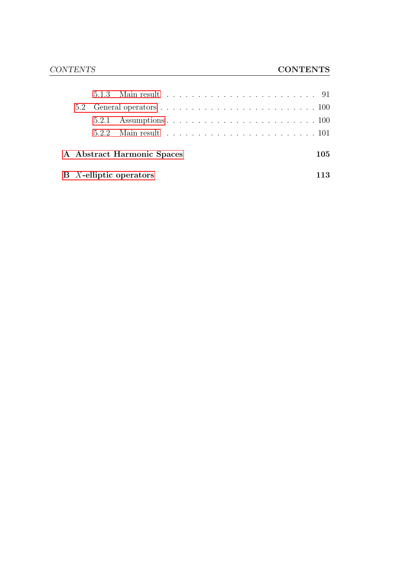|  | A Abstract Harmonic Spaces    |  |  |  |  |  |  |  |  |  | 105 |
|--|-------------------------------|--|--|--|--|--|--|--|--|--|-----|
|  | <b>B</b> X-elliptic operators |  |  |  |  |  |  |  |  |  | 113 |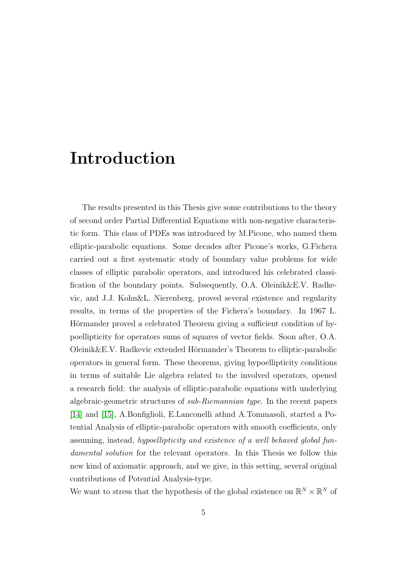### <span id="page-4-0"></span>Introduction

The results presented in this Thesis give some contributions to the theory of second order Partial Differential Equations with non-negative characteristic form. This class of PDEs was introduced by M.Picone, who named them elliptic-parabolic equations. Some decades after Picone's works, G.Fichera carried out a first systematic study of boundary value problems for wide classes of elliptic parabolic operators, and introduced his celebrated classification of the boundary points. Subsequently, O.A. Oleinik&E.V. Radkevic, and J.J. Kohn&L. Nierenberg, proved several existence and regularity results, in terms of the properties of the Fichera's boundary. In 1967 L. Hörmander proved a celebrated Theorem giving a sufficient condition of hypoellipticity for operators sums of squares of vector fields. Soon after, O.A.  $Oleinik&E.V. Radkevic extended Hörmander's Theorem to elliptic-parabolic$ operators in general form. These theorems, giving hypoellipticity conditions in terms of suitable Lie algebra related to the involved operators, opened a research field: the analysis of elliptic-parabolic equations with underlying algebraic-geometric structures of sub-Riemannian type. In the recent papers [\[14\]](#page-123-0) and [\[15\]](#page-123-1), A.Bonfiglioli, E.Lanconelli athnd A.Tommasoli, started a Potential Analysis of elliptic-parabolic operators with smooth coefficients, only assuming, instead, hypoellipticity and existence of a well behaved global fundamental solution for the relevant operators. In this Thesis we follow this new kind of axiomatic approach, and we give, in this setting, several original contributions of Potential Analysis-type.

We want to stress that the hypothesis of the global existence on  $\mathbb{R}^N \times \mathbb{R}^N$  of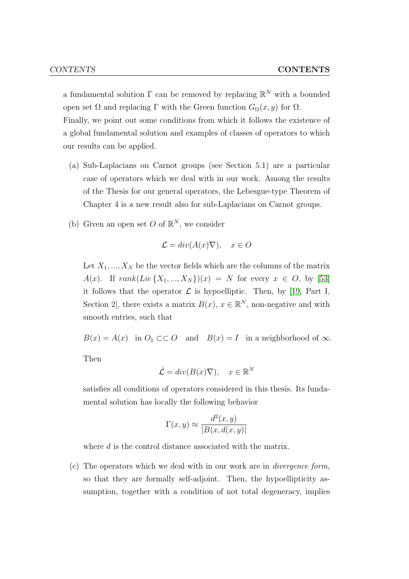a fundamental solution  $\Gamma$  can be removed by replacing  $\mathbb{R}^N$  with a bounded open set Ω and replacing Γ with the Green function  $G_{\Omega}(x, y)$  for Ω.

Finally, we point out some conditions from which it follows the existence of a global fundamental solution and examples of classes of operators to which our results can be applied.

- (a) Sub-Laplacians on Carnot groups (see Section 5.1) are a particular case of operators which we deal with in our work. Among the results of the Thesis for our general operators, the Lebesgue-type Theorem of Chapter 4 is a new result also for sub-Laplacians on Carnot groups.
- (b) Given an open set O of  $\mathbb{R}^N$ , we consider

$$
\mathcal{L} = div(A(x)\nabla), \quad x \in O
$$

Let  $X_1, ..., X_N$  be the vector fields which are the columns of the matrix A(x). If  $rank(Lie\{X_1, ..., X_N\})(x) = N$  for every  $x \in O$ , by [\[53\]](#page-127-0) it follows that the operator  $\mathcal L$  is hypoelliptic. Then, by [\[19,](#page-124-0) Part I, Section 2, there exists a matrix  $B(x)$ ,  $x \in \mathbb{R}^N$ , non-negative and with smooth entries, such that

 $B(x) = A(x)$  in  $O_1 \subset\subset O$  and  $B(x) = I$  in a neighborhood of  $\infty$ .

Then

$$
\hat{\mathcal{L}} = div(B(x)\nabla), \quad x \in \mathbb{R}^N
$$

satisfies all conditions of operators considered in this thesis. Its fundamental solution has locally the following behavior

$$
\Gamma(x, y) \approx \frac{d^2(x, y)}{|B(x, d(x, y))|}
$$

where d is the control distance associated with the matrix.

(c) The operators which we deal with in our work are in divergence form, so that they are formally self-adjoint. Then, the hypoellipticity assumption, together with a condition of not total degeneracy, implies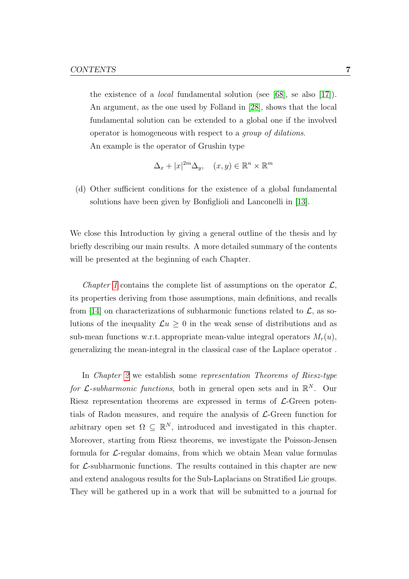the existence of a local fundamental solution (see [\[68\]](#page-128-0), se also [\[17\]](#page-123-2)). An argument, as the one used by Folland in [\[28\]](#page-124-1), shows that the local fundamental solution can be extended to a global one if the involved operator is homogeneous with respect to a group of dilations. An example is the operator of Grushin type

$$
\Delta_x + |x|^{2m} \Delta_y, \quad (x, y) \in \mathbb{R}^n \times \mathbb{R}^m
$$

(d) Other sufficient conditions for the existence of a global fundamental solutions have been given by Bonfiglioli and Lanconelli in [\[13\]](#page-123-3).

We close this Introduction by giving a general outline of the thesis and by briefly describing our main results. A more detailed summary of the contents will be presented at the beginning of each Chapter.

Chapter [1](#page-10-1) contains the complete list of assumptions on the operator  $\mathcal{L}$ , its properties deriving from those assumptions, main definitions, and recalls from [\[14\]](#page-123-0) on characterizations of subharmonic functions related to  $\mathcal{L}$ , as solutions of the inequality  $\mathcal{L}u \geq 0$  in the weak sense of distributions and as sub-mean functions w.r.t. appropriate mean-value integral operators  $M_r(u)$ , generalizing the mean-integral in the classical case of the Laplace operator .

In Chapter [2](#page-22-1) we establish some representation Theorems of Riesz-type for *L*-subharmonic functions, both in general open sets and in  $\mathbb{R}^N$ . Our Riesz representation theorems are expressed in terms of  $\mathcal{L}\text{-Green}$  potentials of Radon measures, and require the analysis of  $\mathcal{L}\text{-Green}$  function for arbitrary open set  $\Omega \subseteq \mathbb{R}^N$ , introduced and investigated in this chapter. Moreover, starting from Riesz theorems, we investigate the Poisson-Jensen formula for  $\mathcal{L}$ -regular domains, from which we obtain Mean value formulas for  $\mathcal{L}$ -subharmonic functions. The results contained in this chapter are new and extend analogous results for the Sub-Laplacians on Stratified Lie groups. They will be gathered up in a work that will be submitted to a journal for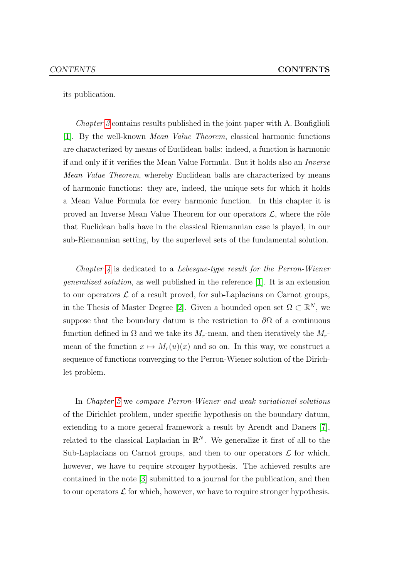its publication.

Chapter [3](#page-50-1) contains results published in the joint paper with A. Bonfiglioli  $[1]$ . By the well-known *Mean Value Theorem*, classical harmonic functions are characterized by means of Euclidean balls: indeed, a function is harmonic if and only if it verifies the Mean Value Formula. But it holds also an Inverse Mean Value Theorem, whereby Euclidean balls are characterized by means of harmonic functions: they are, indeed, the unique sets for which it holds a Mean Value Formula for every harmonic function. In this chapter it is proved an Inverse Mean Value Theorem for our operators  $\mathcal{L}$ , where the rôle that Euclidean balls have in the classical Riemannian case is played, in our sub-Riemannian setting, by the superlevel sets of the fundamental solution.

Chapter  $\lambda$  is dedicated to a Lebesgue-type result for the Perron-Wiener generalized solution, as well published in the reference [\[1\]](#page-122-0). It is an extension to our operators  $\mathcal L$  of a result proved, for sub-Laplacians on Carnot groups, in the Thesis of Master Degree [\[2\]](#page-122-1). Given a bounded open set  $\Omega \subset \mathbb{R}^N$ , we suppose that the boundary datum is the restriction to  $\partial\Omega$  of a continuous function defined in  $\Omega$  and we take its  $M_r$ -mean, and then iteratively the  $M_r$ mean of the function  $x \mapsto M_r(u)(x)$  and so on. In this way, we construct a sequence of functions converging to the Perron-Wiener solution of the Dirichlet problem.

In Chapter [5](#page-84-1) we compare Perron-Wiener and weak variational solutions of the Dirichlet problem, under specific hypothesis on the boundary datum, extending to a more general framework a result by Arendt and Daners [\[7\]](#page-122-2), related to the classical Laplacian in  $\mathbb{R}^N$ . We generalize it first of all to the Sub-Laplacians on Carnot groups, and then to our operators  $\mathcal L$  for which, however, we have to require stronger hypothesis. The achieved results are contained in the note [\[3\]](#page-122-3) submitted to a journal for the publication, and then to our operators  $\mathcal L$  for which, however, we have to require stronger hypothesis.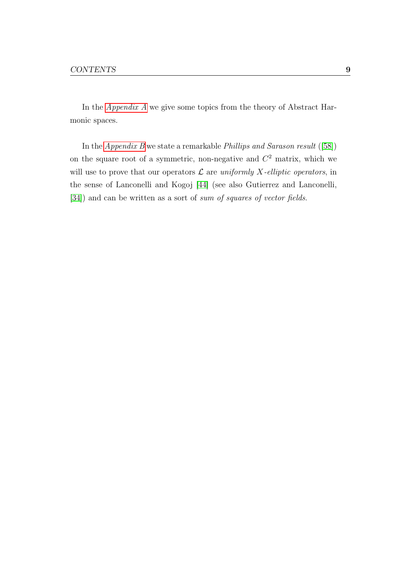In the *[Appendix A](#page-104-1)* we give some topics from the theory of Abstract Harmonic spaces.

In the *[Appendix B](#page-112-1)* we state a remarkable *Phillips and Sarason result* ([\[58\]](#page-127-1)) on the square root of a symmetric, non-negative and  $C<sup>2</sup>$  matrix, which we will use to prove that our operators  $\mathcal L$  are uniformly X-elliptic operators, in the sense of Lanconelli and Kogoj [\[44\]](#page-126-0) (see also Gutierrez and Lanconelli, [\[34\]](#page-125-0)) and can be written as a sort of sum of squares of vector fields.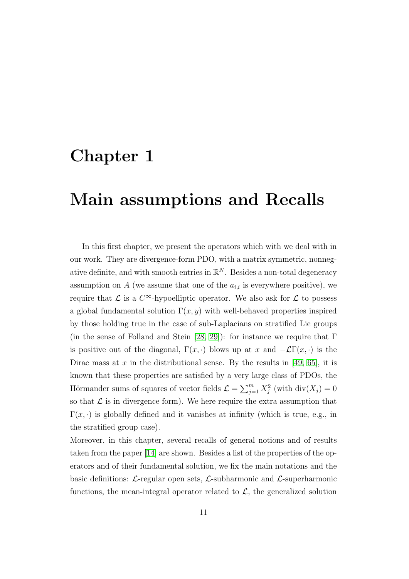## <span id="page-10-0"></span>Chapter 1

### <span id="page-10-1"></span>Main assumptions and Recalls

In this first chapter, we present the operators which with we deal with in our work. They are divergence-form PDO, with a matrix symmetric, nonnegative definite, and with smooth entries in  $\mathbb{R}^N$ . Besides a non-total degeneracy assumption on A (we assume that one of the  $a_{i,i}$  is everywhere positive), we require that  $\mathcal L$  is a  $C^{\infty}$ -hypoelliptic operator. We also ask for  $\mathcal L$  to possess a global fundamental solution  $\Gamma(x, y)$  with well-behaved properties inspired by those holding true in the case of sub-Laplacians on stratified Lie groups (in the sense of Folland and Stein [\[28,](#page-124-1) [29\]](#page-124-2)): for instance we require that  $\Gamma$ is positive out of the diagonal,  $\Gamma(x, \cdot)$  blows up at x and  $-\mathcal{L}\Gamma(x, \cdot)$  is the Dirac mass at x in the distributional sense. By the results in [\[49,](#page-126-1) [65\]](#page-128-1), it is known that these properties are satisfied by a very large class of PDOs, the Hörmander sums of squares of vector fields  $\mathcal{L} = \sum_{j=1}^{m} X_j^2$  (with  $\text{div}(X_j) = 0$ so that  $\mathcal L$  is in divergence form). We here require the extra assumption that  $\Gamma(x, \cdot)$  is globally defined and it vanishes at infinity (which is true, e.g., in the stratified group case).

Moreover, in this chapter, several recalls of general notions and of results taken from the paper [\[14\]](#page-123-0) are shown. Besides a list of the properties of the operators and of their fundamental solution, we fix the main notations and the basic definitions:  $\mathcal{L}$ -regular open sets,  $\mathcal{L}$ -subharmonic and  $\mathcal{L}$ -superharmonic functions, the mean-integral operator related to  $\mathcal{L}$ , the generalized solution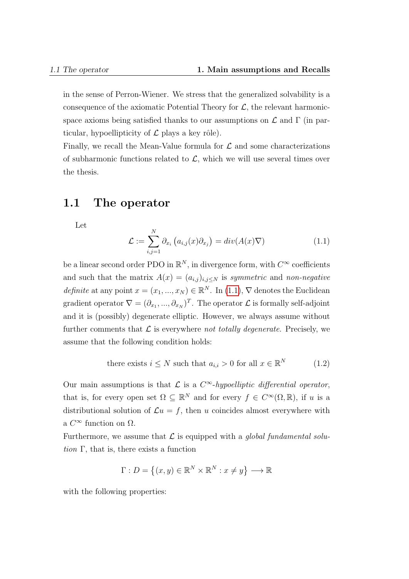in the sense of Perron-Wiener. We stress that the generalized solvability is a consequence of the axiomatic Potential Theory for  $\mathcal{L}$ , the relevant harmonicspace axioms being satisfied thanks to our assumptions on  $\mathcal L$  and  $\Gamma$  (in particular, hypoellipticity of  $\mathcal L$  plays a key rôle).

Finally, we recall the Mean-Value formula for  $\mathcal L$  and some characterizations of subharmonic functions related to  $\mathcal{L}$ , which we will use several times over the thesis.

#### <span id="page-11-0"></span>1.1 The operator

<span id="page-11-1"></span>Let

$$
\mathcal{L} := \sum_{i,j=1}^{N} \partial_{x_i} \left( a_{i,j}(x) \partial_{x_j} \right) = div(A(x) \nabla)
$$
\n(1.1)

be a linear second order PDO in  $\mathbb{R}^N$ , in divergence form, with  $C^{\infty}$  coefficients and such that the matrix  $A(x) = (a_{i,j})_{i,j \leq N}$  is symmetric and non-negative *definite* at any point  $x = (x_1, ..., x_N) \in \mathbb{R}^N$ . In [\(1.1\)](#page-11-1),  $\nabla$  denotes the Euclidean gradient operator  $\nabla = (\partial_{x_1}, ..., \partial_{x_N})^T$ . The operator  $\mathcal L$  is formally self-adjoint and it is (possibly) degenerate elliptic. However, we always assume without further comments that  $\mathcal L$  is everywhere not totally degenerate. Precisely, we assume that the following condition holds:

<span id="page-11-2"></span>there exists 
$$
i \leq N
$$
 such that  $a_{i,i} > 0$  for all  $x \in \mathbb{R}^N$  (1.2)

Our main assumptions is that  $\mathcal L$  is a  $C^{\infty}$ -hypoelliptic differential operator, that is, for every open set  $\Omega \subseteq \mathbb{R}^N$  and for every  $f \in C^{\infty}(\Omega, \mathbb{R})$ , if u is a distributional solution of  $\mathcal{L}u = f$ , then u coincides almost everywhere with a  $C^{\infty}$  function on  $\Omega$ .

Furthermore, we assume that  $\mathcal L$  is equipped with a global fundamental solution Γ, that is, there exists a function

$$
\Gamma: D = \left\{ (x, y) \in \mathbb{R}^N \times \mathbb{R}^N : x \neq y \right\} \longrightarrow \mathbb{R}
$$

with the following properties: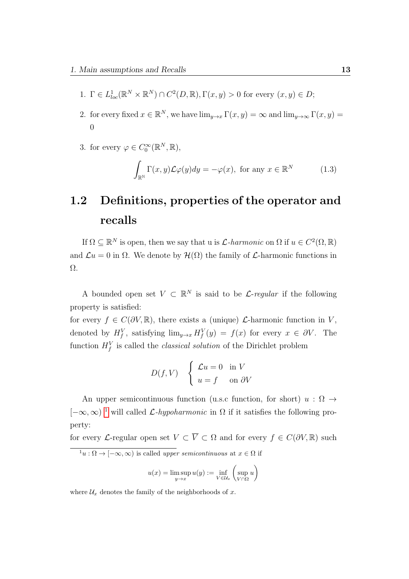- 1.  $\Gamma \in L^1_{loc}(\mathbb{R}^N \times \mathbb{R}^N) \cap C^2(D, \mathbb{R}), \Gamma(x, y) > 0$  for every  $(x, y) \in D$ ;
- 2. for every fixed  $x \in \mathbb{R}^N$ , we have  $\lim_{y \to x} \Gamma(x, y) = \infty$  and  $\lim_{y \to \infty} \Gamma(x, y) =$ 0
- 3. for every  $\varphi \in C_0^{\infty}(\mathbb{R}^N, \mathbb{R}),$

<span id="page-12-2"></span>
$$
\int_{\mathbb{R}^N} \Gamma(x, y) \mathcal{L}\varphi(y) dy = -\varphi(x), \text{ for any } x \in \mathbb{R}^N \tag{1.3}
$$

### <span id="page-12-0"></span>1.2 Definitions, properties of the operator and recalls

If  $\Omega \subseteq \mathbb{R}^N$  is open, then we say that u is  $\mathcal{L}$ -harmonic on  $\Omega$  if  $u \in C^2(\Omega, \mathbb{R})$ and  $\mathcal{L}u = 0$  in  $\Omega$ . We denote by  $\mathcal{H}(\Omega)$  the family of  $\mathcal{L}$ -harmonic functions in Ω.

A bounded open set  $V \subset \mathbb{R}^N$  is said to be *L*-regular if the following property is satisfied:

for every  $f \in C(\partial V, \mathbb{R})$ , there exists a (unique)  $\mathcal{L}$ -harmonic function in V, denoted by  $H_f^V$ , satisfying  $\lim_{y\to x} H_f^V(y) = f(x)$  for every  $x \in \partial V$ . The function  $H_f^V$  is called the *classical solution* of the Dirichlet problem

$$
D(f, V) \quad \begin{cases} \mathcal{L}u = 0 & \text{in } V \\ u = f & \text{on } \partial V \end{cases}
$$

An upper semicontinuous function (u.s.c function, for short)  $u : \Omega \rightarrow$  $[-\infty,\infty)$ <sup>[1](#page-12-1)</sup> will called *L*-hypoharmonic in  $\Omega$  if it satisfies the following property:

for every  $\mathcal{L}$ -regular open set  $V \subset \overline{V} \subset \Omega$  and for every  $f \in C(\partial V, \mathbb{R})$  such

$$
u(x) = \limsup_{y \to x} u(y) := \inf_{V \in \mathcal{U}_x} \left( \sup_{V \cap \Omega} u \right)
$$

where  $\mathcal{U}_x$  denotes the family of the neighborhoods of x.

<span id="page-12-1"></span> $\overline{u_1u : \Omega \to [-\infty,\infty)}$  is called upper semicontinuous at  $x \in \Omega$  if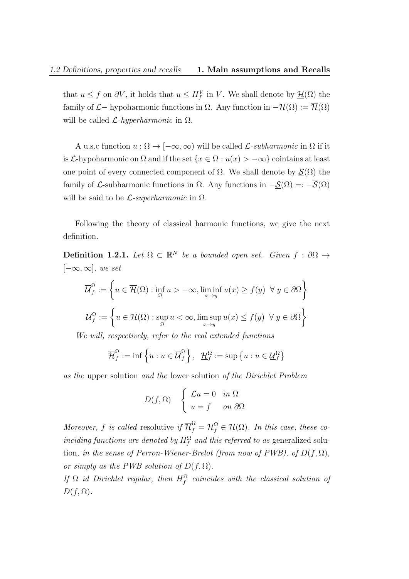that  $u \leq f$  on  $\partial V$ , it holds that  $u \leq H_f^V$  in V. We shall denote by  $\underline{\mathcal{H}}(\Omega)$  the family of  $\mathcal{L}-$  hypoharmonic functions in  $\Omega$ . Any function in  $-\underline{\mathcal{H}}(\Omega) := \overline{\mathcal{H}}(\Omega)$ will be called  $\mathcal{L}$ -hyperharmonic in  $\Omega$ .

A u.s.c function  $u : \Omega \to [-\infty, \infty)$  will be called *L*-subharmonic in  $\Omega$  if it is L-hypoharmonic on  $\Omega$  and if the set  $\{x \in \Omega : u(x) > -\infty\}$  cointains at least one point of every connected component of  $\Omega$ . We shall denote by  $\mathcal{S}(\Omega)$  the family of  $\mathcal{L}$ -subharmonic functions in  $\Omega$ . Any functions in  $-\underline{\mathcal{S}}(\Omega) =: -\overline{\mathcal{S}}(\Omega)$ will be said to be  $\mathcal{L}\text{-superharmonic in } Ω$ .

Following the theory of classical harmonic functions, we give the next definition.

<span id="page-13-0"></span>**Definition 1.2.1.** Let  $\Omega \subset \mathbb{R}^N$  be a bounded open set. Given  $f : \partial \Omega \to$  $[-\infty,\infty]$ , we set

$$
\overline{\mathcal{U}}_f^{\Omega} := \left\{ u \in \overline{\mathcal{H}}(\Omega) : \inf_{\Omega} u > -\infty, \liminf_{x \to y} u(x) \ge f(y) \ \forall \ y \in \partial \Omega \right\}
$$

$$
\underline{\mathcal{U}}_f^{\Omega} := \left\{ u \in \underline{\mathcal{H}}(\Omega) : \sup_{\Omega} u < \infty, \limsup_{x \to y} u(x) \le f(y) \ \forall \ y \in \partial \Omega \right\}
$$

We will, respectively, refer to the real extended functions

$$
\overline{\mathcal{H}}_f^{\Omega} := \inf \left\{ u : u \in \overline{\mathcal{U}}_f^{\Omega} \right\}, \ \underline{\mathcal{H}}_f^{\Omega} := \sup \left\{ u : u \in \underline{\mathcal{U}}_f^{\Omega} \right\}
$$

as the upper solution and the lower solution of the Dirichlet Problem

$$
D(f, \Omega) \quad \begin{cases} \mathcal{L}u = 0 & \text{in } \Omega \\ u = f & \text{on } \partial\Omega \end{cases}
$$

Moreover, f is called resolutive if  $\overline{\mathcal{H}}_f^{\Omega} = \underline{\mathcal{H}}_f^{\Omega} \in \mathcal{H}(\Omega)$ . In this case, these coinciding functions are denoted by  $H_f^{\Omega}$  and this referred to as generalized solution, in the sense of Perron-Wiener-Brelot (from now of PWB), of  $D(f, \Omega)$ , or simply as the PWB solution of  $D(f, \Omega)$ .

If  $\Omega$  id Dirichlet regular, then  $H_f^{\Omega}$  coincides with the classical solution of  $D(f,\Omega).$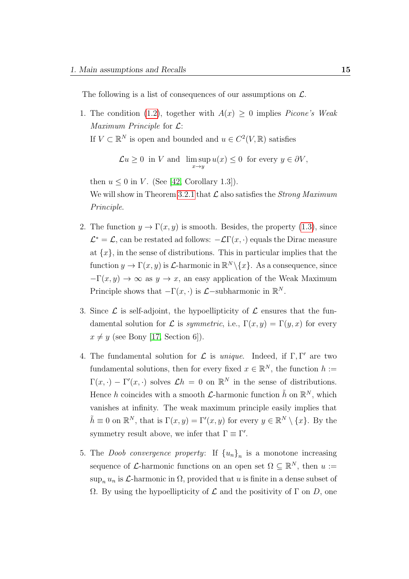The following is a list of consequences of our assumptions on  $\mathcal{L}$ .

- 1. The condition [\(1.2\)](#page-11-2), together with  $A(x) \geq 0$  implies *Picone's Weak* Maximum Principle for L:
	- If  $V \subset \mathbb{R}^N$  is open and bounded and  $u \in C^2(V, \mathbb{R})$  satisfies

$$
\mathcal{L}u \ge 0
$$
 in V and  $\limsup_{x \to y} u(x) \le 0$  for every  $y \in \partial V$ ,

then  $u \leq 0$  in V. (See [\[42,](#page-126-2) Corollary 1.3]).

We will show in Theorem [3.2.1](#page-58-1) that  $\mathcal L$  also satisfies the *Strong Maximum* Principle.

- 2. The function  $y \to \Gamma(x, y)$  is smooth. Besides, the property [\(1.3\)](#page-12-2), since  $\mathcal{L}^* = \mathcal{L}$ , can be restated ad follows:  $-\mathcal{L}\Gamma(x, \cdot)$  equals the Dirac measure at  $\{x\}$ , in the sense of distributions. This in particular implies that the function  $y \to \Gamma(x, y)$  is  $\mathcal{L}$ -harmonic in  $\mathbb{R}^N \setminus \{x\}$ . As a consequence, since  $-\Gamma(x, y) \to \infty$  as  $y \to x$ , an easy application of the Weak Maximum Principle shows that  $-\Gamma(x, \cdot)$  is  $\mathcal{L}-$ subharmonic in  $\mathbb{R}^N$ .
- 3. Since  $\mathcal L$  is self-adjoint, the hypoellipticity of  $\mathcal L$  ensures that the fundamental solution for L is symmetric, i.e.,  $\Gamma(x, y) = \Gamma(y, x)$  for every  $x \neq y$  (see Bony [\[17,](#page-123-2) Section 6]).
- 4. The fundamental solution for  $\mathcal L$  is unique. Indeed, if  $\Gamma, \Gamma'$  are two fundamental solutions, then for every fixed  $x \in \mathbb{R}^N$ , the function  $h :=$  $\Gamma(x, \cdot) - \Gamma'(x, \cdot)$  solves  $\mathcal{L}h = 0$  on  $\mathbb{R}^N$  in the sense of distributions. Hence h coincides with a smooth  $\mathcal{L}$ -harmonic function  $\tilde{h}$  on  $\mathbb{R}^N$ , which vanishes at infinity. The weak maximum principle easily implies that  $\tilde{h} \equiv 0$  on  $\mathbb{R}^N$ , that is  $\Gamma(x, y) = \Gamma'(x, y)$  for every  $y \in \mathbb{R}^N \setminus \{x\}$ . By the symmetry result above, we infer that  $\Gamma \equiv \Gamma'$ .
- 5. The *Doob convergence property*: If  ${u_n}_n$  is a monotone increasing sequence of  $\mathcal{L}$ -harmonic functions on an open set  $\Omega \subseteq \mathbb{R}^N$ , then  $u :=$  $\sup_n u_n$  is *L*-harmonic in  $\Omega$ , provided that u is finite in a dense subset of  $Ω$ . By using the hypoellipticity of  $L$  and the positivity of Γ on D, one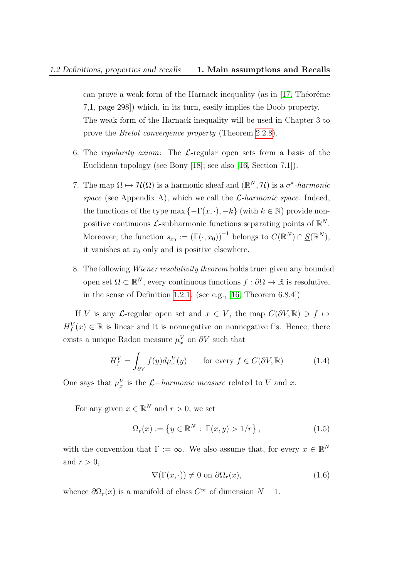can prove a weak form of the Harnack inequality (as in  $[17,$  Théoréme 7,1, page 298]) which, in its turn, easily implies the Doob property. The weak form of the Harnack inequality will be used in Chapter 3 to prove the Brelot convergence property (Theorem [2.2.8\)](#page-28-0).

- 6. The regularity axiom: The  $\mathcal{L}$ -regular open sets form a basis of the Euclidean topology (see Bony [\[18\]](#page-123-4); see also [\[16,](#page-123-5) Section 7.1]).
- 7. The map  $\Omega \mapsto \mathcal{H}(\Omega)$  is a harmonic sheaf and  $(\mathbb{R}^N, \mathcal{H})$  is a  $\sigma^*$ -harmonic space (see Appendix A), which we call the  $\mathcal{L}$ -harmonic space. Indeed, the functions of the type max  $\{-\Gamma(x, \cdot), -k\}$  (with  $k \in \mathbb{N}$ ) provide nonpositive continuous  $\mathcal{L}$ -subharmonic functions separating points of  $\mathbb{R}^N$ . Moreover, the function  $s_{x_0} := (\Gamma(\cdot, x_0))^{-1}$  belongs to  $C(\mathbb{R}^N) \cap \underline{S}(\mathbb{R}^N)$ , it vanishes at  $x_0$  only and is positive elsewhere.
- 8. The following Wiener resolutivity theorem holds true: given any bounded open set  $\Omega \subset \mathbb{R}^N$ , every continuous functions  $f : \partial \Omega \to \mathbb{R}$  is resolutive, in the sense of Definition [1.2.1.](#page-13-0) (see e.g., [\[16,](#page-123-5) Theorem 6.8.4])

If V is any L-regular open set and  $x \in V$ , the map  $C(\partial V, \mathbb{R}) \ni f \mapsto$  $H_f^V(x) \in \mathbb{R}$  is linear and it is nonnegative on nonnegative f's. Hence, there exists a unique Radon measure  $\mu_x^V$  on  $\partial V$  such that

<span id="page-15-0"></span>
$$
H_f^V = \int_{\partial V} f(y) d\mu_x^V(y) \qquad \text{for every } f \in C(\partial V, \mathbb{R}) \tag{1.4}
$$

One says that  $\mu_x^V$  is the  $\mathcal{L}-harmonic$  measure related to V and x.

For any given  $x \in \mathbb{R}^N$  and  $r > 0$ , we set

$$
\Omega_r(x) := \{ y \in \mathbb{R}^N : \Gamma(x, y) > 1/r \},
$$
\n(1.5)

with the convention that  $\Gamma := \infty$ . We also assume that, for every  $x \in \mathbb{R}^N$ and  $r > 0$ ,

$$
\nabla(\Gamma(x,\cdot)) \neq 0 \text{ on } \partial\Omega_r(x),\tag{1.6}
$$

whence  $\partial \Omega_r(x)$  is a manifold of class  $C^{\infty}$  of dimension  $N-1$ .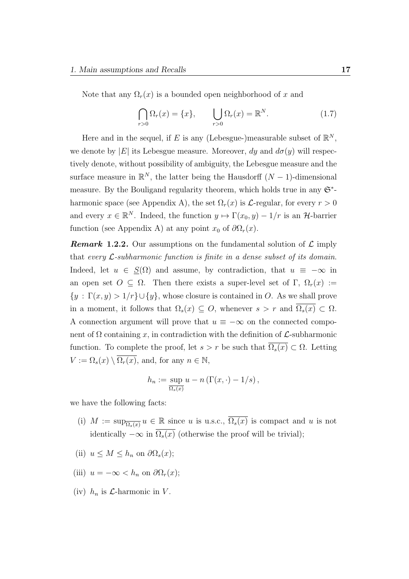Note that any  $\Omega_r(x)$  is a bounded open neighborhood of x and

$$
\bigcap_{r>0} \Omega_r(x) = \{x\}, \qquad \bigcup_{r>0} \Omega_r(x) = \mathbb{R}^N. \tag{1.7}
$$

Here and in the sequel, if E is any (Lebesgue-)measurable subset of  $\mathbb{R}^N$ , we denote by |E| its Lebesgue measure. Moreover, dy and  $d\sigma(y)$  will respectively denote, without possibility of ambiguity, the Lebesgue measure and the surface measure in  $\mathbb{R}^N$ , the latter being the Hausdorff  $(N-1)$ -dimensional measure. By the Bouligand regularity theorem, which holds true in any  $\mathfrak{S}^*$ harmonic space (see Appendix A), the set  $\Omega_r(x)$  is  $\mathcal{L}$ -regular, for every  $r > 0$ and every  $x \in \mathbb{R}^N$ . Indeed, the function  $y \mapsto \Gamma(x_0, y) - 1/r$  is an  $\mathcal{H}$ -barrier function (see Appendix A) at any point  $x_0$  of  $\partial\Omega_r(x)$ .

<span id="page-16-0"></span>**Remark 1.2.2.** Our assumptions on the fundamental solution of  $\mathcal{L}$  imply that every  $\mathcal{L}$ -subharmonic function is finite in a dense subset of its domain. Indeed, let  $u \in S(\Omega)$  and assume, by contradiction, that  $u \equiv -\infty$  in an open set  $O \subseteq \Omega$ . Then there exists a super-level set of  $\Gamma$ ,  $\Omega_r(x) :=$  ${y : \Gamma(x, y) > 1/r} \cup {y}$ , whose closure is contained in O. As we shall prove in a moment, it follows that  $\Omega_s(x) \subseteq O$ , whenever  $s > r$  and  $\Omega_s(x) \subset \Omega$ . A connection argument will prove that  $u \equiv -\infty$  on the connected component of  $\Omega$  containing x, in contradiction with the definition of  $\mathcal{L}$ -subharmonic function. To complete the proof, let  $s > r$  be such that  $\Omega_s(x) \subset \Omega$ . Letting  $V := \Omega_s(x) \setminus \overline{\Omega_r(x)}$ , and, for any  $n \in \mathbb{N}$ ,

$$
h_n := \sup_{\overline{\Omega_s(x)}} u - n \left( \Gamma(x, \cdot) - 1/s \right),
$$

we have the following facts:

- (i)  $M := \sup_{\overline{\Omega_s(x)}} u \in \mathbb{R}$  since u is u.s.c.,  $\overline{\Omega_s(x)}$  is compact and u is not identically  $-\infty$  in  $\overline{\Omega_s(x)}$  (otherwise the proof will be trivial);
- (ii)  $u \leq M \leq h_n$  on  $\partial \Omega_s(x);$
- (iii)  $u = -\infty < h_n$  on  $\partial \Omega_r(x)$ ;
- (iv)  $h_n$  is  $\mathcal{L}$ -harmonic in V.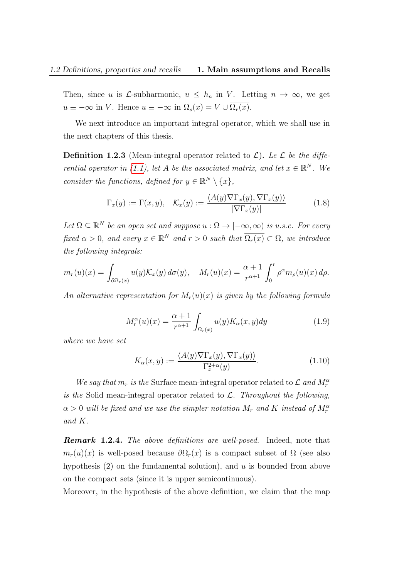Then, since u is  $\mathcal{L}$ -subharmonic,  $u \leq h_n$  in V. Letting  $n \to \infty$ , we get  $u \equiv -\infty$  in V. Hence  $u \equiv -\infty$  in  $\Omega_s(x) = V \cup \overline{\Omega_r(x)}$ .

We next introduce an important integral operator, which we shall use in the next chapters of this thesis.

**Definition 1.2.3** (Mean-integral operator related to  $\mathcal{L}$ ). Le  $\mathcal{L}$  be the diffe-rential operator in [\(1.1\)](#page-11-1), let A be the associated matrix, and let  $x \in \mathbb{R}^N$ . We consider the functions, defined for  $y \in \mathbb{R}^N \setminus \{x\},\$ 

$$
\Gamma_x(y) := \Gamma(x, y), \quad \mathcal{K}_x(y) := \frac{\langle A(y) \nabla \Gamma_x(y), \nabla \Gamma_x(y) \rangle}{|\nabla \Gamma_x(y)|} \tag{1.8}
$$

Let  $\Omega \subseteq \mathbb{R}^N$  be an open set and suppose  $u : \Omega \to [-\infty, \infty)$  is u.s.c. For every fixed  $\alpha > 0$ , and every  $x \in \mathbb{R}^N$  and  $r > 0$  such that  $\overline{\Omega_r(x)} \subset \Omega$ , we introduce the following integrals:

$$
m_r(u)(x) = \int_{\partial\Omega_r(x)} u(y) \mathcal{K}_x(y) d\sigma(y), \quad M_r(u)(x) = \frac{\alpha+1}{r^{\alpha+1}} \int_0^r \rho^{\alpha} m_{\rho}(u)(x) d\rho.
$$

An alternative representation for  $M_r(u)(x)$  is given by the following formula

<span id="page-17-0"></span>
$$
M_r^{\alpha}(u)(x) = \frac{\alpha+1}{r^{\alpha+1}} \int_{\Omega_r(x)} u(y) K_{\alpha}(x, y) dy \qquad (1.9)
$$

where we have set

$$
K_{\alpha}(x, y) := \frac{\langle A(y) \nabla \Gamma_x(y), \nabla \Gamma_x(y) \rangle}{\Gamma_x^{2+\alpha}(y)}.
$$
\n(1.10)

We say that  $m_r$  is the Surface mean-integral operator related to  $\mathcal L$  and  $M_r^{\alpha}$ is the Solid mean-integral operator related to  $\mathcal{L}$ . Throughout the following,  $\alpha > 0$  will be fixed and we use the simpler notation  $M_r$  and K instead of  $M_r^{\alpha}$ and K.

Remark 1.2.4. The above definitions are well-posed. Indeed, note that  $m_r(u)(x)$  is well-posed because  $\partial\Omega_r(x)$  is a compact subset of  $\Omega$  (see also hypothesis  $(2)$  on the fundamental solution), and u is bounded from above on the compact sets (since it is upper semicontinuous).

Moreover, in the hypothesis of the above definition, we claim that the map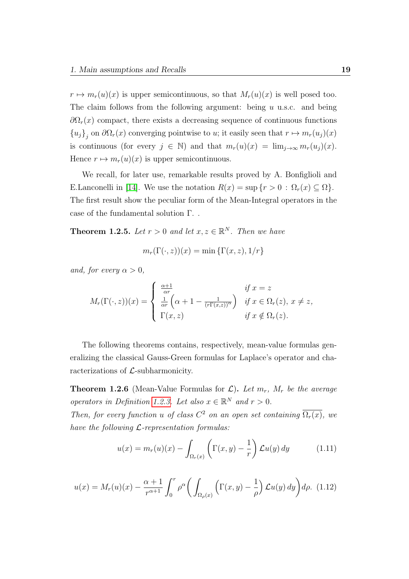$r \mapsto m_r(u)(x)$  is upper semicontinuous, so that  $M_r(u)(x)$  is well posed too. The claim follows from the following argument: being  $u$  u.s.c. and being  $\partial\Omega_r(x)$  compact, there exists a decreasing sequence of continuous functions  ${u_j}_j$  on  $\partial \Omega_r(x)$  converging pointwise to u; it easily seen that  $r \mapsto m_r(u_j)(x)$ is continuous (for every  $j \in \mathbb{N}$ ) and that  $m_r(u)(x) = \lim_{j \to \infty} m_r(u_j)(x)$ . Hence  $r \mapsto m_r(u)(x)$  is upper semicontinuous.

We recall, for later use, remarkable results proved by A. Bonfiglioli and E.Lanconelli in [\[14\]](#page-123-0). We use the notation  $R(x) = \sup\{r > 0 : \Omega_r(x) \subseteq \Omega\}.$ The first result show the peculiar form of the Mean-Integral operators in the case of the fundamental solution Γ. .

**Theorem 1.2.5.** Let  $r > 0$  and let  $x, z \in \mathbb{R}^N$ . Then we have

$$
m_r(\Gamma(\cdot,z))(x) = \min\left\{\Gamma(x,z), 1/r\right\}
$$

and, for every  $\alpha > 0$ ,

$$
M_r(\Gamma(\cdot,z))(x) = \begin{cases} \frac{\alpha+1}{\alpha r} & \text{if } x = z\\ \frac{1}{\alpha r} \left( \alpha + 1 - \frac{1}{(r\Gamma(x,z))^{\alpha}} \right) & \text{if } x \in \Omega_r(z), x \neq z, \\ \Gamma(x,z) & \text{if } x \notin \Omega_r(z). \end{cases}
$$

The following theorems contains, respectively, mean-value formulas generalizing the classical Gauss-Green formulas for Laplace's operator and characterizations of  $\mathcal{L}$ -subharmonicity.

<span id="page-18-2"></span>**Theorem 1.2.6** (Mean-Value Formulas for  $\mathcal{L}$ ). Let  $m_r$ ,  $M_r$  be the average operators in Definition [1.2.3.](#page-17-0) Let also  $x \in \mathbb{R}^N$  and  $r > 0$ .

Then, for every function u of class  $C^2$  on an open set containing  $\overline{\Omega_r(x)}$ , we have the following  $\mathcal{L}\text{-representation formulas:}$ 

<span id="page-18-0"></span>
$$
u(x) = m_r(u)(x) - \int_{\Omega_r(x)} \left( \Gamma(x, y) - \frac{1}{r} \right) \mathcal{L}u(y) dy \qquad (1.11)
$$

<span id="page-18-1"></span>
$$
u(x) = M_r(u)(x) - \frac{\alpha+1}{r^{\alpha+1}} \int_0^r \rho^{\alpha} \left( \int_{\Omega_{\rho}(x)} \left( \Gamma(x, y) - \frac{1}{\rho} \right) \mathcal{L}u(y) \, dy \right) d\rho. \tag{1.12}
$$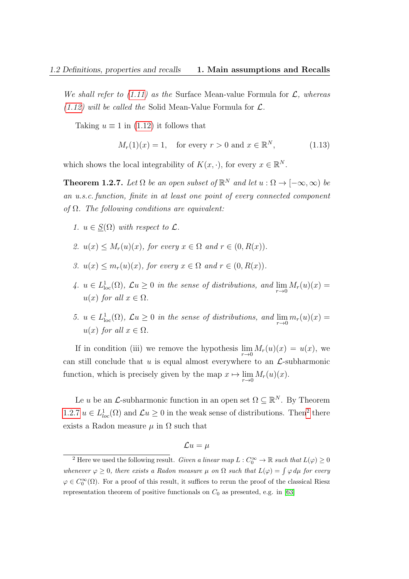We shall refer to  $(1.11)$  as the Surface Mean-value Formula for  $\mathcal{L}$ , whereas  $(1.12)$  will be called the Solid Mean-Value Formula for  $\mathcal{L}$ .

Taking  $u \equiv 1$  in [\(1.12\)](#page-18-1) it follows that

$$
M_r(1)(x) = 1, \quad \text{for every } r > 0 \text{ and } x \in \mathbb{R}^N,\tag{1.13}
$$

which shows the local integrability of  $K(x, \cdot)$ , for every  $x \in \mathbb{R}^N$ .

<span id="page-19-0"></span>**Theorem 1.2.7.** Let  $\Omega$  be an open subset of  $\mathbb{R}^N$  and let  $u : \Omega \to [-\infty, \infty)$  be an u.s.c. function, finite in at least one point of every connected component of  $\Omega$ . The following conditions are equivalent:

- 1.  $u \in S(\Omega)$  with respect to  $\mathcal{L}$ .
- 2.  $u(x) \leq M_r(u)(x)$ , for every  $x \in \Omega$  and  $r \in (0, R(x))$ .
- 3.  $u(x) \leq m_r(u)(x)$ , for every  $x \in \Omega$  and  $r \in (0, R(x))$ .
- 4.  $u \in L^1_{loc}(\Omega)$ ,  $\mathcal{L}u \geq 0$  in the sense of distributions, and  $\lim_{r \to 0} M_r(u)(x) =$  $u(x)$  for all  $x \in \Omega$ .
- 5.  $u \in L^1_{loc}(\Omega)$ ,  $\mathcal{L}u \geq 0$  in the sense of distributions, and  $\lim_{r \to 0} m_r(u)(x) =$  $u(x)$  for all  $x \in \Omega$ .

If in condition (iii) we remove the hypothesis  $\lim_{r\to 0} M_r(u)(x) = u(x)$ , we can still conclude that u is equal almost everywhere to an  $\mathcal{L}$ -subharmonic function, which is precisely given by the map  $x \mapsto \lim_{r \to 0} M_r(u)(x)$ .

Le u be an  $\mathcal{L}$ -subharmonic function in an open set  $\Omega \subseteq \mathbb{R}^N$ . By Theorem [1.2.7](#page-19-0)  $u \in L^1_{loc}(\Omega)$  and  $\mathcal{L}u \geq 0$  in the weak sense of distributions. Then<sup>[2](#page-19-1)</sup> there exists a Radon measure  $\mu$  in  $\Omega$  such that

 $\mathcal{L}u = u$ 

<span id="page-19-1"></span><sup>&</sup>lt;sup>2</sup> Here we used the following result. Given a linear map  $L: C_0^{\infty} \to \mathbb{R}$  such that  $L(\varphi) \geq 0$ whenever  $\varphi \geq 0$ , there exists a Radon measure  $\mu$  on  $\Omega$  such that  $L(\varphi) = \int \varphi \, d\mu$  for every  $\varphi \in C_0^{\infty}(\Omega)$ . For a proof of this result, it suffices to rerun the proof of the classical Riesz representation theorem of positive functionals on  $C_0$  as presented, e.g. in [\[63\]](#page-128-2)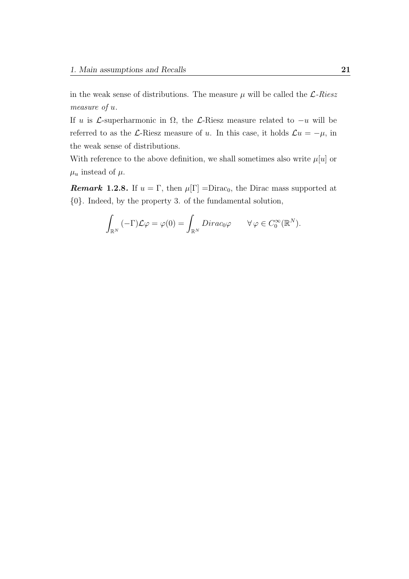in the weak sense of distributions. The measure  $\mu$  will be called the  $\mathcal{L}\text{-}Riesz$ measure of u.

If u is L-superharmonic in  $\Omega$ , the L-Riesz measure related to  $-u$  will be referred to as the L-Riesz measure of u. In this case, it holds  $\mathcal{L}u = -\mu$ , in the weak sense of distributions.

With reference to the above definition, we shall sometimes also write  $\mu[u]$  or  $\mu_u$  instead of  $\mu$ .

**Remark 1.2.8.** If  $u = \Gamma$ , then  $\mu[\Gamma] = \text{Dirac}_0$ , the Dirac mass supported at {0}. Indeed, by the property 3. of the fundamental solution,

$$
\int_{\mathbb{R}^N} (-\Gamma) \mathcal{L} \varphi = \varphi(0) = \int_{\mathbb{R}^N} Dirac_0 \varphi \qquad \forall \varphi \in C_0^{\infty}(\mathbb{R}^N).
$$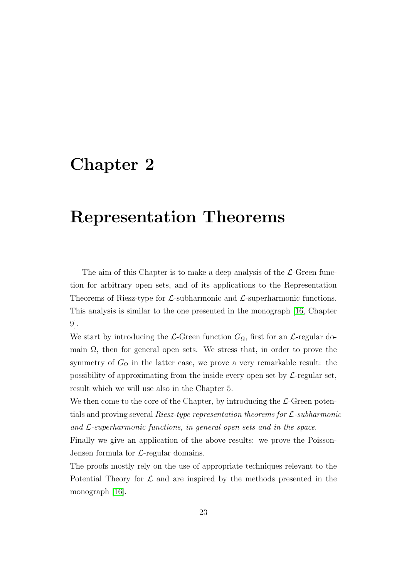### <span id="page-22-0"></span>Chapter 2

### <span id="page-22-1"></span>Representation Theorems

The aim of this Chapter is to make a deep analysis of the  $\mathcal{L}\text{-Green func-}$ tion for arbitrary open sets, and of its applications to the Representation Theorems of Riesz-type for  $\mathcal{L}$ -subharmonic and  $\mathcal{L}$ -superharmonic functions. This analysis is similar to the one presented in the monograph [\[16,](#page-123-5) Chapter 9].

We start by introducing the L-Green function  $G_{\Omega}$ , first for an L-regular domain  $\Omega$ , then for general open sets. We stress that, in order to prove the symmetry of  $G_{\Omega}$  in the latter case, we prove a very remarkable result: the possibility of approximating from the inside every open set by  $\mathcal{L}$ -regular set, result which we will use also in the Chapter 5.

We then come to the core of the Chapter, by introducing the  $\mathcal{L}\text{-Green}$  potentials and proving several Riesz-type representation theorems for L-subharmonic and L-superharmonic functions, in general open sets and in the space.

Finally we give an application of the above results: we prove the Poisson-Jensen formula for  $\mathcal{L}$ -regular domains.

The proofs mostly rely on the use of appropriate techniques relevant to the Potential Theory for  $\mathcal L$  and are inspired by the methods presented in the monograph [\[16\]](#page-123-5).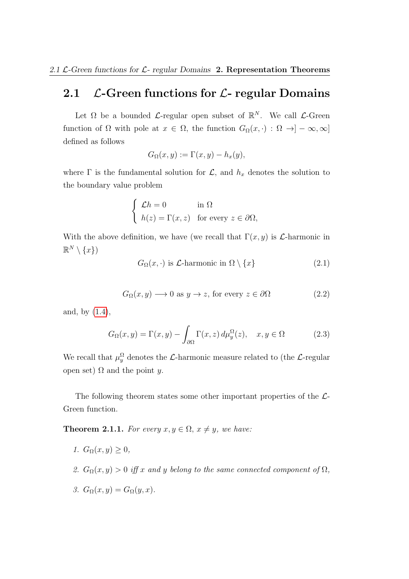#### <span id="page-23-0"></span>2.1 L-Green functions for  $\mathcal{L}$ - regular Domains

Let  $\Omega$  be a bounded *L*-regular open subset of  $\mathbb{R}^N$ . We call *L*-Green function of  $\Omega$  with pole at  $x \in \Omega$ , the function  $G_{\Omega}(x, \cdot) : \Omega \to ]-\infty, \infty]$ defined as follows

$$
G_{\Omega}(x, y) := \Gamma(x, y) - h_x(y),
$$

where  $\Gamma$  is the fundamental solution for  $\mathcal{L}$ , and  $h_x$  denotes the solution to the boundary value problem

$$
\begin{cases} \mathcal{L}h = 0 & \text{in } \Omega \\ h(z) = \Gamma(x, z) & \text{for every } z \in \partial\Omega, \end{cases}
$$

With the above definition, we have (we recall that  $\Gamma(x, y)$  is *L*-harmonic in  $\mathbb{R}^N\setminus\{x\})$ 

$$
G_{\Omega}(x,\cdot) \text{ is } \mathcal{L}\text{-harmonic in } \Omega \setminus \{x\} \tag{2.1}
$$

<span id="page-23-1"></span>
$$
G_{\Omega}(x, y) \longrightarrow 0 \text{ as } y \longrightarrow z, \text{ for every } z \in \partial\Omega \tag{2.2}
$$

and, by [\(1.4\)](#page-15-0),

$$
G_{\Omega}(x,y) = \Gamma(x,y) - \int_{\partial\Omega} \Gamma(x,z) d\mu_y^{\Omega}(z), \quad x, y \in \Omega \tag{2.3}
$$

We recall that  $\mu_y^{\Omega}$  denotes the L-harmonic measure related to (the L-regular open set)  $\Omega$  and the point y.

The following theorem states some other important properties of the  $\mathcal{L}$ -Green function.

**Theorem 2.1.1.** For every  $x, y \in \Omega$ ,  $x \neq y$ , we have:

- 1.  $G_{\Omega}(x, y) \geq 0$ ,
- 2.  $G_{\Omega}(x, y) > 0$  iff x and y belong to the same connected component of  $\Omega$ ,

3. 
$$
G_{\Omega}(x, y) = G_{\Omega}(y, x)
$$
.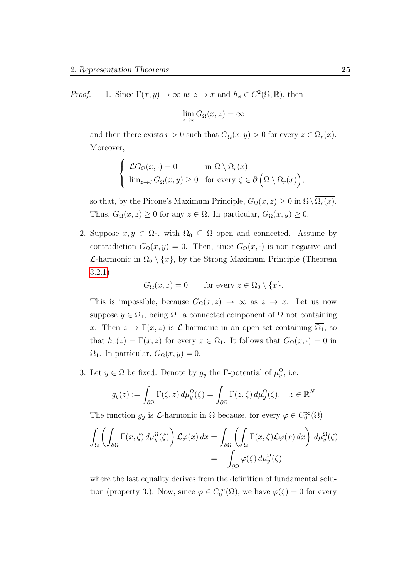*Proof.* 1. Since  $\Gamma(x, y) \to \infty$  as  $z \to x$  and  $h_x \in C^2(\Omega, \mathbb{R})$ , then

$$
\lim_{z \to x} G_{\Omega}(x, z) = \infty
$$

and then there exists  $r > 0$  such that  $G_{\Omega}(x, y) > 0$  for every  $z \in \overline{\Omega_r(x)}$ . Moreover,

$$
\begin{cases}\n\mathcal{L}G_{\Omega}(x,\cdot) = 0 & \text{in } \Omega \setminus \overline{\Omega_r(x)} \\
\lim_{z \to \zeta} G_{\Omega}(x,y) \ge 0 & \text{for every } \zeta \in \partial \left(\Omega \setminus \overline{\Omega_r(x)}\right),\n\end{cases}
$$

so that, by the Picone's Maximum Principle,  $G_{\Omega}(x, z) \geq 0$  in  $\Omega \setminus \overline{\Omega_r(x)}$ . Thus,  $G_{\Omega}(x, z) \geq 0$  for any  $z \in \Omega$ . In particular,  $G_{\Omega}(x, y) \geq 0$ .

2. Suppose  $x, y \in \Omega_0$ , with  $\Omega_0 \subseteq \Omega$  open and connected. Assume by contradiction  $G_{\Omega}(x, y) = 0$ . Then, since  $G_{\Omega}(x, \cdot)$  is non-negative and  $\mathcal{L}$ -harmonic in Ω<sub>0</sub> \ {x}, by the Strong Maximum Principle (Theorem [3.2.1\)](#page-58-1)

$$
G_{\Omega}(x, z) = 0 \quad \text{for every } z \in \Omega_0 \setminus \{x\}.
$$

This is impossible, because  $G_{\Omega}(x, z) \to \infty$  as  $z \to x$ . Let us now suppose  $y \in \Omega_1$ , being  $\Omega_1$  a connected component of  $\Omega$  not containing x. Then  $z \mapsto \Gamma(x, z)$  is  $\mathcal{L}$ -harmonic in an open set containing  $\overline{\Omega_1}$ , so that  $h_x(z) = \Gamma(x, z)$  for every  $z \in \Omega_1$ . It follows that  $G_{\Omega}(x, \cdot) = 0$  in  $\Omega_1$ . In particular,  $G_{\Omega}(x, y) = 0$ .

<span id="page-24-0"></span>3. Let  $y \in \Omega$  be fixed. Denote by  $g_y$  the *Γ*-potential of  $\mu_y^{\Omega}$ , i.e.

$$
g_y(z) := \int_{\partial\Omega} \Gamma(\zeta, z) d\mu_y^{\Omega}(\zeta) = \int_{\partial\Omega} \Gamma(z, \zeta) d\mu_y^{\Omega}(\zeta), \quad z \in \mathbb{R}^N
$$

The function  $g_y$  is L-harmonic in  $\Omega$  because, for every  $\varphi \in C_0^{\infty}(\Omega)$ 

$$
\int_{\Omega} \left( \int_{\partial \Omega} \Gamma(x, \zeta) d\mu_y^{\Omega}(\zeta) \right) \mathcal{L}\varphi(x) dx = \int_{\partial \Omega} \left( \int_{\Omega} \Gamma(x, \zeta) \mathcal{L}\varphi(x) dx \right) d\mu_y^{\Omega}(\zeta)
$$

$$
= - \int_{\partial \Omega} \varphi(\zeta) d\mu_y^{\Omega}(\zeta)
$$

where the last equality derives from the definition of fundamental solution (property 3.). Now, since  $\varphi \in C_0^{\infty}(\Omega)$ , we have  $\varphi(\zeta) = 0$  for every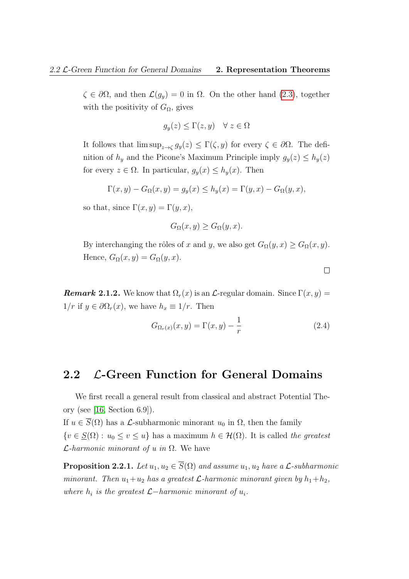$\zeta \in \partial\Omega$ , and then  $\mathcal{L}(g_y) = 0$  in  $\Omega$ . On the other hand [\(2.3\)](#page-23-1), together with the positivity of  $G_{\Omega}$ , gives

$$
g_y(z) \le \Gamma(z, y) \quad \forall \ z \in \Omega
$$

It follows that  $\limsup_{z\to\zeta} g_y(z) \leq \Gamma(\zeta, y)$  for every  $\zeta \in \partial\Omega$ . The definition of  $h_y$  and the Picone's Maximum Principle imply  $g_y(z) \leq h_y(z)$ for every  $z \in \Omega$ . In particular,  $g_y(x) \leq h_y(x)$ . Then

$$
\Gamma(x,y) - G_{\Omega}(x,y) = g_y(x) \le h_y(x) = \Gamma(y,x) - G_{\Omega}(y,x),
$$

so that, since  $\Gamma(x, y) = \Gamma(y, x)$ ,

$$
G_{\Omega}(x, y) \ge G_{\Omega}(y, x).
$$

By interchanging the rôles of x and y, we also get  $G_{\Omega}(y, x) \geq G_{\Omega}(x, y)$ . Hence,  $G_{\Omega}(x, y) = G_{\Omega}(y, x)$ .

**Remark 2.1.2.** We know that  $\Omega_r(x)$  is an  $\mathcal{L}$ -regular domain. Since  $\Gamma(x, y) =$  $1/r$  if  $y \in \partial \Omega_r(x)$ , we have  $h_x \equiv 1/r$ . Then

$$
G_{\Omega_r(x)}(x,y) = \Gamma(x,y) - \frac{1}{r}
$$
\n(2.4)

#### <span id="page-25-0"></span>2.2 L-Green Function for General Domains

We first recall a general result from classical and abstract Potential Theory (see [\[16,](#page-123-5) Section 6.9]).

If  $u \in \overline{S}(\Omega)$  has a *L*-subharmonic minorant  $u_0$  in  $\Omega$ , then the family  $\{v \in \underline{S}(\Omega) : u_0 \le v \le u\}$  has a maximum  $h \in \mathcal{H}(\Omega)$ . It is called the greatest  $\mathcal{L}$ -harmonic minorant of u in  $\Omega$ . We have

**Proposition 2.2.1.** Let  $u_1, u_2 \in \overline{S}(\Omega)$  and assume  $u_1, u_2$  have a  $\mathcal{L}$ -subharmonic minorant. Then  $u_1+u_2$  has a greatest  $\mathcal{L}$ -harmonic minorant given by  $h_1+h_2$ , where  $h_i$  is the greatest  $\mathcal{L}-harmonic~minorant~of~u_i$ .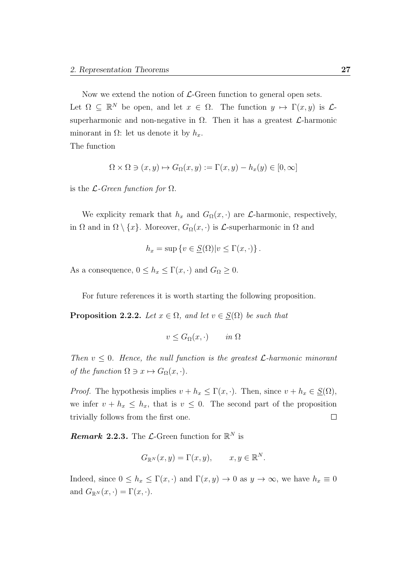Now we extend the notion of  $\mathcal{L}\text{-Green}$  function to general open sets. Let  $\Omega \subseteq \mathbb{R}^N$  be open, and let  $x \in \Omega$ . The function  $y \mapsto \Gamma(x, y)$  is  $\mathcal{L}$ superharmonic and non-negative in  $\Omega$ . Then it has a greatest  $\mathcal{L}$ -harmonic minorant in  $\Omega$ : let us denote it by  $h_x$ .

The function

$$
\Omega \times \Omega \ni (x, y) \mapsto G_{\Omega}(x, y) := \Gamma(x, y) - h_x(y) \in [0, \infty]
$$

is the  $\mathcal{L}\text{-Green function for }\Omega$ .

We explicity remark that  $h_x$  and  $G_{\Omega}(x, \cdot)$  are *L*-harmonic, respectively, in  $\Omega$  and in  $\Omega \setminus \{x\}$ . Moreover,  $G_{\Omega}(x, \cdot)$  is  $\mathcal L$ -superharmonic in  $\Omega$  and

$$
h_x = \sup \{ v \in \underline{S}(\Omega) | v \le \Gamma(x, \cdot) \} .
$$

As a consequence,  $0 \le h_x \le \Gamma(x, \cdot)$  and  $G_{\Omega} \ge 0$ .

For future references it is worth starting the following proposition.

<span id="page-26-0"></span>**Proposition 2.2.2.** Let  $x \in \Omega$ , and let  $v \in S(\Omega)$  be such that

$$
v \le G_{\Omega}(x, \cdot) \qquad in \ \Omega
$$

Then  $v \leq 0$ . Hence, the null function is the greatest *L*-harmonic minorant of the function  $\Omega \ni x \mapsto G_{\Omega}(x, \cdot)$ .

*Proof.* The hypothesis implies  $v + h_x \leq \Gamma(x, \cdot)$ . Then, since  $v + h_x \in \underline{S}(\Omega)$ , we infer  $v + h_x \leq h_x$ , that is  $v \leq 0$ . The second part of the proposition trivially follows from the first one.  $\Box$ 

**Remark 2.2.3.** The L-Green function for  $\mathbb{R}^N$  is

$$
G_{\mathbb{R}^N}(x,y) = \Gamma(x,y), \qquad x, y \in \mathbb{R}^N.
$$

Indeed, since  $0 \le h_x \le \Gamma(x, \cdot)$  and  $\Gamma(x, y) \to 0$  as  $y \to \infty$ , we have  $h_x \equiv 0$ and  $G_{\mathbb{R}^N}(x, \cdot) = \Gamma(x, \cdot).$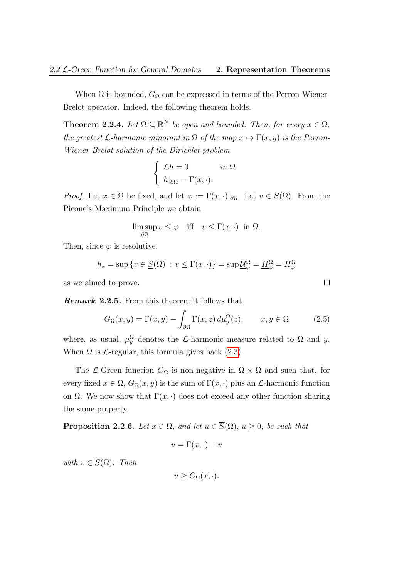When  $\Omega$  is bounded,  $G_{\Omega}$  can be expressed in terms of the Perron-Wiener-Brelot operator. Indeed, the following theorem holds.

**Theorem 2.2.4.** Let  $\Omega \subseteq \mathbb{R}^N$  be open and bounded. Then, for every  $x \in \Omega$ , the greatest  $\mathcal{L}$ -harmonic minorant in  $\Omega$  of the map  $x \mapsto \Gamma(x, y)$  is the Perron-Wiener-Brelot solution of the Dirichlet problem

$$
\begin{cases}\n\mathcal{L}h = 0 & \text{in } \Omega \\
h|_{\partial\Omega} = \Gamma(x, \cdot).\n\end{cases}
$$

*Proof.* Let  $x \in \Omega$  be fixed, and let  $\varphi := \Gamma(x, \cdot)|_{\partial \Omega}$ . Let  $v \in \underline{S}(\Omega)$ . From the Picone's Maximum Principle we obtain

$$
\limsup_{\partial\Omega} v \le \varphi \quad \text{iff} \quad v \le \Gamma(x, \cdot) \text{ in } \Omega.
$$

Then, since  $\varphi$  is resolutive,

$$
h_x = \sup \{ v \in \underline{S}(\Omega) : v \le \Gamma(x, \cdot) \} = \sup \underline{\mathcal{U}}_{\varphi}^{\Omega} = \underline{H}_{\varphi}^{\Omega} = H_{\varphi}^{\Omega}
$$

as we aimed to prove.

Remark 2.2.5. From this theorem it follows that

$$
G_{\Omega}(x,y) = \Gamma(x,y) - \int_{\partial\Omega} \Gamma(x,z) d\mu_y^{\Omega}(z), \qquad x, y \in \Omega \tag{2.5}
$$

where, as usual,  $\mu_y^{\Omega}$  denotes the *L*-harmonic measure related to  $\Omega$  and y. When  $\Omega$  is  $\mathcal{L}$ -regular, this formula gives back [\(2.3\)](#page-23-1).

The L-Green function  $G_{\Omega}$  is non-negative in  $\Omega \times \Omega$  and such that, for every fixed  $x \in \Omega$ ,  $G_{\Omega}(x, y)$  is the sum of  $\Gamma(x, \cdot)$  plus an  $\mathcal{L}$ -harmonic function on  $\Omega$ . We now show that  $\Gamma(x, \cdot)$  does not exceed any other function sharing the same property.

<span id="page-27-0"></span>**Proposition 2.2.6.** Let  $x \in \Omega$ , and let  $u \in \overline{S}(\Omega)$ ,  $u \geq 0$ , be such that

$$
u = \Gamma(x, \cdot) + v
$$

with  $v \in \overline{S}(\Omega)$ . Then

$$
u \geq G_{\Omega}(x, \cdot).
$$

<span id="page-27-1"></span> $\Box$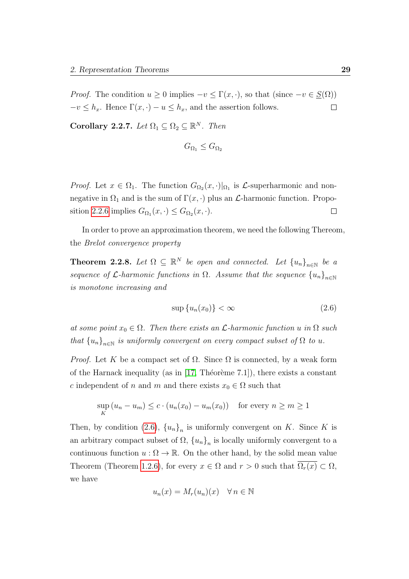*Proof.* The condition  $u \geq 0$  implies  $-v \leq \Gamma(x, \cdot)$ , so that (since  $-v \in S(\Omega)$ )  $-v \leq h_x$ . Hence  $\Gamma(x, \cdot) - u \leq h_x$ , and the assertion follows.  $\Box$ 

<span id="page-28-1"></span>Corollary 2.2.7. Let  $\Omega_1 \subseteq \Omega_2 \subseteq \mathbb{R}^N$ . Then

$$
G_{\Omega_1} \leq G_{\Omega_2}
$$

*Proof.* Let  $x \in \Omega_1$ . The function  $G_{\Omega_2}(x, \cdot)|_{\Omega_1}$  is  $\mathcal{L}$ -superharmonic and nonnegative in  $\Omega_1$  and is the sum of  $\Gamma(x, \cdot)$  plus an  $\mathcal L$ -harmonic function. Propo-sition [2.2.6](#page-27-0) implies  $G_{\Omega_1}(x, \cdot) \leq G_{\Omega_2}(x, \cdot)$ .  $\Box$ 

In order to prove an approximation theorem, we need the following Thereom, the Brelot convergence property

**Theorem 2.2.8.** Let  $\Omega \subseteq \mathbb{R}^N$  be open and connected. Let  $\{u_n\}_{n\in\mathbb{N}}$  be a sequence of  $\mathcal L$ -harmonic functions in  $\Omega$ . Assume that the sequence  $\{u_n\}_{n\in\mathbb N}$ is monotone increasing and

<span id="page-28-0"></span>
$$
\sup\left\{u_n(x_0)\right\} < \infty \tag{2.6}
$$

at some point  $x_0 \in \Omega$ . Then there exists an  $\mathcal L$ -harmonic function u in  $\Omega$  such that  ${u_n}_{n\in\mathbb{N}}$  is uniformly convergent on every compact subset of  $\Omega$  to u.

*Proof.* Let K be a compact set of  $\Omega$ . Since  $\Omega$  is connected, by a weak form of the Harnack inequality (as in  $[17,$  Théorème 7.1]), there exists a constant c independent of n and m and there exists  $x_0 \in \Omega$  such that

$$
\sup_{K} (u_n - u_m) \le c \cdot (u_n(x_0) - u_m(x_0)) \quad \text{for every } n \ge m \ge 1
$$

Then, by condition [\(2.6\)](#page-28-0),  ${u_n}_n$  is uniformly convergent on K. Since K is an arbitrary compact subset of  $\Omega$ ,  $\{u_n\}_n$  is locally uniformly convergent to a continuous function  $u : \Omega \to \mathbb{R}$ . On the other hand, by the solid mean value Theorem (Theorem [1.2.6\)](#page-18-2), for every  $x \in \Omega$  and  $r > 0$  such that  $\overline{\Omega_r(x)} \subset \Omega$ , we have

$$
u_n(x) = M_r(u_n)(x) \quad \forall \, n \in \mathbb{N}
$$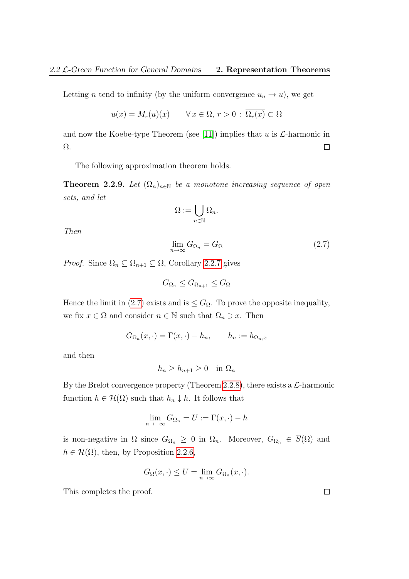Letting *n* tend to infinity (by the uniform convergence  $u_n \to u$ ), we get

$$
u(x) = M_r(u)(x) \qquad \forall x \in \Omega, r > 0 : \overline{\Omega_r(x)} \subset \Omega
$$

and now the Koebe-type Theorem (see [\[11\]](#page-123-6)) implies that u is  $\mathcal{L}$ -harmonic in Ω.  $\Box$ 

The following approximation theorem holds.

**Theorem 2.2.9.** Let  $(\Omega_n)_{n\in\mathbb{N}}$  be a monotone increasing sequence of open sets, and let

$$
\Omega:=\bigcup_{n\in\mathbb{N}}\Omega_n.
$$

<span id="page-29-0"></span>Then

$$
\lim_{n \to \infty} G_{\Omega_n} = G_{\Omega} \tag{2.7}
$$

*Proof.* Since  $\Omega_n \subseteq \Omega_{n+1} \subseteq \Omega$ , Corollary [2.2.7](#page-28-1) gives

$$
G_{\Omega_n} \leq G_{\Omega_{n+1}} \leq G_{\Omega}
$$

Hence the limit in [\(2.7\)](#page-29-0) exists and is  $\leq G_{\Omega}$ . To prove the opposite inequality, we fix  $x \in \Omega$  and consider  $n \in \mathbb{N}$  such that  $\Omega_n \ni x$ . Then

$$
G_{\Omega_n}(x,\cdot) = \Gamma(x,\cdot) - h_n, \qquad h_n := h_{\Omega_n,x}
$$

and then

$$
h_n \ge h_{n+1} \ge 0 \quad \text{in } \Omega_n
$$

By the Brelot convergence property (Theorem [2.2.8\)](#page-28-0), there exists a  $\mathcal{L}$ -harmonic function  $h \in \mathcal{H}(\Omega)$  such that  $h_n \downarrow h$ . It follows that

$$
\lim_{n \to +\infty} G_{\Omega_n} = U := \Gamma(x, \cdot) - h
$$

is non-negative in  $\Omega$  since  $G_{\Omega_n} \geq 0$  in  $\Omega_n$ . Moreover,  $G_{\Omega_n} \in \overline{S}(\Omega)$  and  $h \in \mathcal{H}(\Omega)$ , then, by Proposition [2.2.6,](#page-27-0)

$$
G_{\Omega}(x,\cdot) \leq U = \lim_{n \to \infty} G_{\Omega_n}(x,\cdot).
$$

This completes the proof.

 $\Box$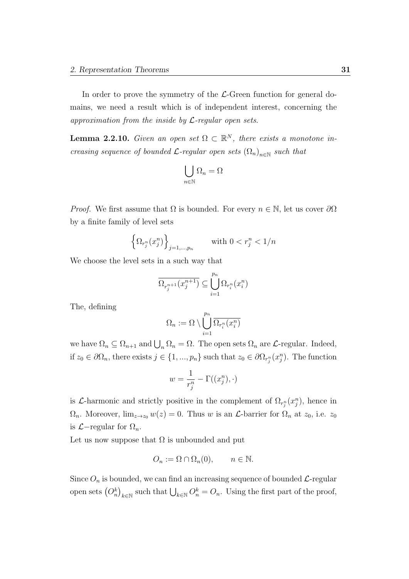In order to prove the symmetry of the  $\mathcal{L}\text{-Green}$  function for general domains, we need a result which is of independent interest, concerning the approximation from the inside by  $\mathcal{L}$ -regular open sets.

**Lemma 2.2.10.** Given an open set  $\Omega \subset \mathbb{R}^N$ , there exists a monotone increasing sequence of bounded  $\mathcal{L}$ -regular open sets  $(\Omega_n)_{n\in\mathbb{N}}$  such that

$$
\bigcup_{n\in\mathbb{N}}\Omega_n=\Omega
$$

*Proof.* We first assume that  $\Omega$  is bounded. For every  $n \in \mathbb{N}$ , let us cover  $\partial\Omega$ by a finite family of level sets

$$
\left\{\Omega_{r_j^n}(x_j^n)\right\}_{j=1,\dots,p_n} \qquad \text{with } 0 < r_j^n < 1/n
$$

We choose the level sets in a such way that

$$
\overline{\Omega_{r_j^{n+1}}(x_j^{n+1})} \subseteq \bigcup_{i=1}^{p_n} \Omega_{r_i^n}(x_i^n)
$$

The, defining

$$
\Omega_n:=\Omega\setminus\bigcup_{i=1}^{p_n}\overline{\Omega_{r_i^n}(x_i^n)}
$$

we have  $\Omega_n \subseteq \Omega_{n+1}$  and  $\bigcup_n \Omega_n = \Omega$ . The open sets  $\Omega_n$  are  $\mathcal{L}$ -regular. Indeed, if  $z_0 \in \partial\Omega_n$ , there exists  $j \in \{1, ..., p_n\}$  such that  $z_0 \in \partial\Omega_{r_j^n}(x_j^n)$ . The function

$$
w = \frac{1}{r_j^n} - \Gamma((x_j^n), \cdot)
$$

is *L*-harmonic and strictly positive in the complement of  $\Omega_{r_j^n}(x_j^n)$ , hence in  $\Omega_n$ . Moreover,  $\lim_{z\to z_0} w(z) = 0$ . Thus w is an  $\mathcal{L}$ -barrier for  $\Omega_n$  at  $z_0$ , i.e.  $z_0$ is  $\mathcal{L}-$ regular for  $\Omega_n$ .

Let us now suppose that  $\Omega$  is unbounded and put

$$
O_n := \Omega \cap \Omega_n(0), \qquad n \in \mathbb{N}.
$$

Since  $O_n$  is bounded, we can find an increasing sequence of bounded  $\mathcal{L}$ -regular open sets  $(O_n^k)_{k \in \mathbb{N}}$  such that  $\bigcup_{k \in \mathbb{N}} O_n^k = O_n$ . Using the first part of the proof,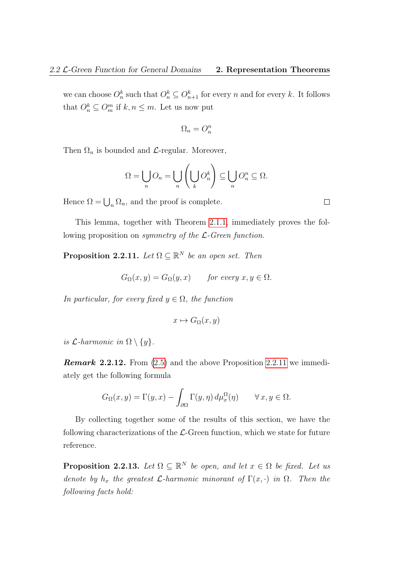we can choose  $O_n^k$  such that  $O_n^k \subseteq O_{n+1}^k$  for every n and for every k. It follows that  $O_n^k \subseteq O_m^m$  if  $k, n \leq m$ . Let us now put

$$
\Omega_n = O_n^n
$$

Then  $\Omega_n$  is bounded and  $\mathcal{L}$ -regular. Moreover,

$$
\Omega = \bigcup_n O_n = \bigcup_n \left( \bigcup_k O_n^k \right) \subseteq \bigcup_n O_n^n \subseteq \Omega.
$$

Hence  $\Omega = \bigcup_n \Omega_n$ , and the proof is complete.

This lemma, together with Theorem [2.1.1,](#page-24-0) immediately proves the following proposition on symmetry of the L-Green function.

<span id="page-31-0"></span>**Proposition 2.2.11.** Let  $\Omega \subseteq \mathbb{R}^N$  be an open set. Then

$$
G_{\Omega}(x,y) = G_{\Omega}(y,x) \quad for\ every\ x,y \in \Omega.
$$

In particular, for every fixed  $y \in \Omega$ , the function

$$
x \mapsto G_{\Omega}(x, y)
$$

is *L*-harmonic in  $\Omega \setminus \{y\}$ .

**Remark 2.2.12.** From  $(2.5)$  and the above Proposition [2.2.11](#page-31-0) we immediately get the following formula

$$
G_{\Omega}(x, y) = \Gamma(y, x) - \int_{\partial \Omega} \Gamma(y, \eta) d\mu_x^{\Omega}(\eta) \qquad \forall x, y \in \Omega.
$$

By collecting together some of the results of this section, we have the following characterizations of the  $\mathcal{L}\text{-Green}$  function, which we state for future reference.

**Proposition 2.2.13.** Let  $\Omega \subseteq \mathbb{R}^N$  be open, and let  $x \in \Omega$  be fixed. Let us denote by  $h_x$  the greatest *L*-harmonic minorant of  $\Gamma(x, \cdot)$  in  $\Omega$ . Then the following facts hold:

 $\Box$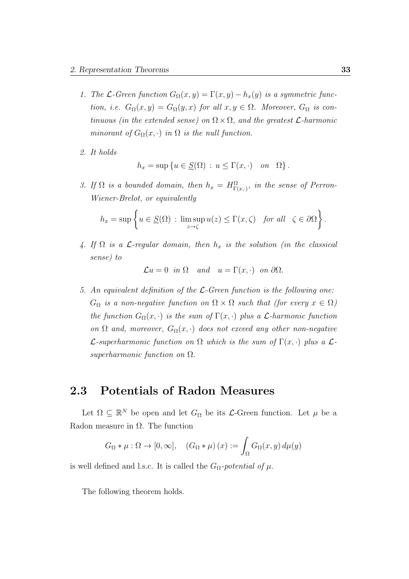- 1. The L-Green function  $G_{\Omega}(x, y) = \Gamma(x, y) h_x(y)$  is a symmetric function, i.e.  $G_{\Omega}(x, y) = G_{\Omega}(y, x)$  for all  $x, y \in \Omega$ . Moreover,  $G_{\Omega}$  is continuous (in the extended sense) on  $\Omega \times \Omega$ , and the greatest *L*-harmonic minorant of  $G_{\Omega}(x, \cdot)$  in  $\Omega$  is the null function.
- 2. It holds

$$
h_x = \sup \{ u \in \underline{S}(\Omega) : u \le \Gamma(x, \cdot) \quad \text{on} \quad \Omega \}.
$$

3. If  $\Omega$  is a bounded domain, then  $h_x = H^{\Omega}_{\Gamma(x,\cdot)}$ , in the sense of Perron-Wiener-Brelot, or equivalently

$$
h_x = \sup \left\{ u \in \underline{S}(\Omega) : \limsup_{z \to \zeta} u(z) \le \Gamma(x, \zeta) \quad \text{for all} \quad \zeta \in \partial \Omega \right\}.
$$

4. If  $\Omega$  is a *L*-regular domain, then  $h_x$  is the solution (in the classical sense) to

$$
\mathcal{L}u = 0
$$
 in  $\Omega$  and  $u = \Gamma(x, \cdot)$  on  $\partial\Omega$ .

5. An equivalent definition of the  $\mathcal{L}\text{-Green function}$  is the following one:  $G_{\Omega}$  is a non-negative function on  $\Omega \times \Omega$  such that (for every  $x \in \Omega$ ) the function  $G_{\Omega}(x, \cdot)$  is the sum of  $\Gamma(x, \cdot)$  plus a L-harmonic function on  $\Omega$  and, moreover,  $G_{\Omega}(x, \cdot)$  does not exceed any other non-negative  $\mathcal{L}$ -superharmonic function on  $\Omega$  which is the sum of  $\Gamma(x, \cdot)$  plus a  $\mathcal{L}$ superharmonic function on  $\Omega$ .

### <span id="page-32-0"></span>2.3 Potentials of Radon Measures

Let  $\Omega \subseteq \mathbb{R}^N$  be open and let  $G_{\Omega}$  be its  $\mathcal{L}\text{-Green function}$ . Let  $\mu$  be a Radon measure in  $\Omega$ . The function

$$
G_{\Omega} * \mu : \Omega \to [0, \infty], \quad (G_{\Omega} * \mu) (x) := \int_{\Omega} G_{\Omega}(x, y) d\mu(y)
$$

is well defined and l.s.c. It is called the  $G_{\Omega}$ -potential of  $\mu$ .

The following theorem holds.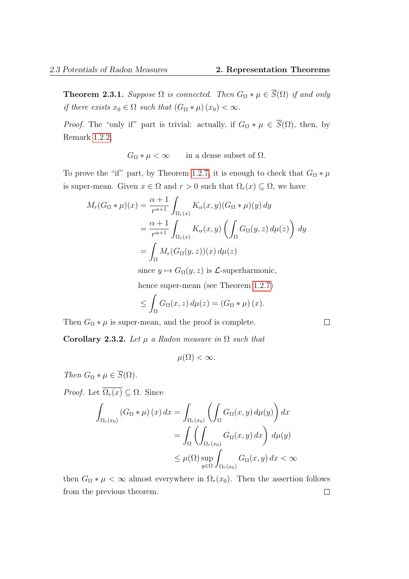<span id="page-33-1"></span>**Theorem 2.3.1.** Suppose  $\Omega$  is connected. Then  $G_{\Omega} * \mu \in \overline{S}(\Omega)$  if and only if there exists  $x_0 \in \Omega$  such that  $(G_{\Omega} * \mu)(x_0) < \infty$ .

*Proof.* The "only if" part is trivial: actually, if  $G_{\Omega} * \mu \in \overline{S}(\Omega)$ , then, by Remark [1.2.2,](#page-16-0)

 $G_{\Omega} * \mu < \infty$  in a dense subset of  $\Omega$ .

To prove the "if" part, by Theorem [1.2.7,](#page-19-0) it is enough to check that  $G_{\Omega} * \mu$ is super-mean. Given  $x \in \Omega$  and  $r > 0$  such that  $\Omega_r(x) \subseteq \Omega$ , we have

$$
M_r(G_\Omega * \mu)(x) = \frac{\alpha + 1}{r^{\alpha + 1}} \int_{\Omega_r(x)} K_\alpha(x, y) (G_\Omega * \mu)(y) dy
$$
  
= 
$$
\frac{\alpha + 1}{r^{\alpha + 1}} \int_{\Omega_r(x)} K_\alpha(x, y) \left( \int_{\Omega} G_\Omega(y, z) d\mu(z) \right) dy
$$
  
= 
$$
\int_{\Omega} M_r(G_\Omega(y, z))(x) d\mu(z)
$$

since  $y \mapsto G_{\Omega}(y, z)$  is  $\mathcal{L}$ -superharmonic,

hence super-mean (see Theorem [1.2.7\)](#page-19-0)

$$
\leq \int_{\Omega} G_{\Omega}(x, z) d\mu(z) = (G_{\Omega} * \mu)(x).
$$

Then  $G_{\Omega} * \mu$  is super-mean, and the proof is complete.

<span id="page-33-0"></span>Corollary 2.3.2. Let  $\mu$  a Radon measure in  $\Omega$  such that

$$
\mu(\Omega)<\infty.
$$

Then  $G_{\Omega} * \mu \in \overline{S}(\Omega)$ .

*Proof.* Let  $\overline{\Omega_r(x)} \subseteq \Omega$ . Since

$$
\int_{\Omega_r(x_0)} (G_{\Omega} * \mu) (x) dx = \int_{\Omega_r(x_0)} \left( \int_{\Omega} G_{\Omega}(x, y) d\mu(y) \right) dx
$$

$$
= \int_{\Omega} \left( \int_{\Omega_r(x_0)} G_{\Omega}(x, y) dx \right) d\mu(y)
$$

$$
\leq \mu(\Omega) \sup_{y \in \Omega} \int_{\Omega_r(x_0)} G_{\Omega}(x, y) dx < \infty
$$

then  $G_{\Omega} * \mu < \infty$  almost everywhere in  $\Omega_r(x_0)$ . Then the assertion follows from the previous theorem. $\Box$ 

 $\Box$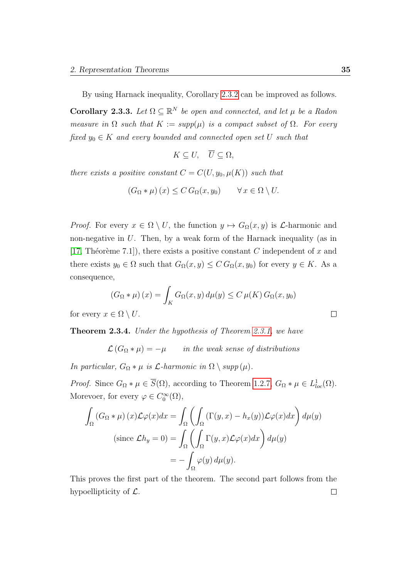By using Harnack inequality, Corollary [2.3.2](#page-33-0) can be improved as follows.

<span id="page-34-0"></span>**Corollary 2.3.3.** Let  $\Omega \subseteq \mathbb{R}^N$  be open and connected, and let  $\mu$  be a Radon measure in  $\Omega$  such that  $K := supp(\mu)$  is a compact subset of  $\Omega$ . For every fixed  $y_0 \in K$  and every bounded and connected open set U such that

$$
K \subseteq U, \quad \overline{U} \subseteq \Omega,
$$

there exists a positive constant  $C = C(U, y_0, \mu(K))$  such that

$$
(G_{\Omega} * \mu)(x) \le C G_{\Omega}(x, y_0) \quad \forall x \in \Omega \setminus U.
$$

*Proof.* For every  $x \in \Omega \setminus U$ , the function  $y \mapsto G_{\Omega}(x, y)$  is  $\mathcal{L}$ -harmonic and non-negative in  $U$ . Then, by a weak form of the Harnack inequality (as in [\[17,](#page-123-2) Théorème 7.1]), there exists a positive constant C independent of x and there exists  $y_0 \in \Omega$  such that  $G_{\Omega}(x, y) \leq C G_{\Omega}(x, y_0)$  for every  $y \in K$ . As a consequence,

$$
(G_{\Omega} * \mu)(x) = \int_{K} G_{\Omega}(x, y) d\mu(y) \le C \mu(K) G_{\Omega}(x, y_0)
$$

for every  $x \in \Omega \setminus U$ .

<span id="page-34-1"></span>Theorem 2.3.4. Under the hypothesis of Theorem [2.3.1,](#page-33-1) we have

 $\mathcal{L}(G_{\Omega} * \mu) = -\mu$  in the weak sense of distributions

In particular,  $G_{\Omega} * \mu$  is  $\mathcal{L}$ -harmonic in  $\Omega \setminus supp(\mu)$ .

*Proof.* Since  $G_{\Omega} * \mu \in \overline{S}(\Omega)$ , according to Theorem [1.2.7,](#page-19-0)  $G_{\Omega} * \mu \in L^1_{loc}(\Omega)$ . Morevoer, for every  $\varphi \in C_0^{\infty}(\Omega)$ ,

$$
\int_{\Omega} (G_{\Omega} * \mu) (x) \mathcal{L}\varphi(x) dx = \int_{\Omega} \left( \int_{\Omega} (\Gamma(y, x) - h_x(y)) \mathcal{L}\varphi(x) dx \right) d\mu(y)
$$
  
(since  $\mathcal{L}h_y = 0$ ) = 
$$
\int_{\Omega} \left( \int_{\Omega} \Gamma(y, x) \mathcal{L}\varphi(x) dx \right) d\mu(y)
$$

$$
= - \int_{\Omega} \varphi(y) d\mu(y).
$$

This proves the first part of the theorem. The second part follows from the hypoellipticity of  $\mathcal{L}$ .  $\Box$ 

 $\Box$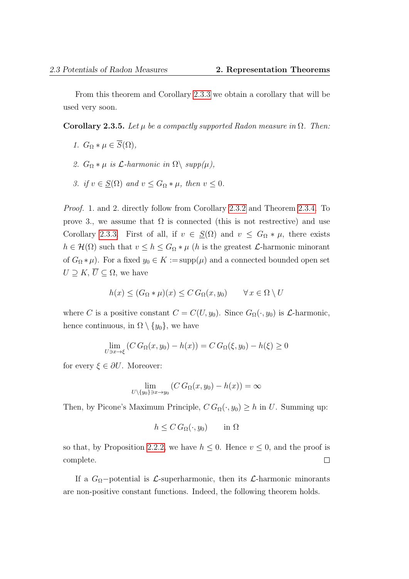From this theorem and Corollary [2.3.3](#page-34-0) we obtain a corollary that will be used very soon.

Corollary 2.3.5. Let  $\mu$  be a compactly supported Radon measure in  $\Omega$ . Then:

- 1.  $G_{\Omega} * \mu \in \overline{S}(\Omega)$ ,
- 2.  $G_{\Omega} * \mu$  is  $\mathcal{L}$ -harmonic in  $\Omega \backslash supp(\mu)$ ,
- 3. if  $v \in S(\Omega)$  and  $v \leq G_{\Omega} * \mu$ , then  $v \leq 0$ .

Proof. 1. and 2. directly follow from Corollary [2.3.2](#page-33-0) and Theorem [2.3.4.](#page-34-1) To prove 3., we assume that  $\Omega$  is connected (this is not restrective) and use Corollary [2.3.3.](#page-34-0) First of all, if  $v \in S(\Omega)$  and  $v \leq G_{\Omega} * \mu$ , there exists  $h \in \mathcal{H}(\Omega)$  such that  $v \leq h \leq G_{\Omega} * \mu$  (*h* is the greatest *L*-harmonic minorant of  $G_{\Omega} * \mu$ . For a fixed  $y_0 \in K := \text{supp}(\mu)$  and a connected bounded open set  $U \supseteq K$ ,  $\overline{U} \subseteq \Omega$ , we have

$$
h(x) \le (G_{\Omega} * \mu)(x) \le C G_{\Omega}(x, y_0) \qquad \forall x \in \Omega \setminus U
$$

where C is a positive constant  $C = C(U, y_0)$ . Since  $G_{\Omega}(\cdot, y_0)$  is  $\mathcal{L}$ -harmonic, hence continuous, in  $\Omega \setminus \{y_0\}$ , we have

$$
\lim_{U \ni x \to \xi} \left( C \, G_{\Omega}(x, y_0) - h(x) \right) = C \, G_{\Omega}(\xi, y_0) - h(\xi) \ge 0
$$

for every  $\xi \in \partial U$ . Moreover:

$$
\lim_{U \setminus \{y_0\} \ni x \to y_0} \left( C \, G_{\Omega}(x, y_0) - h(x) \right) = \infty
$$

Then, by Picone's Maximum Principle,  $CG_{\Omega}(\cdot, y_0) \geq h$  in U. Summing up:

$$
h \leq C G_{\Omega}(\cdot, y_0) \quad \text{in } \Omega
$$

so that, by Proposition [2.2.2,](#page-26-0) we have  $h \leq 0$ . Hence  $v \leq 0$ , and the proof is complete.  $\Box$ 

If a  $G_{\Omega}$ -potential is  $\mathcal{L}$ -superharmonic, then its  $\mathcal{L}$ -harmonic minorants are non-positive constant functions. Indeed, the following theorem holds.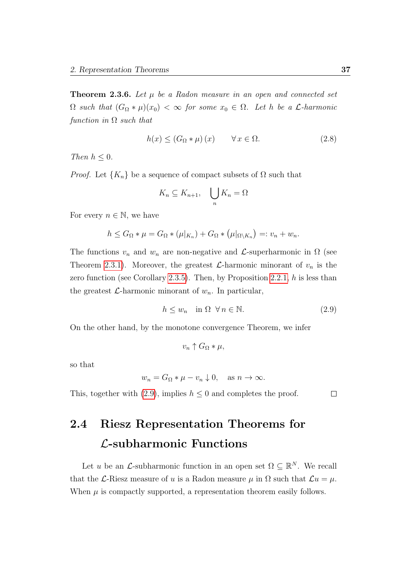**Theorem 2.3.6.** Let  $\mu$  be a Radon measure in an open and connected set  $\Omega$  such that  $(G_{\Omega} * \mu)(x_0) < \infty$  for some  $x_0 \in \Omega$ . Let h be a *L*-harmonic function in  $\Omega$  such that

<span id="page-36-1"></span>
$$
h(x) \le (G_{\Omega} * \mu)(x) \qquad \forall x \in \Omega.
$$
 (2.8)

Then  $h \leq 0$ .

*Proof.* Let  $\{K_n\}$  be a sequence of compact subsets of  $\Omega$  such that

$$
K_n \subseteq K_{n+1}, \quad \bigcup_n K_n = \Omega
$$

For every  $n \in \mathbb{N}$ , we have

$$
h \leq G_{\Omega} * \mu = G_{\Omega} * (\mu|_{K_n}) + G_{\Omega} * (\mu|_{\Omega \setminus K_n}) =: v_n + w_n.
$$

The functions  $v_n$  and  $w_n$  are non-negative and *L*-superharmonic in  $\Omega$  (see Theorem [2.3.1\)](#page-33-0). Moreover, the greatest  $\mathcal{L}$ -harmonic minorant of  $v_n$  is the zero function (see Corollary [2.3.5\)](#page-35-0). Then, by Proposition [2.2.1,](#page-25-0)  $h$  is less than the greatest  $\mathcal{L}$ -harmonic minorant of  $w_n$ . In particular,

$$
h \le w_n \quad \text{in } \Omega \quad \forall \, n \in \mathbb{N}.\tag{2.9}
$$

On the other hand, by the monotone convergence Theorem, we infer

<span id="page-36-0"></span>
$$
v_n \uparrow G_{\Omega} * \mu,
$$

so that

$$
w_n = G_{\Omega} * \mu - v_n \downarrow 0, \quad \text{as } n \to \infty.
$$

This, together with [\(2.9\)](#page-36-0), implies  $h \leq 0$  and completes the proof.

## 2.4 Riesz Representation Theorems for L-subharmonic Functions

Let u be an  $\mathcal{L}$ -subharmonic function in an open set  $\Omega \subseteq \mathbb{R}^N$ . We recall that the L-Riesz measure of u is a Radon measure  $\mu$  in  $\Omega$  such that  $\mathcal{L}u = \mu$ . When  $\mu$  is compactly supported, a representation theorem easily follows.

 $\Box$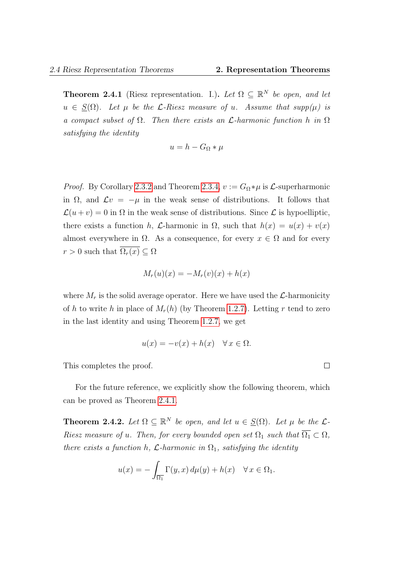<span id="page-37-0"></span>**Theorem 2.4.1** (Riesz representation. I.). Let  $\Omega \subseteq \mathbb{R}^N$  be open, and let  $u \in S(\Omega)$ . Let  $\mu$  be the *L*-Riesz measure of u. Assume that supp $(\mu)$  is a compact subset of  $\Omega$ . Then there exists an *L*-harmonic function h in  $\Omega$ satisfying the identity

$$
u = h - G_{\Omega} * \mu
$$

*Proof.* By Corollary [2.3.2](#page-33-1) and Theorem [2.3.4,](#page-34-0)  $v := G_{\Omega} * \mu$  is  $\mathcal{L}$ -superharmonic in  $\Omega$ , and  $\mathcal{L}v = -\mu$  in the weak sense of distributions. It follows that  $\mathcal{L}(u + v) = 0$  in  $\Omega$  in the weak sense of distributions. Since  $\mathcal{L}$  is hypoelliptic, there exists a function h, L-harmonic in  $\Omega$ , such that  $h(x) = u(x) + v(x)$ almost everywhere in  $\Omega$ . As a consequence, for every  $x \in \Omega$  and for every  $r > 0$  such that  $\Omega_r(x) \subseteq \Omega$ 

$$
M_r(u)(x) = -M_r(v)(x) + h(x)
$$

where  $M_r$  is the solid average operator. Here we have used the  $\mathcal{L}$ -harmonicity of h to write h in place of  $M_r(h)$  (by Theorem [1.2.7\)](#page-19-0). Letting r tend to zero in the last identity and using Theorem [1.2.7,](#page-19-0) we get

$$
u(x) = -v(x) + h(x) \quad \forall x \in \Omega.
$$

This completes the proof.

For the future reference, we explicitly show the following theorem, which can be proved as Theorem [2.4.1.](#page-37-0)

<span id="page-37-1"></span>**Theorem 2.4.2.** Let  $\Omega \subseteq \mathbb{R}^N$  be open, and let  $u \in \underline{S}(\Omega)$ . Let  $\mu$  be the  $\mathcal{L}$ -Riesz measure of u. Then, for every bounded open set  $\Omega_1$  such that  $\overline{\Omega_1} \subset \Omega$ , there exists a function h,  $\mathcal{L}$ -harmonic in  $\Omega_1$ , satisfying the identity

$$
u(x) = -\int_{\overline{\Omega_1}} \Gamma(y, x) \, d\mu(y) + h(x) \quad \forall \, x \in \Omega_1.
$$

 $\Box$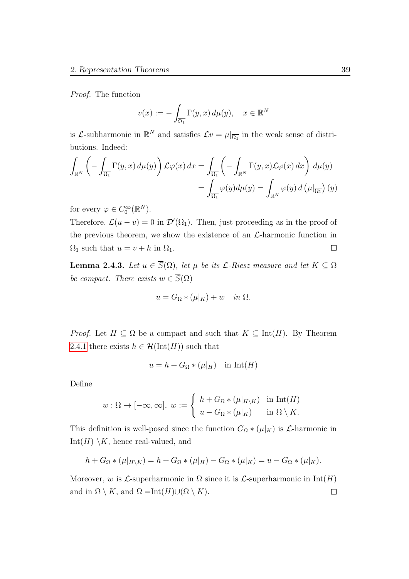Proof. The function

$$
v(x) := -\int_{\overline{\Omega_1}} \Gamma(y, x) \, d\mu(y), \quad x \in \mathbb{R}^N
$$

is  $\mathcal{L}$ -subharmonic in  $\mathbb{R}^N$  and satisfies  $\mathcal{L}v = \mu|_{\overline{\Omega_1}}$  in the weak sense of distributions. Indeed:

$$
\int_{\mathbb{R}^N} \left( -\int_{\overline{\Omega_1}} \Gamma(y, x) \, d\mu(y) \right) \mathcal{L}\varphi(x) \, dx = \int_{\overline{\Omega_1}} \left( -\int_{\mathbb{R}^N} \Gamma(y, x) \mathcal{L}\varphi(x) \, dx \right) \, d\mu(y) \\
= \int_{\overline{\Omega_1}} \varphi(y) d\mu(y) = \int_{\mathbb{R}^N} \varphi(y) \, d\left(\mu|_{\overline{\Omega_1}}\right)(y)
$$

for every  $\varphi \in C_0^{\infty}(\mathbb{R}^N)$ .

Therefore,  $\mathcal{L}(u - v) = 0$  in  $\mathcal{D}'(\Omega_1)$ . Then, just proceeding as in the proof of the previous theorem, we show the existence of an  $\mathcal{L}$ -harmonic function in  $\Omega_1$  such that  $u = v + h$  in  $\Omega_1$ .  $\Box$ 

<span id="page-38-0"></span>**Lemma 2.4.3.** Let  $u \in \overline{S}(\Omega)$ , let  $\mu$  be its  $\mathcal{L}\text{-}Riesz$  measure and let  $K \subseteq \Omega$ be compact. There exists  $w \in \overline{S}(\Omega)$ 

$$
u = G_{\Omega} * (\mu|_{K}) + w \quad in \ \Omega.
$$

*Proof.* Let  $H \subseteq \Omega$  be a compact and such that  $K \subseteq \text{Int}(H)$ . By Theorem [2.4.1](#page-37-0) there exists  $h \in \mathcal{H}(\text{Int}(H))$  such that

$$
u = h + G_{\Omega} * (\mu|_H) \quad \text{in Int}(H)
$$

Define

$$
w: \Omega \to [-\infty, \infty], \ w := \begin{cases} h + G_{\Omega} * (\mu|_{H \setminus K}) & \text{in} \ \text{Int}(H) \\ u - G_{\Omega} * (\mu|_{K}) & \text{in} \ \Omega \setminus K. \end{cases}
$$

This definition is well-posed since the function  $G_{\Omega} * (\mu|_{K})$  is  $\mathcal{L}$ -harmonic in Int $(H) \setminus K$ , hence real-valued, and

$$
h + G_{\Omega} * (\mu|_{H \setminus K}) = h + G_{\Omega} * (\mu|_{H}) - G_{\Omega} * (\mu|_{K}) = u - G_{\Omega} * (\mu|_{K}).
$$

Moreover, w is L-superharmonic in  $\Omega$  since it is L-superharmonic in  $Int(H)$ and in  $\Omega \setminus K$ , and  $\Omega = \text{Int}(H) \cup (\Omega \setminus K)$ .  $\Box$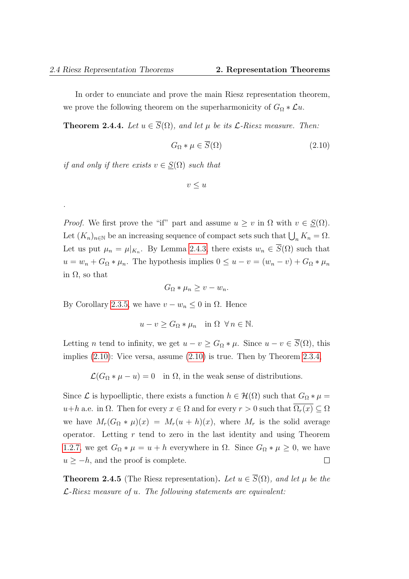.

In order to enunciate and prove the main Riesz representation theorem, we prove the following theorem on the superharmonicity of  $G_{\Omega} * \mathcal{L}u$ .

**Theorem 2.4.4.** Let  $u \in \overline{S}(\Omega)$ , and let  $\mu$  be its  $\mathcal{L}\text{-}Riesz$  measure. Then:

$$
G_{\Omega} * \mu \in \overline{S}(\Omega) \tag{2.10}
$$

if and only if there exists  $v \in S(\Omega)$  such that

<span id="page-39-0"></span>
$$
v\leq u
$$

*Proof.* We first prove the "if" part and assume  $u \geq v$  in  $\Omega$  with  $v \in \underline{S}(\Omega)$ . Let  $(K_n)_{n\in\mathbb{N}}$  be an increasing sequence of compact sets such that  $\bigcup_n K_n = \Omega$ . Let us put  $\mu_n = \mu|_{K_n}$ . By Lemma [2.4.3,](#page-38-0) there exists  $w_n \in S(\Omega)$  such that  $u = w_n + G_\Omega * \mu_n$ . The hypothesis implies  $0 \le u - v = (w_n - v) + G_\Omega * \mu_n$ in  $\Omega$ , so that

$$
G_{\Omega} * \mu_n \ge v - w_n.
$$

By Corollary [2.3.5,](#page-35-0) we have  $v - w_n \leq 0$  in  $\Omega$ . Hence

$$
u - v \ge G_{\Omega} * \mu_n \quad \text{in } \Omega \ \ \forall n \in \mathbb{N}.
$$

Letting *n* tend to infinity, we get  $u - v \geq G_{\Omega} * \mu$ . Since  $u - v \in \overline{S}(\Omega)$ , this implies [\(2.10\)](#page-39-0): Vice versa, assume [\(2.10\)](#page-39-0) is true. Then by Theorem [2.3.4,](#page-34-0)

 $\mathcal{L}(G_{\Omega} * \mu - u) = 0$  in  $\Omega$ , in the weak sense of distributions.

Since  $\mathcal L$  is hypoelliptic, there exists a function  $h \in \mathcal H(\Omega)$  such that  $G_{\Omega} * \mu =$  $u+h$  a.e. in  $\Omega$ . Then for every  $x \in \Omega$  and for every  $r > 0$  such that  $\Omega_r(x) \subseteq \Omega$ we have  $M_r(G_\Omega * \mu)(x) = M_r(u+h)(x)$ , where  $M_r$  is the solid average operator. Letting  $r$  tend to zero in the last identity and using Theorem [1.2.7,](#page-19-0) we get  $G_{\Omega} * \mu = u + h$  everywhere in  $\Omega$ . Since  $G_{\Omega} * \mu \geq 0$ , we have  $u \geq -h$ , and the proof is complete.  $\Box$ 

**Theorem 2.4.5** (The Riesz representation). Let  $u \in \overline{S}(\Omega)$ , and let  $\mu$  be the  $\mathcal{L}\text{-}Riesz$  measure of u. The following statements are equivalent: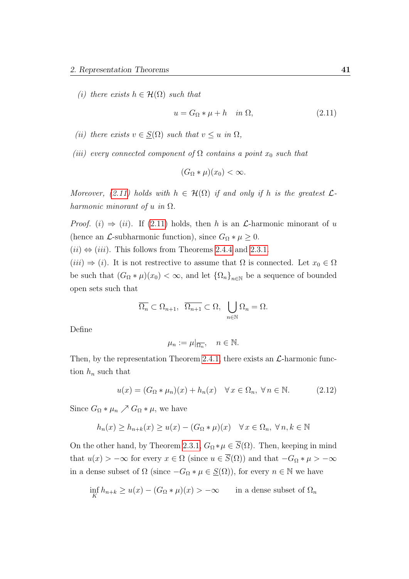(i) there exists  $h \in \mathcal{H}(\Omega)$  such that

<span id="page-40-0"></span>
$$
u = G_{\Omega} * \mu + h \quad \text{in } \Omega,\tag{2.11}
$$

- (ii) there exists  $v \in \underline{S}(\Omega)$  such that  $v \leq u$  in  $\Omega$ ,
- (iii) every connected component of  $\Omega$  contains a point  $x_0$  such that

$$
(G_{\Omega} * \mu)(x_0) < \infty.
$$

Moreover, [\(2.11\)](#page-40-0) holds with  $h \in \mathcal{H}(\Omega)$  if and only if h is the greatest  $\mathcal{L}$ harmonic minorant of u in  $\Omega$ .

*Proof.* (i)  $\Rightarrow$  (ii). If [\(2.11\)](#page-40-0) holds, then h is an L-harmonic minorant of u (hence an  $\mathcal{L}$ -subharmonic function), since  $G_{\Omega} * \mu \geq 0$ .

 $(ii) \Leftrightarrow (iii)$ . This follows from Theorems [2.4.4](#page-39-0) and [2.3.1.](#page-33-0)

 $(iii) \Rightarrow (i)$ . It is not restrective to assume that  $\Omega$  is connected. Let  $x_0 \in \Omega$ be such that  $(G_{\Omega} * \mu)(x_0) < \infty$ , and let  $\{\Omega_n\}_{n \in \mathbb{N}}$  be a sequence of bounded open sets such that

$$
\overline{\Omega_n} \subset \Omega_{n+1}, \ \overline{\Omega_{n+1}} \subset \Omega, \ \bigcup_{n \in \mathbb{N}} \Omega_n = \Omega.
$$

Define

$$
\mu_n := \mu|_{\overline{\Omega_n}}, \quad n \in \mathbb{N}.
$$

Then, by the representation Theorem [2.4.1,](#page-37-0) there exists an  $\mathcal{L}$ -harmonic function  $h_n$  such that

<span id="page-40-1"></span>
$$
u(x) = (G_{\Omega} * \mu_n)(x) + h_n(x) \quad \forall x \in \Omega_n, \ \forall n \in \mathbb{N}.
$$
 (2.12)

Since  $G_{\Omega} * \mu_n \nearrow G_{\Omega} * \mu$ , we have

$$
h_n(x) \ge h_{n+k}(x) \ge u(x) - (G_{\Omega} * \mu)(x) \quad \forall x \in \Omega_n, \ \forall n, k \in \mathbb{N}
$$

On the other hand, by Theorem [2.3.1,](#page-33-0)  $G_{\Omega} * \mu \in \overline{S}(\Omega)$ . Then, keeping in mind that  $u(x) > -\infty$  for every  $x \in \Omega$  (since  $u \in \overline{S}(\Omega)$ ) and that  $-G_{\Omega} * \mu > -\infty$ in a dense subset of  $\Omega$  (since  $-G_{\Omega} * \mu \in \underline{S}(\Omega)$ ), for every  $n \in \mathbb{N}$  we have

$$
\inf_{K} h_{n+k} \ge u(x) - (G_{\Omega} * \mu)(x) > -\infty \quad \text{in a dense subset of } \Omega_n
$$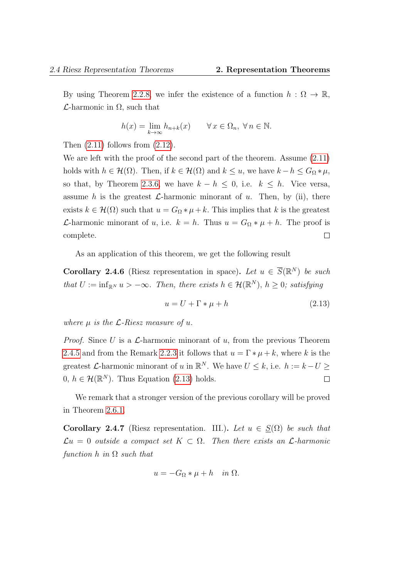By using Theorem [2.2.8,](#page-28-0) we infer the existence of a function  $h : \Omega \to \mathbb{R}$ ,  $\mathcal{L}$ -harmonic in  $\Omega$ , such that

$$
h(x) = \lim_{k \to \infty} h_{n+k}(x) \qquad \forall x \in \Omega_n, \ \forall n \in \mathbb{N}.
$$

Then  $(2.11)$  follows from  $(2.12)$ .

We are left with the proof of the second part of the theorem. Assume  $(2.11)$ holds with  $h \in \mathcal{H}(\Omega)$ . Then, if  $k \in \mathcal{H}(\Omega)$  and  $k \leq u$ , we have  $k - h \leq G_{\Omega} * \mu$ , so that, by Theorem [2.3.6,](#page-36-1) we have  $k - h \leq 0$ , i.e.  $k \leq h$ . Vice versa, assume h is the greatest  $\mathcal{L}$ -harmonic minorant of u. Then, by (ii), there exists  $k \in \mathcal{H}(\Omega)$  such that  $u = G_{\Omega} * \mu + k$ . This implies that k is the greatest *L*-harmonic minorant of *u*, i.e. *k* = *h*. Thus *u* =  $G_Ω * μ + h$ . The proof is complete.  $\Box$ 

As an application of this theorem, we get the following result

**Corollary 2.4.6** (Riesz representation in space). Let  $u \in \overline{S}(\mathbb{R}^N)$  be such that  $U := \inf_{\mathbb{R}^N} u > -\infty$ . Then, there exists  $h \in \mathcal{H}(\mathbb{R}^N)$ ,  $h \geq 0$ ; satisfying

<span id="page-41-0"></span>
$$
u = U + \Gamma * \mu + h \tag{2.13}
$$

where  $\mu$  is the  $\mathcal{L}\text{-}Riesz$  measure of u.

*Proof.* Since U is a  $\mathcal{L}$ -harmonic minorant of u, from the previous Theorem [2.4.5](#page-40-0) and from the Remark [2.2.3](#page-26-0) it follows that  $u = \Gamma * \mu + k$ , where k is the greatest *L*-harmonic minorant of u in  $\mathbb{R}^N$ . We have  $U \leq k$ , i.e.  $h := k - U \geq$  $0, h \in \mathcal{H}(\mathbb{R}^N)$ . Thus Equation [\(2.13\)](#page-41-0) holds.  $\Box$ 

We remark that a stronger version of the previous corollary will be proved in Theorem [2.6.1.](#page-46-0)

**Corollary 2.4.7** (Riesz representation. III.). Let  $u \in S(\Omega)$  be such that  $\mathcal{L}u = 0$  outside a compact set  $K \subset \Omega$ . Then there exists an  $\mathcal{L}$ -harmonic function h in  $\Omega$  such that

$$
u = -G_{\Omega} * \mu + h \quad in \ \Omega.
$$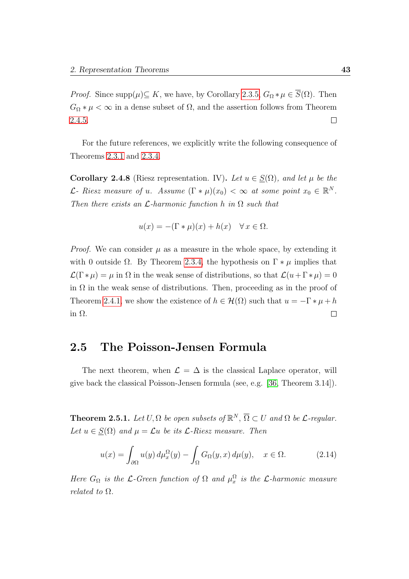*Proof.* Since  $\text{supp}(\mu) \subseteq K$ , we have, by Corollary [2.3.5,](#page-35-0)  $G_{\Omega} * \mu \in \overline{S}(\Omega)$ . Then  $G_{\Omega} * \mu < \infty$  in a dense subset of  $\Omega$ , and the assertion follows from Theorem [2.4.5.](#page-40-0)  $\Box$ 

For the future references, we explicitly write the following consequence of Theorems [2.3.1](#page-33-0) and [2.3.4.](#page-34-0)

**Corollary 2.4.8** (Riesz representation. IV). Let  $u \in S(\Omega)$ , and let  $\mu$  be the L- Riesz measure of u. Assume  $(\Gamma * \mu)(x_0) < \infty$  at some point  $x_0 \in \mathbb{R}^N$ . Then there exists an  $\mathcal{L}$ -harmonic function h in  $\Omega$  such that

$$
u(x) = -(\Gamma * \mu)(x) + h(x) \quad \forall x \in \Omega.
$$

*Proof.* We can consider  $\mu$  as a measure in the whole space, by extending it with 0 outside  $\Omega$ . By Theorem [2.3.4,](#page-34-0) the hypothesis on  $\Gamma * \mu$  implies that  $\mathcal{L}(\Gamma * \mu) = \mu$  in  $\Omega$  in the weak sense of distributions, so that  $\mathcal{L}(u + \Gamma * \mu) = 0$ in  $\Omega$  in the weak sense of distributions. Then, proceeding as in the proof of Theorem [2.4.1,](#page-37-0) we show the existence of  $h \in \mathcal{H}(\Omega)$  such that  $u = -\Gamma * \mu + h$ in Ω.  $\Box$ 

### 2.5 The Poisson-Jensen Formula

The next theorem, when  $\mathcal{L} = \Delta$  is the classical Laplace operator, will give back the classical Poisson-Jensen formula (see, e.g. [\[36,](#page-125-0) Theorem 3.14]).

**Theorem 2.5.1.** Let  $U, \Omega$  be open subsets of  $\mathbb{R}^N$ ,  $\overline{\Omega} \subset U$  and  $\Omega$  be  $\mathcal{L}$ -regular. Let  $u \in S(\Omega)$  and  $\mu = \mathcal{L}u$  be its  $\mathcal{L}$ -Riesz measure. Then

<span id="page-42-0"></span>
$$
u(x) = \int_{\partial\Omega} u(y) d\mu_x^{\Omega}(y) - \int_{\Omega} G_{\Omega}(y, x) d\mu(y), \quad x \in \Omega.
$$
 (2.14)

Here  $G_{\Omega}$  is the L-Green function of  $\Omega$  and  $\mu_x^{\Omega}$  is the L-harmonic measure related to  $\Omega$ .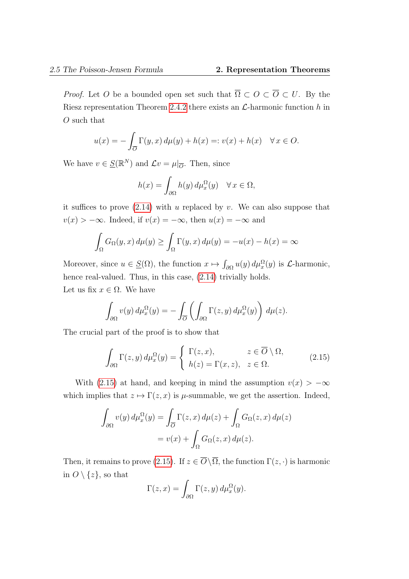*Proof.* Let O be a bounded open set such that  $\overline{\Omega} \subset O \subset \overline{O} \subset U$ . By the Riesz representation Theorem [2.4.2](#page-37-1) there exists an  $\mathcal{L}$ -harmonic function h in O such that

$$
u(x) = -\int_{\overline{O}} \Gamma(y, x) d\mu(y) + h(x) =: v(x) + h(x) \quad \forall x \in O.
$$

We have  $v \in \underline{S}(\mathbb{R}^N)$  and  $\mathcal{L}v = \mu|_{\overline{O}}$ . Then, since

$$
h(x) = \int_{\partial\Omega} h(y) \, d\mu_x^{\Omega}(y) \quad \forall \, x \in \Omega,
$$

it suffices to prove  $(2.14)$  with u replaced by v. We can also suppose that  $v(x) > -\infty$ . Indeed, if  $v(x) = -\infty$ , then  $u(x) = -\infty$  and

$$
\int_{\Omega} G_{\Omega}(y, x) d\mu(y) \ge \int_{\Omega} \Gamma(y, x) d\mu(y) = -u(x) - h(x) = \infty
$$

Moreover, since  $u \in \underline{S}(\Omega)$ , the function  $x \mapsto \int_{\partial \Omega} u(y) d\mu_x^{\Omega}(y)$  is  $\mathcal{L}$ -harmonic, hence real-valued. Thus, in this case,  $(2.14)$  trivially holds. Let us fix  $x \in \Omega$ . We have

<span id="page-43-0"></span>
$$
\int_{\partial\Omega} v(y) d\mu_x^{\Omega}(y) = -\int_{\overline{O}} \left( \int_{\partial\Omega} \Gamma(z, y) d\mu_x^{\Omega}(y) \right) d\mu(z).
$$

The crucial part of the proof is to show that

$$
\int_{\partial\Omega} \Gamma(z, y) d\mu_x^{\Omega}(y) = \begin{cases} \Gamma(z, x), & z \in \overline{O} \setminus \Omega, \\ h(z) = \Gamma(x, z), & z \in \Omega. \end{cases}
$$
(2.15)

With [\(2.15\)](#page-43-0) at hand, and keeping in mind the assumption  $v(x) > -\infty$ which implies that  $z \mapsto \Gamma(z, x)$  is  $\mu$ -summable, we get the assertion. Indeed,

$$
\int_{\partial\Omega} v(y) d\mu_x^{\Omega}(y) = \int_{\overline{O}} \Gamma(z, x) d\mu(z) + \int_{\Omega} G_{\Omega}(z, x) d\mu(z)
$$

$$
= v(x) + \int_{\Omega} G_{\Omega}(z, x) d\mu(z).
$$

Then, it remains to prove [\(2.15\)](#page-43-0). If  $z \in \overline{O} \setminus \overline{\Omega}$ , the function  $\Gamma(z, \cdot)$  is harmonic in  $O \setminus \{z\}$ , so that

$$
\Gamma(z,x) = \int_{\partial\Omega} \Gamma(z,y) \, d\mu_x^{\Omega}(y).
$$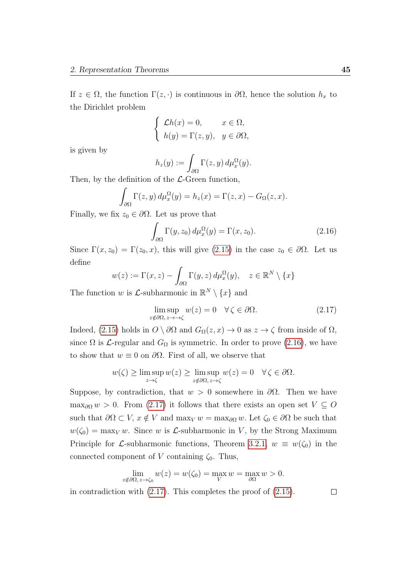If  $z \in \Omega$ , the function  $\Gamma(z, \cdot)$  is continuous in  $\partial \Omega$ , hence the solution  $h_x$  to the Dirichlet problem

$$
\begin{cases}\n\mathcal{L}h(x) = 0, & x \in \Omega, \\
h(y) = \Gamma(z, y), & y \in \partial\Omega,\n\end{cases}
$$

is given by

$$
h_z(y) := \int_{\partial\Omega} \Gamma(z, y) \, d\mu_x^{\Omega}(y).
$$

Then, by the definition of the  $\mathcal{L}\text{-Green}$  function,

$$
\int_{\partial\Omega} \Gamma(z, y) d\mu_x^{\Omega}(y) = h_z(x) = \Gamma(z, x) - G_{\Omega}(z, x).
$$

Finally, we fix  $z_0 \in \partial \Omega$ . Let us prove that

<span id="page-44-0"></span>
$$
\int_{\partial\Omega} \Gamma(y, z_0) d\mu_x^{\Omega}(y) = \Gamma(x, z_0).
$$
 (2.16)

Since  $\Gamma(x, z_0) = \Gamma(z_0, x)$ , this will give [\(2.15\)](#page-43-0) in the case  $z_0 \in \partial \Omega$ . Let us define

$$
w(z) := \Gamma(x, z) - \int_{\partial\Omega} \Gamma(y, z) d\mu_x^{\Omega}(y), \quad z \in \mathbb{R}^N \setminus \{x\}
$$

The function w is  $\mathcal{L}$ -subharmonic in  $\mathbb{R}^N \setminus \{x\}$  and

<span id="page-44-1"></span>
$$
\limsup_{z \notin \partial \Omega, z \to \to \zeta} w(z) = 0 \quad \forall \zeta \in \partial \Omega.
$$
\n(2.17)

Indeed, [\(2.15\)](#page-43-0) holds in  $O \setminus \partial\Omega$  and  $G_{\Omega}(z, x) \to 0$  as  $z \to \zeta$  from inside of  $\Omega$ , since  $\Omega$  is  $\mathcal{L}$ -regular and  $G_{\Omega}$  is symmetric. In order to prove [\(2.16\)](#page-44-0), we have to show that  $w \equiv 0$  on  $\partial\Omega$ . First of all, we observe that

$$
w(\zeta) \ge \limsup_{z \to \zeta} w(z) \ge \limsup_{z \notin \partial \Omega, z \to \zeta} w(z) = 0 \quad \forall \zeta \in \partial \Omega.
$$

Suppose, by contradiction, that  $w > 0$  somewhere in  $\partial \Omega$ . Then we have max<sub>∂Ω</sub> w > 0. From [\(2.17\)](#page-44-1) it follows that there exists an open set  $V \subseteq O$ such that  $\partial\Omega \subset V$ ,  $x \notin V$  and  $\max_{V} w = \max_{\partial\Omega} w$ . Let  $\zeta_0 \in \partial\Omega$  be such that  $w(\zeta_0) = \max_V w$ . Since w is *L*-subharmonic in *V*, by the Strong Maximum Principle for L-subharmonic functions, Theorem [3.2.1,](#page-58-0)  $w \equiv w(\zeta_0)$  in the connected component of V containing  $\zeta_0$ . Thus,

$$
\lim_{z \notin \partial \Omega, z \to \zeta_0} w(z) = w(\zeta_0) = \max_V w = \max_{\partial \Omega} w > 0.
$$

in contradiction with [\(2.17\)](#page-44-1). This completes the proof of [\(2.15\)](#page-43-0).

 $\Box$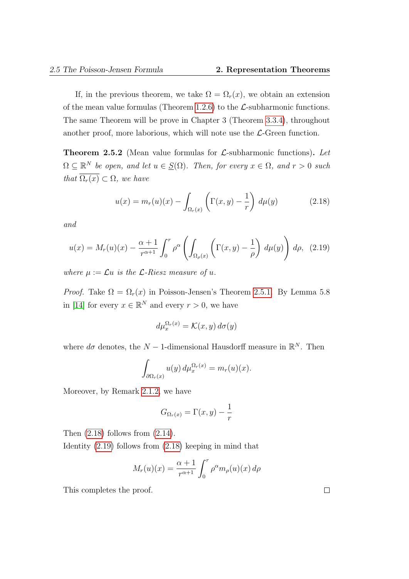If, in the previous theorem, we take  $\Omega = \Omega_r(x)$ , we obtain an extension of the mean value formulas (Theorem [1.2.6\)](#page-18-0) to the  $\mathcal{L}$ -subharmonic functions. The same Theorem will be prove in Chapter 3 (Theorem [3.3.4\)](#page-62-0), throughout another proof, more laborious, which will note use the  $\mathcal{L}\text{-Green function.}$ 

**Theorem 2.5.2** (Mean value formulas for  $\mathcal{L}$ -subharmonic functions). Let  $\Omega \subseteq \mathbb{R}^N$  be open, and let  $u \in \underline{S}(\Omega)$ . Then, for every  $x \in \Omega$ , and  $r > 0$  such that  $\overline{\Omega_r(x)} \subset \Omega$ , we have

<span id="page-45-0"></span>
$$
u(x) = m_r(u)(x) - \int_{\Omega_r(x)} \left( \Gamma(x, y) - \frac{1}{r} \right) d\mu(y) \tag{2.18}
$$

<span id="page-45-1"></span>and

$$
u(x) = M_r(u)(x) - \frac{\alpha+1}{r^{\alpha+1}} \int_0^r \rho^{\alpha} \left( \int_{\Omega_{\rho}(x)} \left( \Gamma(x, y) - \frac{1}{\rho} \right) d\mu(y) \right) d\rho, \tag{2.19}
$$

where  $\mu := \mathcal{L}u$  is the  $\mathcal{L}\text{-}Riesz$  measure of u.

*Proof.* Take  $\Omega = \Omega_r(x)$  in Poisson-Jensen's Theorem [2.5.1.](#page-42-0) By Lemma 5.8 in [\[14\]](#page-123-0) for every  $x \in \mathbb{R}^N$  and every  $r > 0$ , we have

$$
d\mu_x^{\Omega_r(x)} = \mathcal{K}(x, y) d\sigma(y)
$$

where  $d\sigma$  denotes, the  $N-1$ -dimensional Hausdorff measure in  $\mathbb{R}^N$ . Then

$$
\int_{\partial\Omega_r(x)} u(y) d\mu_x^{\Omega_r(x)} = m_r(u)(x).
$$

Moreover, by Remark [2.1.2,](#page-25-1) we have

$$
G_{\Omega_r(x)} = \Gamma(x, y) - \frac{1}{r}
$$

Then  $(2.18)$  follows from  $(2.14)$ .

Identity [\(2.19\)](#page-45-1) follows from [\(2.18\)](#page-45-0) keeping in mind that

$$
M_r(u)(x) = \frac{\alpha+1}{r^{\alpha+1}} \int_0^r \rho^{\alpha} m_{\rho}(u)(x) d\rho
$$

This completes the proof.

 $\Box$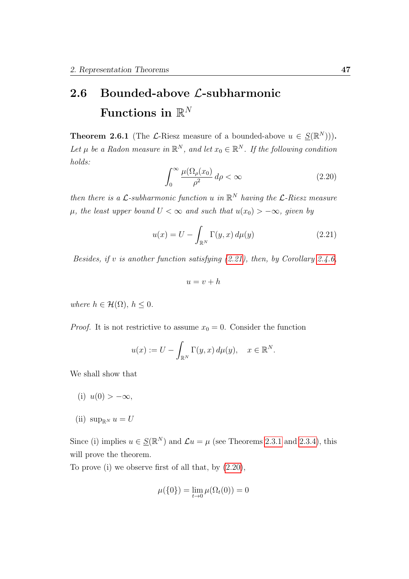## 2.6 Bounded-above L-subharmonic Functions in  $\mathbb{R}^N$

<span id="page-46-1"></span>**Theorem 2.6.1** (The L-Riesz measure of a bounded-above  $u \in \underline{S}(\mathbb{R}^N)$ ). Let  $\mu$  be a Radon measure in  $\mathbb{R}^N$ , and let  $x_0 \in \mathbb{R}^N$ . If the following condition holds:

$$
\int_0^\infty \frac{\mu(\Omega_\rho(x_0))}{\rho^2} \, d\rho < \infty \tag{2.20}
$$

then there is a L-subharmonic function u in  $\mathbb{R}^N$  having the L-Riesz measure  $\mu$ , the least upper bound  $U < \infty$  and such that  $u(x_0) > -\infty$ , given by

$$
u(x) = U - \int_{\mathbb{R}^N} \Gamma(y, x) d\mu(y) \qquad (2.21)
$$

Besides, if v is another function satisfying  $(2.21)$ , then, by Corollary [2.4.6,](#page-41-0)

<span id="page-46-0"></span>
$$
u = v + h
$$

where  $h \in \mathcal{H}(\Omega)$ ,  $h \leq 0$ .

*Proof.* It is not restrictive to assume  $x_0 = 0$ . Consider the function

$$
u(x) := U - \int_{\mathbb{R}^N} \Gamma(y, x) \, d\mu(y), \quad x \in \mathbb{R}^N.
$$

We shall show that

- (i)  $u(0) > -\infty$ ,
- (ii)  $\sup_{\mathbb{R}^N} u = U$

Since (i) implies  $u \in \underline{S}(\mathbb{R}^N)$  and  $\mathcal{L}u = \mu$  (see Theorems [2.3.1](#page-33-0) and [2.3.4\)](#page-34-0), this will prove the theorem.

To prove (i) we observe first of all that, by [\(2.20\)](#page-46-1),

$$
\mu({0}) = \lim_{t \to 0} \mu(\Omega_t(0)) = 0
$$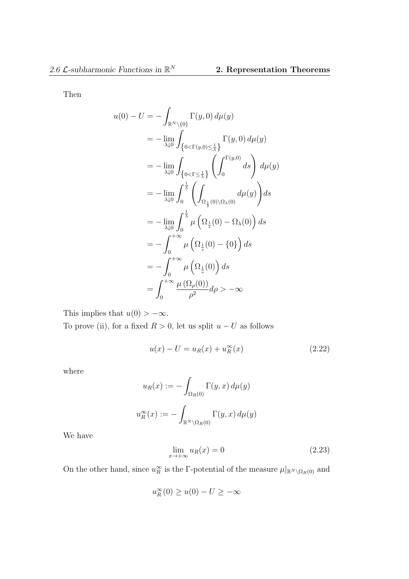Then

$$
u(0) - U = -\int_{\mathbb{R}^N \setminus \{0\}} \Gamma(y,0) d\mu(y)
$$
  
\n
$$
= -\lim_{\lambda \downarrow 0} \int_{\{0 < \Gamma(y,0) \le \frac{1}{\lambda}\}} \Gamma(y,0) d\mu(y)
$$
  
\n
$$
= -\lim_{\lambda \downarrow 0} \int_{\{0 < \Gamma \le \frac{1}{\lambda}\}} \left( \int_0^{\Gamma(y,0)} ds \right) d\mu(y)
$$
  
\n
$$
= -\lim_{\lambda \downarrow 0} \int_0^{\frac{1}{\lambda}} \left( \int_{\Omega_{\frac{1}{s}}(0) \setminus \Omega_{\lambda}(0)} d\mu(y) \right) ds
$$
  
\n
$$
= -\lim_{\lambda \downarrow 0} \int_0^{\frac{1}{\lambda}} \mu \left( \Omega_{\frac{1}{s}}(0) - \Omega_{\lambda}(0) \right) ds
$$
  
\n
$$
= -\int_0^{+\infty} \mu \left( \Omega_{\frac{1}{s}}(0) - \{0\} \right) ds
$$
  
\n
$$
= -\int_0^{+\infty} \mu \left( \Omega_{\frac{1}{s}}(0) \right) ds
$$
  
\n
$$
= \int_0^{+\infty} \frac{\mu(\Omega_{\rho}(0))}{\rho^2} d\rho > -\infty
$$

This implies that  $u(0) > -\infty$ .

To prove (ii), for a fixed  $R > 0$ , let us split  $u - U$  as follows

<span id="page-47-0"></span>
$$
u(x) - U = u_R(x) + u_R^{\infty}(x)
$$
 (2.22)

where

$$
u_R(x) := -\int_{\Omega_R(0)} \Gamma(y, x) d\mu(y)
$$

$$
u_R^{\infty}(x) := -\int_{\mathbb{R}^N \setminus \Omega_R(0)} \Gamma(y, x) d\mu(y)
$$

We have

$$
\lim_{x \to +\infty} u_R(x) = 0 \tag{2.23}
$$

On the other hand, since  $u_R^{\infty}$  is the Γ-potential of the measure  $\mu|_{\mathbb{R}^N \setminus \Omega_R(0)}$  and

$$
u^{\infty}_R(0) \geq u(0) - U \geq -\infty
$$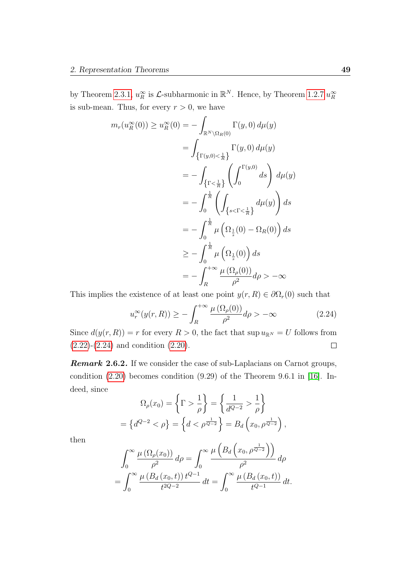by Theorem [2.3.1,](#page-33-0)  $u_R^{\infty}$  is  $\mathcal{L}$ -subharmonic in  $\mathbb{R}^N$ . Hence, by Theorem [1.2.7](#page-19-0)  $u_R^{\infty}$ is sub-mean. Thus, for every  $r > 0$ , we have

$$
m_r(u_R^{\infty}(0)) \ge u_R^{\infty}(0) = -\int_{\mathbb{R}^N \setminus \Omega_R(0)} \Gamma(y,0) d\mu(y)
$$
  
\n
$$
= \int_{\{\Gamma(y,0) < \frac{1}{R}\}} \Gamma(y,0) d\mu(y)
$$
  
\n
$$
= -\int_{\{\Gamma < \frac{1}{R}\}} \left(\int_0^{\Gamma(y,0)} ds\right) d\mu(y)
$$
  
\n
$$
= -\int_0^{\frac{1}{R}} \left(\int_{\{s < \Gamma < \frac{1}{R}\}} d\mu(y)\right) ds
$$
  
\n
$$
= -\int_0^{\frac{1}{R}} \mu\left(\Omega_{\frac{1}{s}}(0) - \Omega_R(0)\right) ds
$$
  
\n
$$
\ge -\int_0^{\frac{1}{R}} \mu\left(\Omega_{\frac{1}{s}}(0)\right) ds
$$
  
\n
$$
= -\int_R^{+\infty} \frac{\mu\left(\Omega_\rho(0)\right)}{\rho^2} d\rho > -\infty
$$

This implies the existence of at least one point  $y(r, R) \in \partial \Omega_r(0)$  such that

<span id="page-48-0"></span>
$$
u_r^{\infty}(y(r,R)) \ge -\int_R^{+\infty} \frac{\mu(\Omega_\rho(0))}{\rho^2} d\rho > -\infty
$$
 (2.24)

Since  $d(y(r, R)) = r$  for every  $R > 0$ , the fact that sup  $u_{\mathbb{R}^N} = U$  follows from  $(2.22)-(2.24)$  $(2.22)-(2.24)$  $(2.22)-(2.24)$  and condition  $(2.20)$ .  $\Box$ 

Remark 2.6.2. If we consider the case of sub-Laplacians on Carnot groups, condition  $(2.20)$  becomes condition  $(9.29)$  of the Theorem 9.6.1 in [\[16\]](#page-123-1). Indeed, since

$$
\Omega_{\rho}(x_0) = \left\{ \Gamma > \frac{1}{\rho} \right\} = \left\{ \frac{1}{d^{Q-2}} > \frac{1}{\rho} \right\}
$$

$$
= \left\{ d^{Q-2} < \rho \right\} = \left\{ d < \rho^{\frac{1}{Q-2}} \right\} = B_d \left( x_0, \rho^{\frac{1}{Q-2}} \right),
$$

then

$$
\int_0^\infty \frac{\mu(\Omega_\rho(x_0))}{\rho^2} d\rho = \int_0^\infty \frac{\mu\left(B_d\left(x_0, \rho^{\frac{1}{Q-2}}\right)\right)}{\rho^2} d\rho
$$
  
= 
$$
\int_0^\infty \frac{\mu(B_d(x_0, t)) t^{Q-1}}{t^{2Q-2}} dt = \int_0^\infty \frac{\mu(B_d(x_0, t))}{t^{Q-1}} dt.
$$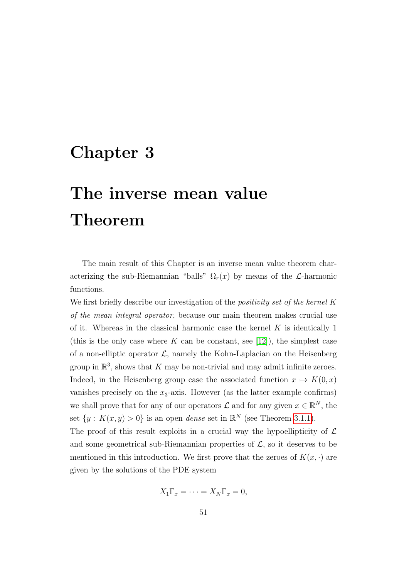## Chapter 3

# The inverse mean value Theorem

The main result of this Chapter is an inverse mean value theorem characterizing the sub-Riemannian "balls"  $\Omega_r(x)$  by means of the *L*-harmonic functions.

We first briefly describe our investigation of the *positivity set of the kernel K* of the mean integral operator, because our main theorem makes crucial use of it. Whereas in the classical harmonic case the kernel  $K$  is identically 1 (this is the only case where  $K$  can be constant, see [\[12\]](#page-123-2)), the simplest case of a non-elliptic operator  $\mathcal{L}$ , namely the Kohn-Laplacian on the Heisenberg group in  $\mathbb{R}^3$ , shows that K may be non-trivial and may admit infinite zeroes. Indeed, in the Heisenberg group case the associated function  $x \mapsto K(0, x)$ vanishes precisely on the  $x_3$ -axis. However (as the latter example confirms) we shall prove that for any of our operators  $\mathcal L$  and for any given  $x \in \mathbb R^N$ , the set  $\{y: K(x, y) > 0\}$  is an open *dense* set in  $\mathbb{R}^N$  (see Theorem [3.1.1\)](#page-54-0).

The proof of this result exploits in a crucial way the hypoellipticity of  $\mathcal L$ and some geometrical sub-Riemannian properties of  $\mathcal{L}$ , so it deserves to be mentioned in this introduction. We first prove that the zeroes of  $K(x, \cdot)$  are given by the solutions of the PDE system

$$
X_1\Gamma_x=\cdots=X_N\Gamma_x=0,
$$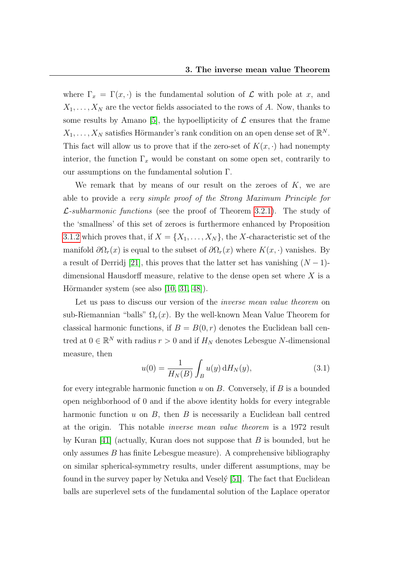where  $\Gamma_x = \Gamma(x, \cdot)$  is the fundamental solution of  $\mathcal L$  with pole at x, and  $X_1, \ldots, X_N$  are the vector fields associated to the rows of A. Now, thanks to some results by Amano [\[5\]](#page-122-0), the hypoellipticity of  $\mathcal L$  ensures that the frame  $X_1, \ldots, X_N$  satisfies Hörmander's rank condition on an open dense set of  $\mathbb{R}^N$ . This fact will allow us to prove that if the zero-set of  $K(x, \cdot)$  had nonempty interior, the function  $\Gamma_x$  would be constant on some open set, contrarily to our assumptions on the fundamental solution Γ.

We remark that by means of our result on the zeroes of  $K$ , we are able to provide a very simple proof of the Strong Maximum Principle for  $\mathcal{L}\text{-subharmonic functions}$  (see the proof of Theorem [3.2.1\)](#page-58-0). The study of the 'smallness' of this set of zeroes is furthermore enhanced by Proposition [3.1.2](#page-56-0) which proves that, if  $X = \{X_1, \ldots, X_N\}$ , the X-characteristic set of the manifold  $\partial\Omega_r(x)$  is equal to the subset of  $\partial\Omega_r(x)$  where  $K(x, \cdot)$  vanishes. By a result of Derridj [\[21\]](#page-124-0), this proves that the latter set has vanishing  $(N-1)$ dimensional Hausdorff measure, relative to the dense open set where  $X$  is a Hörmander system (see also  $[10, 31, 48]$  $[10, 31, 48]$  $[10, 31, 48]$ ).

Let us pass to discuss our version of the *inverse mean value theorem* on sub-Riemannian "balls"  $\Omega_r(x)$ . By the well-known Mean Value Theorem for classical harmonic functions, if  $B = B(0, r)$  denotes the Euclidean ball centred at  $0 \in \mathbb{R}^N$  with radius  $r > 0$  and if  $H_N$  denotes Lebesgue N-dimensional measure, then

<span id="page-51-0"></span>
$$
u(0) = \frac{1}{H_N(B)} \int_B u(y) \, dH_N(y), \tag{3.1}
$$

for every integrable harmonic function u on  $B$ . Conversely, if  $B$  is a bounded open neighborhood of 0 and if the above identity holds for every integrable harmonic function u on  $B$ , then  $B$  is necessarily a Euclidean ball centred at the origin. This notable inverse mean value theorem is a 1972 result by Kuran  $[41]$  (actually, Kuran does not suppose that B is bounded, but he only assumes  $B$  has finite Lebesgue measure). A comprehensive bibliography on similar spherical-symmetry results, under different assumptions, may be found in the survey paper by Netuka and Vesely [\[51\]](#page-127-0). The fact that Euclidean balls are superlevel sets of the fundamental solution of the Laplace operator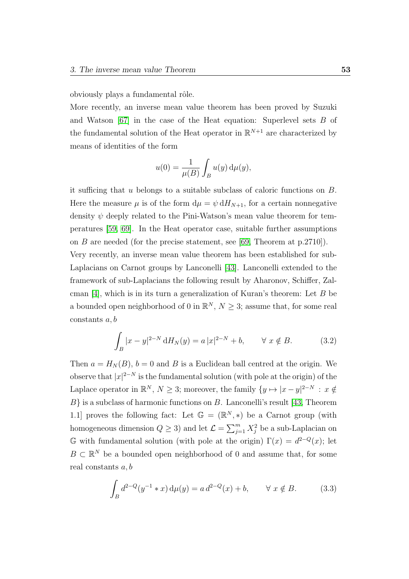obviously plays a fundamental rôle.

More recently, an inverse mean value theorem has been proved by Suzuki and Watson [\[67\]](#page-128-0) in the case of the Heat equation: Superlevel sets B of the fundamental solution of the Heat operator in  $\mathbb{R}^{N+1}$  are characterized by means of identities of the form

$$
u(0) = \frac{1}{\mu(B)} \int_B u(y) \, \mathrm{d}\mu(y),
$$

it sufficing that u belongs to a suitable subclass of caloric functions on B. Here the measure  $\mu$  is of the form  $d\mu = \psi dH_{N+1}$ , for a certain nonnegative density  $\psi$  deeply related to the Pini-Watson's mean value theorem for temperatures [\[59,](#page-127-1) [69\]](#page-128-1). In the Heat operator case, suitable further assumptions on B are needed (for the precise statement, see [\[69,](#page-128-1) Theorem at p.2710]). Very recently, an inverse mean value theorem has been established for sub-Laplacians on Carnot groups by Lanconelli [\[43\]](#page-126-2). Lanconelli extended to the framework of sub-Laplacians the following result by Aharonov, Schiffer, Zal-cman [\[4\]](#page-122-1), which is in its turn a generalization of Kuran's theorem: Let  $B$  be a bounded open neighborhood of 0 in  $\mathbb{R}^N$ ,  $N \geq 3$ ; assume that, for some real

constants  $a, b$ 

<span id="page-52-1"></span>
$$
\int_{B} |x - y|^{2-N} dH_N(y) = a |x|^{2-N} + b, \qquad \forall x \notin B.
$$
 (3.2)

Then  $a = H<sub>N</sub>(B)$ ,  $b = 0$  and B is a Euclidean ball centred at the origin. We observe that  $|x|^{2-N}$  is the fundamental solution (with pole at the origin) of the Laplace operator in  $\mathbb{R}^N$ ,  $N \geq 3$ ; moreover, the family  $\{y \mapsto |x-y|^{2-N} : x \notin \mathbb{R}^N\}$  $B$ } is a subclass of harmonic functions on  $B$ . Lanconelli's result [\[43,](#page-126-2) Theorem 1.1] proves the following fact: Let  $\mathbb{G} = (\mathbb{R}^N, *)$  be a Carnot group (with homogeneous dimension  $Q \geq 3$ ) and let  $\mathcal{L} = \sum_{j=1}^{m} X_j^2$  be a sub-Laplacian on G with fundamental solution (with pole at the origin)  $\Gamma(x) = d^{2-Q}(x)$ ; let  $B \subset \mathbb{R}^N$  be a bounded open neighborhood of 0 and assume that, for some real constants a, b

<span id="page-52-0"></span>
$$
\int_{B} d^{2-Q}(y^{-1} * x) d\mu(y) = a d^{2-Q}(x) + b, \qquad \forall x \notin B.
$$
 (3.3)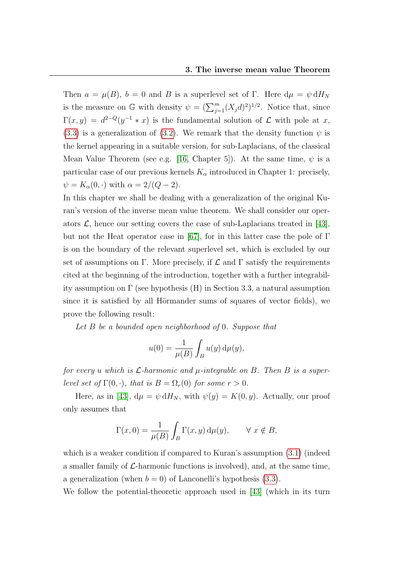Then  $a = \mu(B)$ ,  $b = 0$  and B is a superlevel set of Γ. Here  $d\mu = \psi dH_N$ is the measure on G with density  $\psi = (\sum_{j=1}^m (X_j d)^2)^{1/2}$ . Notice that, since  $\Gamma(x,y) = d^{2-Q}(y^{-1} * x)$  is the fundamental solution of  $\mathcal L$  with pole at x, [\(3.3\)](#page-52-0) is a generalization of [\(3.2\)](#page-52-1). We remark that the density function  $\psi$  is the kernel appearing in a suitable version, for sub-Laplacians, of the classical Mean Value Theorem (see e.g. [\[16,](#page-123-1) Chapter 5]). At the same time,  $\psi$  is a particular case of our previous kernels  $K_{\alpha}$  introduced in Chapter 1: precisely,  $\psi = K_{\alpha}(0, \cdot)$  with  $\alpha = 2/(Q-2)$ .

In this chapter we shall be dealing with a generalization of the original Kuran's version of the inverse mean value theorem. We shall consider our operators  $\mathcal{L}$ , hence our setting covers the case of sub-Laplacians treated in [\[43\]](#page-126-2), but not the Heat operator case in [\[67\]](#page-128-0), for in this latter case the pole of  $\Gamma$ is on the boundary of the relevant superlevel set, which is excluded by our set of assumptions on Γ. More precisely, if  $\mathcal L$  and Γ satisfy the requirements cited at the beginning of the introduction, together with a further integrability assumption on  $\Gamma$  (see hypothesis (H) in Section 3.3, a natural assumption since it is satisfied by all Hörmander sums of squares of vector fields), we prove the following result:

Let B be a bounded open neighborhood of 0. Suppose that

$$
u(0) = \frac{1}{\mu(B)} \int_B u(y) \, \mathrm{d}\mu(y),
$$

for every u which is  $\mathcal L$ -harmonic and  $\mu$ -integrable on  $B$ . Then  $B$  is a superlevel set of  $\Gamma(0, \cdot)$ , that is  $B = \Omega_r(0)$  for some  $r > 0$ .

Here, as in [\[43\]](#page-126-2),  $d\mu = \psi dH_N$ , with  $\psi(y) = K(0, y)$ . Actually, our proof only assumes that

$$
\Gamma(x,0) = \frac{1}{\mu(B)} \int_B \Gamma(x,y) \, d\mu(y), \qquad \forall \ x \notin B,
$$

which is a weaker condition if compared to Kuran's assumption [\(3.1\)](#page-51-0) (indeed a smaller family of  $\mathcal{L}$ -harmonic functions is involved), and, at the same time, a generalization (when  $b = 0$ ) of Lanconelli's hypothesis [\(3.3\)](#page-52-0).

We follow the potential-theoretic approach used in [\[43\]](#page-126-2) (which in its turn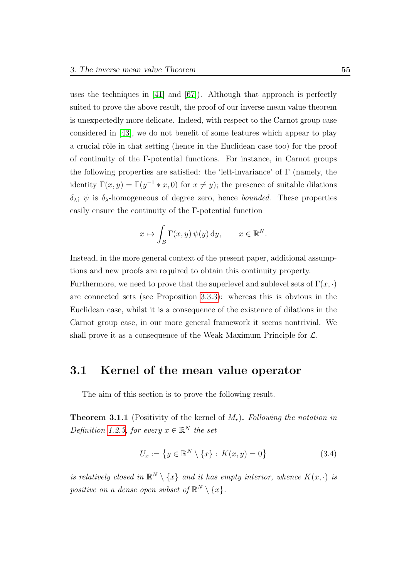uses the techniques in [\[41\]](#page-126-1) and [\[67\]](#page-128-0)). Although that approach is perfectly suited to prove the above result, the proof of our inverse mean value theorem is unexpectedly more delicate. Indeed, with respect to the Carnot group case considered in [\[43\]](#page-126-2), we do not benefit of some features which appear to play a crucial rôle in that setting (hence in the Euclidean case too) for the proof of continuity of the Γ-potential functions. For instance, in Carnot groups the following properties are satisfied: the 'left-invariance' of Γ (namely, the identity  $\Gamma(x, y) = \Gamma(y^{-1} * x, 0)$  for  $x \neq y$ ; the presence of suitable dilations δ<sub>λ</sub>;  $\psi$  is δ<sub>λ</sub>-homogeneous of degree zero, hence *bounded*. These properties easily ensure the continuity of the Γ-potential function

$$
x \mapsto \int_B \Gamma(x, y) \, \psi(y) \, \mathrm{d}y, \qquad x \in \mathbb{R}^N.
$$

Instead, in the more general context of the present paper, additional assumptions and new proofs are required to obtain this continuity property. Furthermore, we need to prove that the superlevel and sublevel sets of  $\Gamma(x, \cdot)$ are connected sets (see Proposition [3.3.3\)](#page-61-0): whereas this is obvious in the Euclidean case, whilst it is a consequence of the existence of dilations in the Carnot group case, in our more general framework it seems nontrivial. We shall prove it as a consequence of the Weak Maximum Principle for  $\mathcal{L}$ .

### 3.1 Kernel of the mean value operator

The aim of this section is to prove the following result.

<span id="page-54-0"></span>**Theorem 3.1.1** (Positivity of the kernel of  $M_r$ ). Following the notation in Definition [1.2.3,](#page-17-0) for every  $x \in \mathbb{R}^N$  the set

<span id="page-54-1"></span>
$$
U_x := \{ y \in \mathbb{R}^N \setminus \{x\} : K(x, y) = 0 \}
$$
\n(3.4)

is relatively closed in  $\mathbb{R}^N \setminus \{x\}$  and it has empty interior, whence  $K(x, \cdot)$  is positive on a dense open subset of  $\mathbb{R}^N \setminus \{x\}.$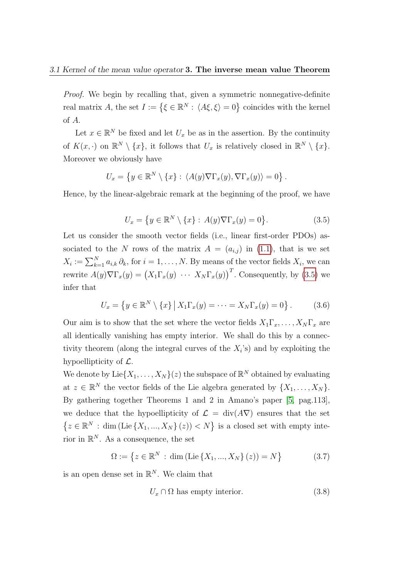Proof. We begin by recalling that, given a symmetric nonnegative-definite real matrix A, the set  $I := \{ \xi \in \mathbb{R}^N : \langle A\xi, \xi \rangle = 0 \}$  coincides with the kernel of A.

Let  $x \in \mathbb{R}^N$  be fixed and let  $U_x$  be as in the assertion. By the continuity of  $K(x, \cdot)$  on  $\mathbb{R}^N \setminus \{x\}$ , it follows that  $U_x$  is relatively closed in  $\mathbb{R}^N \setminus \{x\}$ . Moreover we obviously have

$$
U_x = \left\{ y \in \mathbb{R}^N \setminus \{x\} : \langle A(y) \nabla \Gamma_x(y), \nabla \Gamma_x(y) \rangle = 0 \right\}.
$$

<span id="page-55-0"></span>Hence, by the linear-algebraic remark at the beginning of the proof, we have

$$
U_x = \{ y \in \mathbb{R}^N \setminus \{x\} : A(y) \nabla \Gamma_x(y) = 0 \}. \tag{3.5}
$$

Let us consider the smooth vector fields (i.e., linear first-order PDOs) associated to the N rows of the matrix  $A = (a_{i,j})$  in [\(1.1\)](#page-11-0), that is we set  $X_i := \sum_{k=1}^N a_{i,k} \partial_k$ , for  $i = 1, ..., N$ . By means of the vector fields  $X_i$ , we can rewrite  $A(y)\nabla \Gamma_x(y) = (X_1\Gamma_x(y) \cdots X_N\Gamma_x(y))^T$ . Consequently, by [\(3.5\)](#page-55-0) we infer that

<span id="page-55-3"></span>
$$
U_x = \left\{ y \in \mathbb{R}^N \setminus \{x\} \, \middle| \, X_1 \Gamma_x(y) = \dots = X_N \Gamma_x(y) = 0 \right\}. \tag{3.6}
$$

Our aim is to show that the set where the vector fields  $X_1\Gamma_x, \ldots, X_N\Gamma_x$  are all identically vanishing has empty interior. We shall do this by a connectivity theorem (along the integral curves of the  $X_i$ 's) and by exploiting the hypoellipticity of  $\mathcal{L}$ .

We denote by Lie $\{X_1, \ldots, X_N\}(z)$  the subspace of  $\mathbb{R}^N$  obtained by evaluating at  $z \in \mathbb{R}^N$  the vector fields of the Lie algebra generated by  $\{X_1, \ldots, X_N\}$ . By gathering together Theorems 1 and 2 in Amano's paper [\[5,](#page-122-0) pag.113], we deduce that the hypoellipticity of  $\mathcal{L} = \text{div}(A\nabla)$  ensures that the set  $\{z \in \mathbb{R}^N : \dim (\text{Lie} \{X_1, ..., X_N\} (z)) \lt N\}$  is a closed set with empty interior in  $\mathbb{R}^N$ . As a consequence, the set

$$
\Omega := \left\{ z \in \mathbb{R}^N : \dim \left( \text{Lie} \left\{ X_1, ..., X_N \right\} (z) \right) = N \right\} \tag{3.7}
$$

is an open dense set in  $\mathbb{R}^N$ . We claim that

<span id="page-55-2"></span><span id="page-55-1"></span>
$$
U_x \cap \Omega \text{ has empty interior.} \tag{3.8}
$$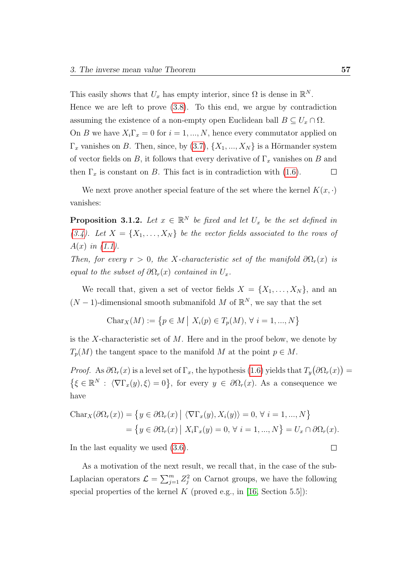This easily shows that  $U_x$  has empty interior, since  $\Omega$  is dense in  $\mathbb{R}^N$ . Hence we are left to prove [\(3.8\)](#page-55-1). To this end, we argue by contradiction assuming the existence of a non-empty open Euclidean ball  $B \subseteq U_x \cap \Omega$ . On B we have  $X_i \Gamma_x = 0$  for  $i = 1, ..., N$ , hence every commutator applied on  $\Gamma_x$  vanishes on B. Then, since, by [\(3.7\)](#page-55-2),  $\{X_1, ..., X_N\}$  is a Hörmander system of vector fields on B, it follows that every derivative of  $\Gamma_x$  vanishes on B and then  $\Gamma_x$  is constant on B. This fact is in contradiction with [\(1.6\)](#page-15-0).  $\Box$ 

We next prove another special feature of the set where the kernel  $K(x, \cdot)$ vanishes:

<span id="page-56-0"></span>**Proposition 3.1.2.** Let  $x \in \mathbb{R}^N$  be fixed and let  $U_x$  be the set defined in [\(3.4\)](#page-54-1). Let  $X = \{X_1, \ldots, X_N\}$  be the vector fields associated to the rows of  $A(x)$  in [\(1.1\)](#page-11-0).

Then, for every  $r > 0$ , the X-characteristic set of the manifold  $\partial \Omega_r(x)$  is equal to the subset of  $\partial \Omega_r(x)$  contained in  $U_x$ .

We recall that, given a set of vector fields  $X = \{X_1, \ldots, X_N\}$ , and an  $(N-1)$ -dimensional smooth submanifold M of  $\mathbb{R}^N$ , we say that the set

$$
Char_X(M) := \{ p \in M \mid X_i(p) \in T_p(M), \forall i = 1, ..., N \}
$$

is the X-characteristic set of  $M$ . Here and in the proof below, we denote by  $T_p(M)$  the tangent space to the manifold M at the point  $p \in M$ .

*Proof.* As  $\partial\Omega_r(x)$  is a level set of  $\Gamma_x$ , the hypothesis [\(1.6\)](#page-15-0) yields that  $T_y(\partial\Omega_r(x))$  =  $\{\xi \in \mathbb{R}^N : \langle \nabla \Gamma_x(y), \xi \rangle = 0\},\$  for every  $y \in \partial \Omega_r(x)$ . As a consequence we have

$$
\text{Char}_X(\partial \Omega_r(x)) = \{ y \in \partial \Omega_r(x) \mid \langle \nabla \Gamma_x(y), X_i(y) \rangle = 0, \forall i = 1, ..., N \}
$$

$$
= \{ y \in \partial \Omega_r(x) \mid X_i \Gamma_x(y) = 0, \forall i = 1, ..., N \} = U_x \cap \partial \Omega_r(x).
$$

In the last equality we used [\(3.6\)](#page-55-3).

As a motivation of the next result, we recall that, in the case of the sub-Laplacian operators  $\mathcal{L} = \sum_{j=1}^{m} Z_j^2$  on Carnot groups, we have the following special properties of the kernel K (proved e.g., in [\[16,](#page-123-1) Section 5.5]):

 $\Box$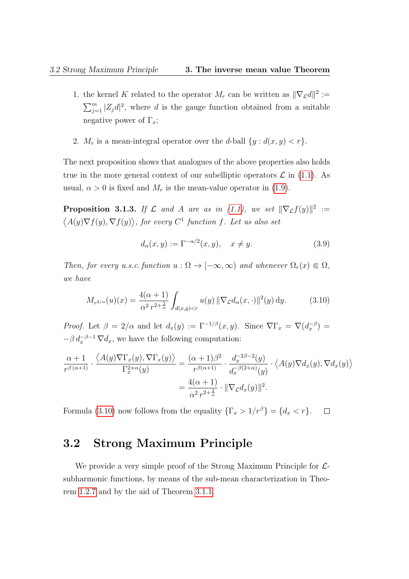- 1. the kernel K related to the operator  $M_r$  can be written as  $\|\nabla_{\mathcal{L}}d\|^2:=$  $\sum_{j=1}^{m} |Z_j d|^2$ , where d is the gauge function obtained from a suitable negative power of  $\Gamma_x$ ;
- 2.  $M_r$  is a mean-integral operator over the *d*-ball  $\{y : d(x, y) < r\}.$

The next proposition shows that analogues of the above properties also holds true in the more general context of our subelliptic operators  $\mathcal L$  in [\(1.1\)](#page-11-0). As usual,  $\alpha > 0$  is fixed and  $M_r$  is the mean-value operator in [\(1.9\)](#page-17-1).

**Proposition 3.1.3.** If  $\mathcal L$  and A are as in [\(1.1\)](#page-11-0), we set  $\|\nabla_{\mathcal L}f(y)\|^2 :=$  $\langle A(y)\nabla f(y), \nabla f(y)\rangle$ , for every  $C^1$  function f. Let us also set

$$
d_{\alpha}(x, y) := \Gamma^{-\alpha/2}(x, y), \quad x \neq y. \tag{3.9}
$$

Then, for every u.s.c. function  $u : \Omega \to [-\infty, \infty)$  and whenever  $\Omega_r(x) \in \Omega$ , we have

<span id="page-57-0"></span>
$$
M_{r^{2/\alpha}}(u)(x) = \frac{4(\alpha+1)}{\alpha^2 r^{2+\frac{2}{\alpha}}} \int_{d(x,y)
$$

*Proof.* Let  $\beta = 2/\alpha$  and let  $d_x(y) := \Gamma^{-1/\beta}(x, y)$ . Since  $\nabla \Gamma_x = \nabla (d_x^{-\beta}) =$  $-\beta \, d_x^{-\beta-1} \, \nabla d_x$ , we have the following computation:

$$
\frac{\alpha+1}{r^{\beta(\alpha+1)}} \cdot \frac{\langle A(y)\nabla\Gamma_x(y), \nabla\Gamma_x(y)\rangle}{\Gamma_x^{2+\alpha}(y)} = \frac{(\alpha+1)\beta^2}{r^{\beta(\alpha+1)}} \cdot \frac{d_x^{-2\beta-2}(y)}{d_x^{-\beta(2+\alpha)}(y)} \cdot \langle A(y)\nabla d_x(y), \nabla d_x(y)\rangle
$$

$$
= \frac{4(\alpha+1)}{\alpha^2 r^{2+\frac{2}{\alpha}}} \cdot \|\nabla_{\mathcal{L}}d_x(y)\|^2.
$$

Formula [\(3.10\)](#page-57-0) now follows from the equality  $\{\Gamma_x > 1/r^{\beta}\} = \{d_x < r\}.$  $\Box$ 

### 3.2 Strong Maximum Principle

We provide a very simple proof of the Strong Maximum Principle for  $\mathcal{L}$ subharmonic functions, by means of the sub-mean characterization in Theorem [1.2.7](#page-19-0) and by the aid of Theorem [3.1.1.](#page-54-0)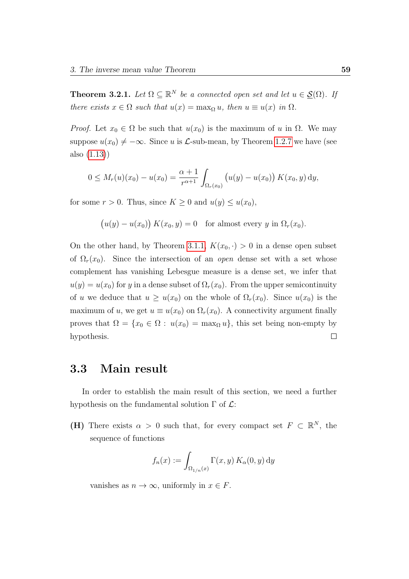<span id="page-58-0"></span>**Theorem 3.2.1.** Let  $\Omega \subseteq \mathbb{R}^N$  be a connected open set and let  $u \in \underline{\mathcal{S}}(\Omega)$ . If there exists  $x \in \Omega$  such that  $u(x) = \max_{\Omega} u$ , then  $u \equiv u(x)$  in  $\Omega$ .

*Proof.* Let  $x_0 \in \Omega$  be such that  $u(x_0)$  is the maximum of u in  $\Omega$ . We may suppose  $u(x_0) \neq -\infty$ . Since u is  $\mathcal{L}$ -sub-mean, by Theorem [1.2.7](#page-19-0) we have (see also [\(1.13\)](#page-19-1))

$$
0 \le M_r(u)(x_0) - u(x_0) = \frac{\alpha + 1}{r^{\alpha+1}} \int_{\Omega_r(x_0)} \left( u(y) - u(x_0) \right) K(x_0, y) \, dy,
$$

for some  $r > 0$ . Thus, since  $K \geq 0$  and  $u(y) \leq u(x_0)$ ,

$$
(u(y) - u(x_0)) K(x_0, y) = 0 \text{ for almost every } y \text{ in } \Omega_r(x_0).
$$

On the other hand, by Theorem [3.1.1,](#page-54-0)  $K(x_0, \cdot) > 0$  in a dense open subset of  $\Omega_r(x_0)$ . Since the intersection of an *open* dense set with a set whose complement has vanishing Lebesgue measure is a dense set, we infer that  $u(y) = u(x_0)$  for y in a dense subset of  $\Omega_r(x_0)$ . From the upper semicontinuity of u we deduce that  $u \geq u(x_0)$  on the whole of  $\Omega_r(x_0)$ . Since  $u(x_0)$  is the maximum of u, we get  $u \equiv u(x_0)$  on  $\Omega_r(x_0)$ . A connectivity argument finally proves that  $\Omega = \{x_0 \in \Omega : u(x_0) = \max_{\Omega} u\}$ , this set being non-empty by  $\Box$ hypothesis.

#### 3.3 Main result

In order to establish the main result of this section, we need a further hypothesis on the fundamental solution  $\Gamma$  of  $\mathcal{L}$ :

(H) There exists  $\alpha > 0$  such that, for every compact set  $F \subset \mathbb{R}^N$ , the sequence of functions

$$
f_n(x) := \int_{\Omega_{1/n}(x)} \Gamma(x, y) K_{\alpha}(0, y) dy
$$

vanishes as  $n \to \infty$ , uniformly in  $x \in F$ .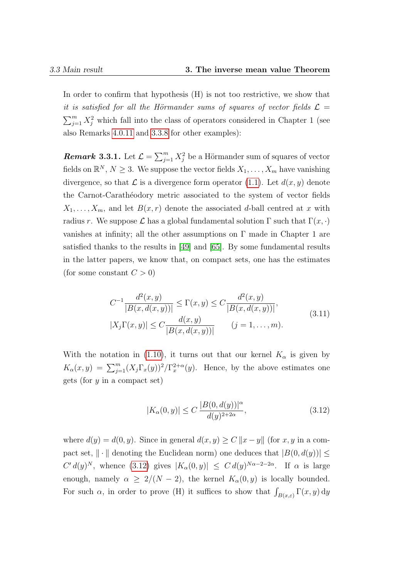In order to confirm that hypothesis (H) is not too restrictive, we show that it is satisfied for all the Hörmander sums of squares of vector fields  $\mathcal{L} =$  $\sum_{j=1}^{m} X_j^2$  which fall into the class of operators considered in Chapter 1 (see also Remarks [4.0.11](#page-81-0) and [3.3.8](#page-70-0) for other examples):

<span id="page-59-1"></span>**Remark 3.3.1.** Let  $\mathcal{L} = \sum_{j=1}^{m} X_j^2$  be a Hörmander sum of squares of vector fields on  $\mathbb{R}^N$ ,  $N \geq 3$ . We suppose the vector fields  $X_1, \ldots, X_m$  have vanishing divergence, so that  $\mathcal L$  is a divergence form operator [\(1.1\)](#page-11-0). Let  $d(x, y)$  denote the Carnot-Carathéodory metric associated to the system of vector fields  $X_1, \ldots, X_m$ , and let  $B(x, r)$  denote the associated d-ball centred at x with radius r. We suppose  $\mathcal L$  has a global fundamental solution  $\Gamma$  such that  $\Gamma(x, \cdot)$ vanishes at infinity; all the other assumptions on  $\Gamma$  made in Chapter 1 are satisfied thanks to the results in [\[49\]](#page-126-3) and [\[65\]](#page-128-2). By some fundamental results in the latter papers, we know that, on compact sets, one has the estimates (for some constant  $C > 0$ )

$$
C^{-1} \frac{d^2(x, y)}{|B(x, d(x, y))|} \le \Gamma(x, y) \le C \frac{d^2(x, y)}{|B(x, d(x, y))|},
$$
  
\n
$$
|X_j \Gamma(x, y)| \le C \frac{d(x, y)}{|B(x, d(x, y))|} \qquad (j = 1, ..., m).
$$
 (3.11)

With the notation in [\(1.10\)](#page-17-0), it turns out that our kernel  $K_{\alpha}$  is given by  $K_{\alpha}(x, y) = \sum_{j=1}^{m} (X_j \Gamma_x(y))^2 / \Gamma_x^{2+\alpha}(y)$ . Hence, by the above estimates one gets (for  $y$  in a compact set)

<span id="page-59-2"></span><span id="page-59-0"></span>
$$
|K_{\alpha}(0, y)| \le C \frac{|B(0, d(y))|^{\alpha}}{d(y)^{2+2\alpha}},
$$
\n(3.12)

where  $d(y) = d(0, y)$ . Since in general  $d(x, y) \ge C ||x - y||$  (for x, y in a compact set,  $\|\cdot\|$  denoting the Euclidean norm) one deduces that  $|B(0, d(y))| \le$  $C' d(y)^N$ , whence [\(3.12\)](#page-59-0) gives  $|K_{\alpha}(0, y)| \leq C d(y)^{N\alpha - 2 - 2\alpha}$ . If  $\alpha$  is large enough, namely  $\alpha \geq 2/(N-2)$ , the kernel  $K_{\alpha}(0, y)$  is locally bounded. For such  $\alpha$ , in order to prove (H) it suffices to show that  $\int_{B(x,\varepsilon)} \Gamma(x,y) dy$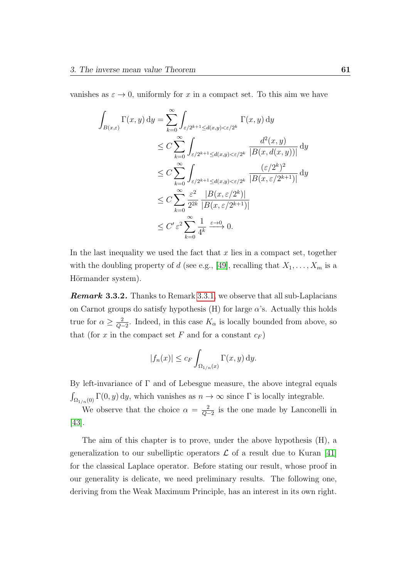vanishes as  $\varepsilon \to 0$ , uniformly for x in a compact set. To this aim we have

$$
\int_{B(x,\varepsilon)} \Gamma(x,y) \, dy = \sum_{k=0}^{\infty} \int_{\varepsilon/2^{k+1} \le d(x,y) < \varepsilon/2^k} \Gamma(x,y) \, dy
$$
\n
$$
\le C \sum_{k=0}^{\infty} \int_{\varepsilon/2^{k+1} \le d(x,y) < \varepsilon/2^k} \frac{d^2(x,y)}{|B(x,d(x,y))|} \, dy
$$
\n
$$
\le C \sum_{k=0}^{\infty} \int_{\varepsilon/2^{k+1} \le d(x,y) < \varepsilon/2^k} \frac{(\varepsilon/2^k)^2}{|B(x,\varepsilon/2^{k+1})|} \, dy
$$
\n
$$
\le C \sum_{k=0}^{\infty} \frac{\varepsilon^2}{2^{2k}} \frac{|B(x,\varepsilon/2^k)|}{|B(x,\varepsilon/2^{k+1})|}
$$
\n
$$
\le C' \varepsilon^2 \sum_{k=0}^{\infty} \frac{1}{4^k} \xrightarrow{\varepsilon \to 0} 0.
$$

In the last inequality we used the fact that  $x$  lies in a compact set, together with the doubling property of d (see e.g., [\[49\]](#page-126-3), recalling that  $X_1, \ldots, X_m$  is a Hörmander system).

<span id="page-60-0"></span>Remark 3.3.2. Thanks to Remark [3.3.1,](#page-59-1) we observe that all sub-Laplacians on Carnot groups do satisfy hypothesis (H) for large  $\alpha$ 's. Actually this holds true for  $\alpha \geq \frac{2}{\alpha}$  $\frac{2}{Q-2}$ . Indeed, in this case  $K_{\alpha}$  is locally bounded from above, so that (for x in the compact set F and for a constant  $c_F$ )

$$
|f_n(x)| \le c_F \int_{\Omega_{1/n}(x)} \Gamma(x, y) \, dy.
$$

By left-invariance of Γ and of Lebesgue measure, the above integral equals  $\int_{\Omega_{1/n}(0)} \Gamma(0, y) dy$ , which vanishes as  $n \to \infty$  since  $\Gamma$  is locally integrable.

We observe that the choice  $\alpha = \frac{2}{\Omega}$  $\frac{2}{Q-2}$  is the one made by Lanconelli in [\[43\]](#page-126-2).

The aim of this chapter is to prove, under the above hypothesis (H), a generalization to our subelliptic operators  $\mathcal L$  of a result due to Kuran [\[41\]](#page-126-1) for the classical Laplace operator. Before stating our result, whose proof in our generality is delicate, we need preliminary results. The following one, deriving from the Weak Maximum Principle, has an interest in its own right.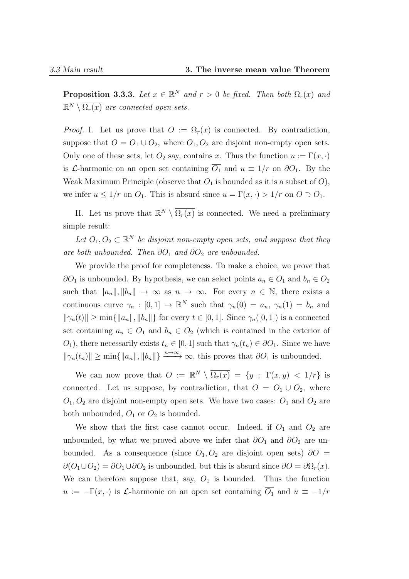<span id="page-61-0"></span>**Proposition 3.3.3.** Let  $x \in \mathbb{R}^N$  and  $r > 0$  be fixed. Then both  $\Omega_r(x)$  and  $\mathbb{R}^N\setminus\overline{\Omega_r(x)}$  are connected open sets.

*Proof.* I. Let us prove that  $O := \Omega_r(x)$  is connected. By contradiction, suppose that  $O = O_1 \cup O_2$ , where  $O_1, O_2$  are disjoint non-empty open sets. Only one of these sets, let  $O_2$  say, contains x. Thus the function  $u := \Gamma(x, \cdot)$ is *L*-harmonic on an open set containing  $\overline{O_1}$  and  $u \equiv 1/r$  on  $\partial O_1$ . By the Weak Maximum Principle (observe that  $O_1$  is bounded as it is a subset of  $O$ ), we infer  $u \leq 1/r$  on  $O_1$ . This is absurd since  $u = \Gamma(x, \cdot) > 1/r$  on  $O \supset O_1$ .

II. Let us prove that  $\mathbb{R}^N \setminus \overline{\Omega_r(x)}$  is connected. We need a preliminary simple result:

Let  $O_1, O_2 \subset \mathbb{R}^N$  be disjoint non-empty open sets, and suppose that they are both unbounded. Then  $\partial O_1$  and  $\partial O_2$  are unbounded.

We provide the proof for completeness. To make a choice, we prove that  $\partial O_1$  is unbounded. By hypothesis, we can select points  $a_n \in O_1$  and  $b_n \in O_2$ such that  $||a_n||, ||b_n|| \to \infty$  as  $n \to \infty$ . For every  $n \in \mathbb{N}$ , there exists a continuous curve  $\gamma_n : [0,1] \to \mathbb{R}^N$  such that  $\gamma_n(0) = a_n$ ,  $\gamma_n(1) = b_n$  and  $\|\gamma_n(t)\| \ge \min\{\|a_n\|, \|b_n\|\}\$  for every  $t \in [0, 1]$ . Since  $\gamma_n([0, 1])$  is a connected set containing  $a_n \in O_1$  and  $b_n \in O_2$  (which is contained in the exterior of  $O_1$ , there necessarily exists  $t_n \in [0,1]$  such that  $\gamma_n(t_n) \in \partial O_1$ . Since we have  $\|\gamma_n(t_n)\| \ge \min\{\|a_n\|, \|b_n\|\}\stackrel{n\to\infty}{\longrightarrow}\infty$ , this proves that  $\partial O_1$  is unbounded.

We can now prove that  $O := \mathbb{R}^N \setminus \overline{\Omega_r(x)} = \{y : \Gamma(x,y) < 1/r\}$  is connected. Let us suppose, by contradiction, that  $O = O_1 \cup O_2$ , where  $O_1$ ,  $O_2$  are disjoint non-empty open sets. We have two cases:  $O_1$  and  $O_2$  are both unbounded,  $O_1$  or  $O_2$  is bounded.

We show that the first case cannot occur. Indeed, if  $O_1$  and  $O_2$  are unbounded, by what we proved above we infer that  $\partial O_1$  and  $\partial O_2$  are unbounded. As a consequence (since  $O_1, O_2$  are disjoint open sets) ∂O =  $\partial(O_1 \cup O_2) = \partial O_1 \cup \partial O_2$  is unbounded, but this is absurd since  $\partial O = \partial \Omega_r(x)$ . We can therefore suppose that, say,  $O_1$  is bounded. Thus the function  $u := -\Gamma(x, \cdot)$  is *L*-harmonic on an open set containing  $\overline{O_1}$  and  $u \equiv -1/r$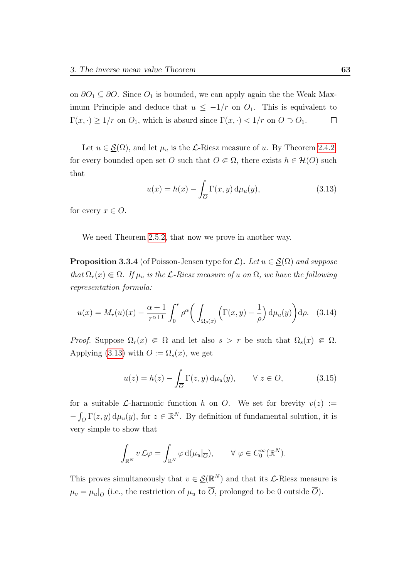on  $\partial O_1$  ⊆  $\partial O$ . Since  $O_1$  is bounded, we can apply again the the Weak Maximum Principle and deduce that  $u \le -1/r$  on  $O_1$ . This is equivalent to  $\Gamma(x, \cdot) \geq 1/r$  on  $O_1$ , which is absurd since  $\Gamma(x, \cdot) < 1/r$  on  $O \supset O_1$ .  $\Box$ 

<span id="page-62-1"></span>Let  $u \in \underline{\mathcal{S}}(\Omega)$ , and let  $\mu_u$  is the *L*-Riesz measure of u. By Theorem [2.4.2,](#page-37-1) for every bounded open set O such that  $O \in \Omega$ , there exists  $h \in \mathcal{H}(O)$  such that

$$
u(x) = h(x) - \int_{\overline{O}} \Gamma(x, y) d\mu_u(y), \qquad (3.13)
$$

for every  $x \in O$ .

We need Theorem [2.5.2,](#page-45-1) that now we prove in another way.

<span id="page-62-0"></span>**Proposition 3.3.4** (of Poisson-Jensen type for  $\mathcal{L}$ ). Let  $u \in \mathcal{S}(\Omega)$  and suppose that  $\Omega_r(x) \in \Omega$ . If  $\mu_u$  is the L-Riesz measure of u on  $\Omega$ , we have the following representation formula:

<span id="page-62-2"></span>
$$
u(x) = M_r(u)(x) - \frac{\alpha+1}{r^{\alpha+1}} \int_0^r \rho^{\alpha} \left( \int_{\Omega_{\rho}(x)} \left( \Gamma(x, y) - \frac{1}{\rho} \right) d\mu_u(y) \right) d\rho. \tag{3.14}
$$

*Proof.* Suppose  $\Omega_r(x) \in \Omega$  and let also  $s > r$  be such that  $\Omega_s(x) \in \Omega$ . Applying [\(3.13\)](#page-62-1) with  $O := \Omega_s(x)$ , we get

<span id="page-62-3"></span>
$$
u(z) = h(z) - \int_{\overline{O}} \Gamma(z, y) d\mu_u(y), \qquad \forall \ z \in O,
$$
 (3.15)

for a suitable *L*-harmonic function h on O. We set for brevity  $v(z) :=$  $-\int_{\overline{O}} \Gamma(z, y) d\mu_u(y)$ , for  $z \in \mathbb{R}^N$ . By definition of fundamental solution, it is very simple to show that

$$
\int_{\mathbb{R}^N} v \mathcal{L} \varphi = \int_{\mathbb{R}^N} \varphi \, d(\mu_u |_{\overline{O}}), \qquad \forall \ \varphi \in C_0^{\infty}(\mathbb{R}^N).
$$

This proves simultaneously that  $v \in \mathcal{S}(\mathbb{R}^N)$  and that its  $\mathcal{L}$ -Riesz measure is  $\mu_v = \mu_u|_{\overline{O}}$  (i.e., the restriction of  $\mu_u$  to  $\overline{O}$ , prolonged to be 0 outside  $\overline{O}$ ).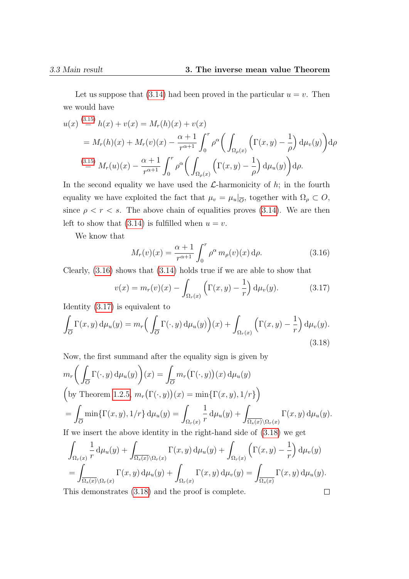Let us suppose that  $(3.14)$  had been proved in the particular  $u = v$ . Then we would have

$$
u(x) \stackrel{(3.15)}{=} h(x) + v(x) = M_r(h)(x) + v(x)
$$
  
=  $M_r(h)(x) + M_r(v)(x) - \frac{\alpha + 1}{r^{\alpha+1}} \int_0^r \rho^{\alpha} \left( \int_{\Omega_{\rho}(x)} \left( \Gamma(x, y) - \frac{1}{\rho} \right) d\mu_v(y) \right) d\rho$   

$$
\stackrel{(3.15)}{=} M_r(u)(x) - \frac{\alpha + 1}{r^{\alpha+1}} \int_0^r \rho^{\alpha} \left( \int_{\Omega_{\rho}(x)} \left( \Gamma(x, y) - \frac{1}{\rho} \right) d\mu_u(y) \right) d\rho.
$$

In the second equality we have used the  $\mathcal{L}$ -harmonicity of h; in the fourth equality we have exploited the fact that  $\mu_v = \mu_u|_{\overline{O}}$ , together with  $\Omega_\rho \subset O$ , since  $\rho < r < s$ . The above chain of equalities proves [\(3.14\)](#page-62-2). We are then left to show that [\(3.14\)](#page-62-2) is fulfilled when  $u = v$ .

We know that

<span id="page-63-1"></span><span id="page-63-0"></span>
$$
M_r(v)(x) = \frac{\alpha + 1}{r^{\alpha + 1}} \int_0^r \rho^{\alpha} m_{\rho}(v)(x) d\rho.
$$
 (3.16)

Clearly, [\(3.16\)](#page-63-0) shows that [\(3.14\)](#page-62-2) holds true if we are able to show that

$$
v(x) = m_r(v)(x) - \int_{\Omega_r(x)} \left( \Gamma(x, y) - \frac{1}{r} \right) d\mu_v(y).
$$
 (3.17)

Identity [\(3.17\)](#page-63-1) is equivalent to

$$
\int_{\overline{O}} \Gamma(x, y) d\mu_u(y) = m_r \Big( \int_{\overline{O}} \Gamma(\cdot, y) d\mu_u(y) \Big) (x) + \int_{\Omega_r(x)} \left( \Gamma(x, y) - \frac{1}{r} \right) d\mu_v(y).
$$
\n(3.18)

Now, the first summand after the equality sign is given by  $m_r$  $\left($  $\Gamma(\cdot, y) d\mu_u(y)$  $\bigg\}(x) = \int m_r(\Gamma(\cdot,y))(x) d\mu_u(y)$ 

$$
\int_{\overline{O}} \operatorname{Tr}(x, y) d\mu_u(y) f(x) = \int_{\overline{O}} \operatorname{Tr}(f(x, y)) f(x) d\mu_u(y)
$$
\n
$$
\left(\text{by Theorem 1.2.5, } m_r(\Gamma(\cdot, y))(x) = \min\{\Gamma(x, y), 1/r\}\right)
$$
\n
$$
= \int_{\overline{O}} \min\{\Gamma(x, y), 1/r\} d\mu_u(y) = \int_{\Omega_r(x)} \frac{1}{r} d\mu_u(y) + \int_{\overline{\Omega_s(x)} \setminus \Omega_r(x)} \Gamma(x, y) d\mu_u(y).
$$

If we insert the above identity in the right-hand side of [\(3.18\)](#page-63-2) we get

$$
\int_{\Omega_r(x)} \frac{1}{r} d\mu_u(y) + \int_{\overline{\Omega_s(x)} \setminus \Omega_r(x)} \Gamma(x, y) d\mu_u(y) + \int_{\Omega_r(x)} \left( \Gamma(x, y) - \frac{1}{r} \right) d\mu_v(y)
$$
\n
$$
= \int_{\overline{\Omega_s(x)} \setminus \Omega_r(x)} \Gamma(x, y) d\mu_u(y) + \int_{\Omega_r(x)} \Gamma(x, y) d\mu_v(y) = \int_{\overline{\Omega_s(x)}} \Gamma(x, y) d\mu_u(y).
$$

This demonstrates [\(3.18\)](#page-63-2) and the proof is complete.

<span id="page-63-2"></span> $\Box$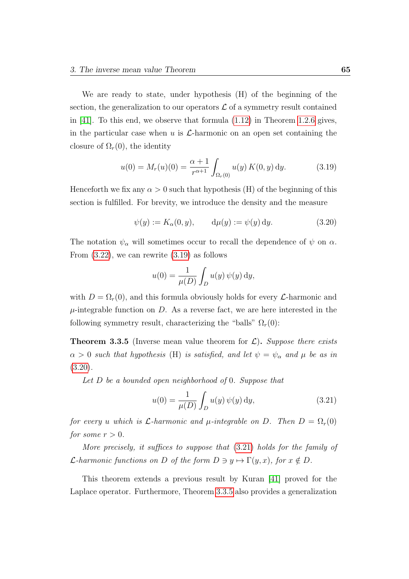We are ready to state, under hypothesis (H) of the beginning of the section, the generalization to our operators  $\mathcal L$  of a symmetry result contained in [\[41\]](#page-126-1). To this end, we observe that formula [\(1.12\)](#page-18-2) in Theorem [1.2.6](#page-18-0) gives, in the particular case when u is  $\mathcal{L}$ -harmonic on an open set containing the closure of  $\Omega_r(0)$ , the identity

<span id="page-64-0"></span>
$$
u(0) = M_r(u)(0) = \frac{\alpha + 1}{r^{\alpha + 1}} \int_{\Omega_r(0)} u(y) K(0, y) dy.
$$
 (3.19)

Henceforth we fix any  $\alpha > 0$  such that hypothesis (H) of the beginning of this section is fulfilled. For brevity, we introduce the density and the measure

$$
\psi(y) := K_{\alpha}(0, y), \qquad d\mu(y) := \psi(y) dy.
$$
\n(3.20)

The notation  $\psi_{\alpha}$  will sometimes occur to recall the dependence of  $\psi$  on  $\alpha$ . From [\(3.22\)](#page-65-0), we can rewrite [\(3.19\)](#page-64-0) as follows

<span id="page-64-1"></span>
$$
u(0) = \frac{1}{\mu(D)} \int_D u(y) \psi(y) \, dy,
$$

with  $D = \Omega_r(0)$ , and this formula obviously holds for every  $\mathcal{L}$ -harmonic and  $\mu$ -integrable function on D. As a reverse fact, we are here interested in the following symmetry result, characterizing the "balls"  $\Omega_r(0)$ :

<span id="page-64-3"></span>**Theorem 3.3.5** (Inverse mean value theorem for  $\mathcal{L}$ ). Suppose there exists  $\alpha > 0$  such that hypothesis (H) is satisfied, and let  $\psi = \psi_{\alpha}$  and  $\mu$  be as in  $(3.20).$  $(3.20).$ 

Let D be a bounded open neighborhood of 0. Suppose that

<span id="page-64-2"></span>
$$
u(0) = \frac{1}{\mu(D)} \int_{D} u(y) \psi(y) \, dy,
$$
\n(3.21)

for every u which is  $\mathcal L$ -harmonic and  $\mu$ -integrable on D. Then  $D = \Omega_r(0)$ for some  $r > 0$ .

More precisely, it suffices to suppose that [\(3.21\)](#page-64-2) holds for the family of *L*-harmonic functions on D of the form  $D \ni y \mapsto \Gamma(y, x)$ , for  $x \notin D$ .

This theorem extends a previous result by Kuran [\[41\]](#page-126-1) proved for the Laplace operator. Furthermore, Theorem [3.3.5](#page-64-3) also provides a generalization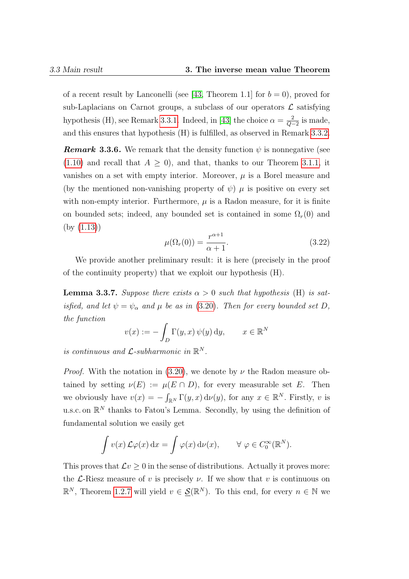of a recent result by Lanconelli (see [\[43,](#page-126-2) Theorem 1.1] for  $b = 0$ ), proved for sub-Laplacians on Carnot groups, a subclass of our operators  $\mathcal L$  satisfying hypothesis (H), see Remark [3.3.1.](#page-59-1) Indeed, in [\[43\]](#page-126-2) the choice  $\alpha = \frac{2}{\Omega}$  $\frac{2}{Q-2}$  is made, and this ensures that hypothesis (H) is fulfilled, as observed in Remark [3.3.2.](#page-60-0)

<span id="page-65-1"></span>**Remark 3.3.6.** We remark that the density function  $\psi$  is nonnegative (see [\(1.10\)](#page-17-0) and recall that  $A \geq 0$ , and that, thanks to our Theorem [3.1.1,](#page-54-0) it vanishes on a set with empty interior. Moreover,  $\mu$  is a Borel measure and (by the mentioned non-vanishing property of  $\psi$ )  $\mu$  is positive on every set with non-empty interior. Furthermore,  $\mu$  is a Radon measure, for it is finite on bounded sets; indeed, any bounded set is contained in some  $\Omega_r(0)$  and (by [\(1.13\)](#page-19-1))

$$
\mu(\Omega_r(0)) = \frac{r^{\alpha+1}}{\alpha+1}.\tag{3.22}
$$

<span id="page-65-0"></span>We provide another preliminary result: it is here (precisely in the proof of the continuity property) that we exploit our hypothesis (H).

<span id="page-65-2"></span>**Lemma 3.3.7.** Suppose there exists  $\alpha > 0$  such that hypothesis (H) is satisfied, and let  $\psi = \psi_{\alpha}$  and  $\mu$  be as in [\(3.20\)](#page-64-1). Then for every bounded set D, the function

$$
v(x) := -\int_D \Gamma(y, x) \psi(y) \, dy, \qquad x \in \mathbb{R}^N
$$

is continuous and  $\mathcal{L}$ -subharmonic in  $\mathbb{R}^N$ .

*Proof.* With the notation in [\(3.20\)](#page-64-1), we denote by  $\nu$  the Radon measure obtained by setting  $\nu(E) := \mu(E \cap D)$ , for every measurable set E. Then we obviously have  $v(x) = -\int_{\mathbb{R}^N} \Gamma(y, x) d\nu(y)$ , for any  $x \in \mathbb{R}^N$ . Firstly, v is u.s.c. on  $\mathbb{R}^N$  thanks to Fatou's Lemma. Secondly, by using the definition of fundamental solution we easily get

$$
\int v(x) \mathcal{L}\varphi(x) dx = \int \varphi(x) d\nu(x), \qquad \forall \varphi \in C_0^{\infty}(\mathbb{R}^N).
$$

This proves that  $\mathcal{L}v \geq 0$  in the sense of distributions. Actually it proves more: the L-Riesz measure of v is precisely  $\nu$ . If we show that v is continuous on  $\mathbb{R}^N$ , Theorem [1.2.7](#page-19-0) will yield  $v \in \mathcal{S}(\mathbb{R}^N)$ . To this end, for every  $n \in \mathbb{N}$  we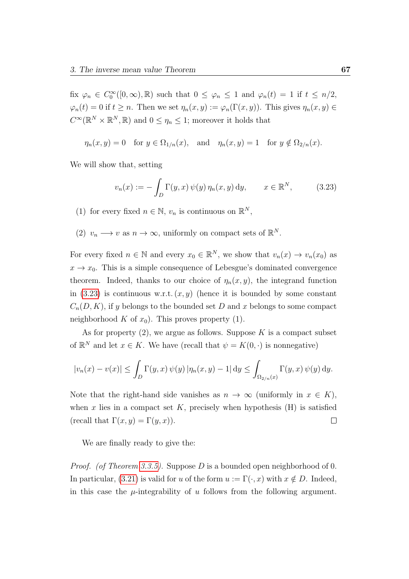fix  $\varphi_n \in C_0^{\infty}([0,\infty),\mathbb{R})$  such that  $0 \leq \varphi_n \leq 1$  and  $\varphi_n(t) = 1$  if  $t \leq n/2$ ,  $\varphi_n(t) = 0$  if  $t \geq n$ . Then we set  $\eta_n(x, y) := \varphi_n(\Gamma(x, y))$ . This gives  $\eta_n(x, y) \in$  $C^{\infty}(\mathbb{R}^N\times\mathbb{R}^N,\mathbb{R})$  and  $0\leq\eta_n\leq 1$ ; moreover it holds that

 $\eta_n(x, y) = 0$  for  $y \in \Omega_{1/n}(x)$ , and  $\eta_n(x, y) = 1$  for  $y \notin \Omega_{2/n}(x)$ .

We will show that, setting

<span id="page-66-0"></span>
$$
v_n(x) := -\int_D \Gamma(y, x) \psi(y) \eta_n(x, y) dy, \qquad x \in \mathbb{R}^N,
$$
 (3.23)

- (1) for every fixed  $n \in \mathbb{N}$ ,  $v_n$  is continuous on  $\mathbb{R}^N$ ,
- (2)  $v_n \longrightarrow v$  as  $n \to \infty$ , uniformly on compact sets of  $\mathbb{R}^N$ .

For every fixed  $n \in \mathbb{N}$  and every  $x_0 \in \mathbb{R}^N$ , we show that  $v_n(x) \to v_n(x_0)$  as  $x \to x_0$ . This is a simple consequence of Lebesgue's dominated convergence theorem. Indeed, thanks to our choice of  $\eta_n(x, y)$ , the integrand function in [\(3.23\)](#page-66-0) is continuous w.r.t.  $(x, y)$  (hence it is bounded by some constant  $C_n(D, K)$ , if y belongs to the bounded set D and x belongs to some compact neighborhood K of  $x_0$ ). This proves property (1).

As for property  $(2)$ , we argue as follows. Suppose K is a compact subset of  $\mathbb{R}^N$  and let  $x \in K$ . We have (recall that  $\psi = K(0, \cdot)$  is nonnegative)

$$
|v_n(x) - v(x)| \le \int_D \Gamma(y, x) \psi(y) |\eta_n(x, y) - 1| dy \le \int_{\Omega_{2/n}(x)} \Gamma(y, x) \psi(y) dy.
$$

Note that the right-hand side vanishes as  $n \to \infty$  (uniformly in  $x \in K$ ), when x lies in a compact set  $K$ , precisely when hypothesis  $(H)$  is satisfied (recall that  $\Gamma(x, y) = \Gamma(y, x)$ ).  $\Box$ 

We are finally ready to give the:

Proof. (of Theorem [3.3.5\)](#page-64-3). Suppose D is a bounded open neighborhood of 0. In particular, [\(3.21\)](#page-64-2) is valid for u of the form  $u := \Gamma(\cdot, x)$  with  $x \notin D$ . Indeed, in this case the  $\mu$ -integrability of u follows from the following argument.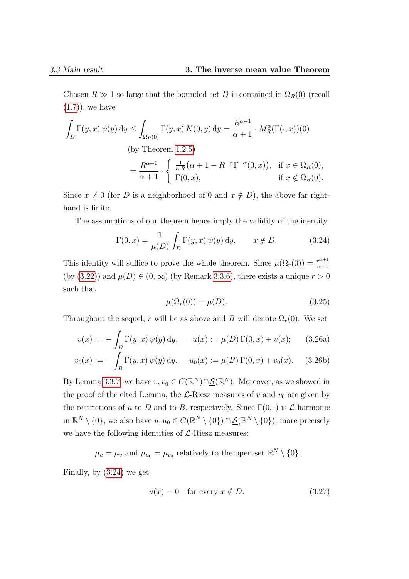Chosen  $R \gg 1$  so large that the bounded set D is contained in  $\Omega_R(0)$  (recall [\(1.7\)](#page-16-0)), we have

$$
\int_{D} \Gamma(y, x) \psi(y) dy \le \int_{\Omega_R(0)} \Gamma(y, x) K(0, y) dy = \frac{R^{\alpha+1}}{\alpha+1} \cdot M_R^{\alpha}(\Gamma(\cdot, x))(0)
$$
\n(by Theorem 1.2.5)\n
$$
= \frac{R^{\alpha+1}}{\alpha+1} \cdot \begin{cases} \frac{1}{\alpha R} (\alpha + 1 - R^{-\alpha} \Gamma^{-\alpha}(0, x)), & \text{if } x \in \Omega_R(0), \\ \Gamma(0, x), & \text{if } x \notin \Omega_R(0). \end{cases}
$$

Since  $x \neq 0$  (for D is a neighborhood of 0 and  $x \notin D$ ), the above far righthand is finite.

The assumptions of our theorem hence imply the validity of the identity

$$
\Gamma(0, x) = \frac{1}{\mu(D)} \int_D \Gamma(y, x) \psi(y) \, dy, \qquad x \notin D.
$$
 (3.24)

<span id="page-67-1"></span>This identity will suffice to prove the whole theorem. Since  $\mu(\Omega_r(0)) = \frac{r^{\alpha+1}}{\alpha+1}$  $\alpha+1$ (by [\(3.22\)](#page-65-0)) and  $\mu(D) \in (0,\infty)$  (by Remark [3.3.6\)](#page-65-1), there exists a unique  $r > 0$ such that

<span id="page-67-4"></span><span id="page-67-3"></span><span id="page-67-0"></span>
$$
\mu(\Omega_r(0)) = \mu(D). \tag{3.25}
$$

Throughout the sequel, r will be as above and B will denote  $\Omega_r(0)$ . We set

$$
v(x) := -\int_{D} \Gamma(y, x) \psi(y) \, dy, \qquad u(x) := \mu(D) \Gamma(0, x) + v(x); \qquad (3.26a)
$$

$$
v_0(x) := -\int_B \Gamma(y, x) \psi(y) \, dy, \quad u_0(x) := \mu(B) \Gamma(0, x) + v_0(x). \quad (3.26b)
$$

By Lemma [3.3.7,](#page-65-2) we have  $v, v_0 \in C(\mathbb{R}^N) \cap \underline{\mathcal{S}}(\mathbb{R}^N)$ . Moreover, as we showed in the proof of the cited Lemma, the  $\mathcal{L}\text{-Riesz}$  measures of v and  $v_0$  are given by the restrictions of  $\mu$  to D and to B, respectively. Since  $\Gamma(0, \cdot)$  is  $\mathcal{L}$ -harmonic in  $\mathbb{R}^N \setminus \{0\}$ , we also have  $u, u_0 \in C(\mathbb{R}^N \setminus \{0\}) \cap \underline{\mathcal{S}}(\mathbb{R}^N \setminus \{0\})$ ; more precisely we have the following identities of  $\mathcal{L}\text{-Riesz measures:}$ 

 $\mu_u = \mu_v$  and  $\mu_{u_0} = \mu_{v_0}$  relatively to the open set  $\mathbb{R}^N \setminus \{0\}.$ 

Finally, by [\(3.24\)](#page-67-0) we get

<span id="page-67-2"></span>
$$
u(x) = 0 \quad \text{for every } x \notin D. \tag{3.27}
$$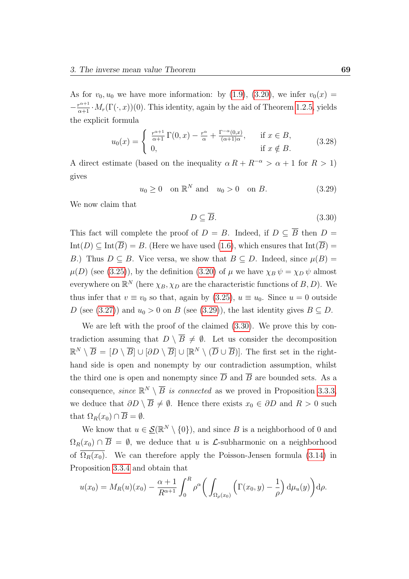As for  $v_0, u_0$  we have more information: by [\(1.9\)](#page-17-1), [\(3.20\)](#page-64-1), we infer  $v_0(x) =$  $-\frac{r^{\alpha+1}}{\alpha+1} \cdot M_r(\Gamma(\cdot,x))(0)$ . This identity, again by the aid of Theorem [1.2.5,](#page-18-1) yields the explicit formula

<span id="page-68-2"></span>
$$
u_0(x) = \begin{cases} \frac{r^{\alpha+1}}{\alpha+1} \Gamma(0, x) - \frac{r^{\alpha}}{\alpha} + \frac{\Gamma^{-\alpha}(0, x)}{(\alpha+1)\alpha}, & \text{if } x \in B, \\ 0, & \text{if } x \notin B. \end{cases}
$$
(3.28)

<span id="page-68-0"></span>A direct estimate (based on the inequality  $\alpha R + R^{-\alpha} > \alpha + 1$  for  $R > 1$ ) gives

<span id="page-68-1"></span>
$$
u_0 \ge 0 \quad \text{on } \mathbb{R}^N \text{ and } u_0 > 0 \quad \text{on } B. \tag{3.29}
$$

We now claim that

$$
D \subseteq \overline{B}.\tag{3.30}
$$

This fact will complete the proof of  $D = B$ . Indeed, if  $D \subseteq \overline{B}$  then  $D =$ Int(D)  $\subset$  Int( $\overline{B}$ ) = B. (Here we have used [\(1.6\)](#page-15-0), which ensures that Int( $\overline{B}$ ) = B.) Thus  $D \subseteq B$ . Vice versa, we show that  $B \subseteq D$ . Indeed, since  $\mu(B) =$  $\mu(D)$  (see [\(3.25\)](#page-67-1)), by the definition [\(3.20\)](#page-64-1) of  $\mu$  we have  $\chi_B \psi = \chi_D \psi$  almost everywhere on  $\mathbb{R}^N$  (here  $\chi_B, \chi_D$  are the characteristic functions of  $B, D$ ). We thus infer that  $v \equiv v_0$  so that, again by [\(3.25\)](#page-67-1),  $u \equiv u_0$ . Since  $u = 0$  outside D (see [\(3.27\)](#page-67-2)) and  $u_0 > 0$  on B (see [\(3.29\)](#page-68-0)), the last identity gives  $B \subseteq D$ .

We are left with the proof of the claimed [\(3.30\)](#page-68-1). We prove this by contradiction assuming that  $D \setminus \overline{B} \neq \emptyset$ . Let us consider the decomposition  $\mathbb{R}^N \setminus \overline{B} = [D \setminus \overline{B}] \cup [\partial D \setminus \overline{B}] \cup [\mathbb{R}^N \setminus (\overline{D} \cup \overline{B})]$ . The first set in the righthand side is open and nonempty by our contradiction assumption, whilst the third one is open and nonempty since  $\overline{D}$  and  $\overline{B}$  are bounded sets. As a consequence, since  $\mathbb{R}^N \setminus \overline{B}$  is connected as we proved in Proposition [3.3.3,](#page-61-0) we deduce that  $\partial D \setminus \overline{B} \neq \emptyset$ . Hence there exists  $x_0 \in \partial D$  and  $R > 0$  such that  $\Omega_R(x_0) \cap \overline{B} = \emptyset$ .

We know that  $u \in \underline{\mathcal{S}}(\mathbb{R}^N \setminus \{0\})$ , and since B is a neighborhood of 0 and  $\Omega_R(x_0) \cap \overline{B} = \emptyset$ , we deduce that u is *L*-subharmonic on a neighborhood of  $\overline{\Omega_R(x_0)}$ . We can therefore apply the Poisson-Jensen formula [\(3.14\)](#page-62-2) in Proposition [3.3.4](#page-62-0) and obtain that

$$
u(x_0) = M_R(u)(x_0) - \frac{\alpha+1}{R^{\alpha+1}} \int_0^R \rho^{\alpha} \bigg( \int_{\Omega_{\rho}(x_0)} \left( \Gamma(x_0, y) - \frac{1}{\rho} \right) d\mu_u(y) \bigg) d\rho.
$$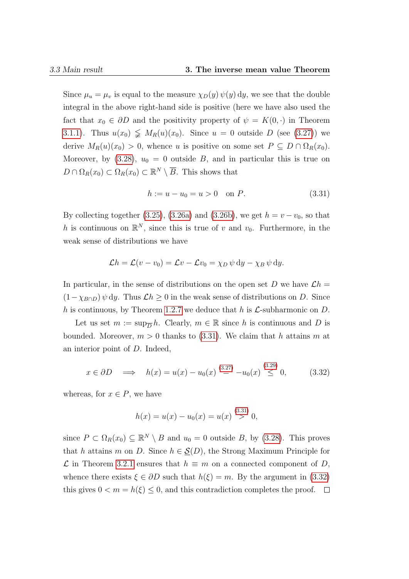Since  $\mu_u = \mu_v$  is equal to the measure  $\chi_D(y) \psi(y) dy$ , we see that the double integral in the above right-hand side is positive (here we have also used the fact that  $x_0 \in \partial D$  and the positivity property of  $\psi = K(0, \cdot)$  in Theorem [3.1.1\)](#page-54-0). Thus  $u(x_0) \nleq M_R(u)(x_0)$ . Since  $u = 0$  outside D (see [\(3.27\)](#page-67-2)) we derive  $M_R(u)(x_0) > 0$ , whence u is positive on some set  $P \subseteq D \cap \Omega_R(x_0)$ . Moreover, by  $(3.28)$ ,  $u_0 = 0$  outside B, and in particular this is true on  $D \cap \Omega_R(x_0) \subset \Omega_R(x_0) \subset \mathbb{R}^N \setminus \overline{B}$ . This shows that

<span id="page-69-0"></span>
$$
h := u - u_0 = u > 0 \quad \text{on } P. \tag{3.31}
$$

By collecting together [\(3.25\)](#page-67-1), [\(3.26a\)](#page-67-3) and [\(3.26b\)](#page-67-4), we get  $h = v - v_0$ , so that h is continuous on  $\mathbb{R}^N$ , since this is true of v and  $v_0$ . Furthermore, in the weak sense of distributions we have

$$
\mathcal{L}h = \mathcal{L}(v - v_0) = \mathcal{L}v - \mathcal{L}v_0 = \chi_D \psi \, dy - \chi_B \psi \, dy.
$$

In particular, in the sense of distributions on the open set D we have  $\mathcal{L}h =$  $(1-\chi_{B\cap D})\psi$  dy. Thus  $\mathcal{L}h \geq 0$  in the weak sense of distributions on D. Since h is continuous, by Theorem [1.2.7](#page-19-0) we deduce that h is  $\mathcal{L}$ -subharmonic on D.

Let us set  $m := \sup_{\overline{D}} h$ . Clearly,  $m \in \mathbb{R}$  since h is continuous and D is bounded. Moreover,  $m > 0$  thanks to [\(3.31\)](#page-69-0). We claim that h attains m at an interior point of D. Indeed,

$$
x \in \partial D \implies h(x) = u(x) - u_0(x) \stackrel{(3.27)}{=} -u_0(x) \stackrel{(3.29)}{\leq} 0,
$$
 (3.32)

whereas, for  $x \in P$ , we have

<span id="page-69-1"></span>
$$
h(x) = u(x) - u_0(x) = u(x) \stackrel{(3.31)}{>} 0,
$$

since  $P \subset \Omega_R(x_0) \subseteq \mathbb{R}^N \setminus B$  and  $u_0 = 0$  outside B, by [\(3.28\)](#page-68-2). This proves that h attains m on D. Since  $h \in \mathcal{S}(D)$ , the Strong Maximum Principle for  $\mathcal L$  in Theorem [3.2.1](#page-58-0) ensures that  $h \equiv m$  on a connected component of D, whence there exists  $\xi \in \partial D$  such that  $h(\xi) = m$ . By the argument in [\(3.32\)](#page-69-1) this gives  $0 < m = h(\xi) \leq 0$ , and this contradiction completes the proof.  $\Box$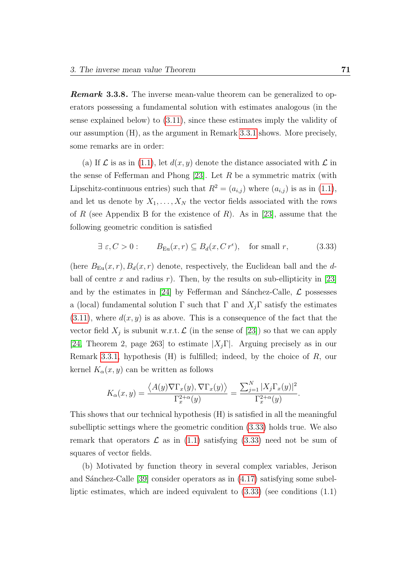<span id="page-70-0"></span>**Remark 3.3.8.** The inverse mean-value theorem can be generalized to operators possessing a fundamental solution with estimates analogous (in the sense explained below) to [\(3.11\)](#page-59-2), since these estimates imply the validity of our assumption (H), as the argument in Remark [3.3.1](#page-59-1) shows. More precisely, some remarks are in order:

(a) If  $\mathcal L$  is as in [\(1.1\)](#page-11-0), let  $d(x, y)$  denote the distance associated with  $\mathcal L$  in the sense of Fefferman and Phong  $[23]$ . Let R be a symmetric matrix (with Lipschitz-continuous entries) such that  $R^2 = (a_{i,j})$  where  $(a_{i,j})$  is as in [\(1.1\)](#page-11-0), and let us denote by  $X_1, \ldots, X_N$  the vector fields associated with the rows of R (see Appendix B for the existence of R). As in [\[23\]](#page-124-1), assume that the following geometric condition is satisfied

<span id="page-70-1"></span>
$$
\exists \varepsilon, C > 0: \qquad B_{Eu}(x, r) \subseteq B_d(x, Cr^{\epsilon}), \quad \text{for small } r,
$$
 (3.33)

(here  $B_{Eu}(x, r), B_{d}(x, r)$  denote, respectively, the Euclidean ball and the d-ball of centre x and radius r). Then, by the results on sub-ellipticity in [\[23\]](#page-124-1) and by the estimates in [\[24\]](#page-124-2) by Fefferman and Sánchez-Calle,  $\mathcal{L}$  possesses a (local) fundamental solution Γ such that Γ and  $X_i\Gamma$  satisfy the estimates  $(3.11)$ , where  $d(x, y)$  is as above. This is a consequence of the fact that the vector field  $X_j$  is subunit w.r.t.  $\mathcal L$  (in the sense of [\[23\]](#page-124-1)) so that we can apply [\[24,](#page-124-2) Theorem 2, page 263] to estimate  $|X_i|$ . Arguing precisely as in our Remark [3.3.1,](#page-59-1) hypothesis  $(H)$  is fulfilled; indeed, by the choice of  $R$ , our kernel  $K_{\alpha}(x, y)$  can be written as follows

$$
K_{\alpha}(x,y) = \frac{\langle A(y) \nabla \Gamma_x(y), \nabla \Gamma_x(y) \rangle}{\Gamma_x^{2+\alpha}(y)} = \frac{\sum_{j=1}^N |X_j \Gamma_x(y)|^2}{\Gamma_x^{2+\alpha}(y)}.
$$

This shows that our technical hypothesis (H) is satisfied in all the meaningful subelliptic settings where the geometric condition [\(3.33\)](#page-70-1) holds true. We also remark that operators  $\mathcal L$  as in [\(1.1\)](#page-11-0) satisfying [\(3.33\)](#page-70-1) need not be sum of squares of vector fields.

(b) Motivated by function theory in several complex variables, Jerison and Sánchez-Calle [\[39\]](#page-125-2) consider operators as in  $(4.17)$  satisfying some subelliptic estimates, which are indeed equivalent to [\(3.33\)](#page-70-1) (see conditions (1.1)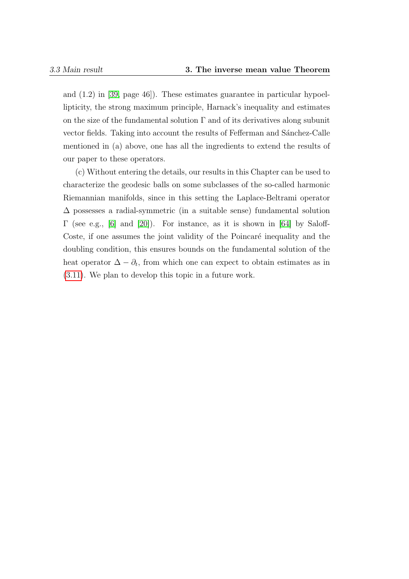and (1.2) in [\[39,](#page-125-2) page 46]). These estimates guarantee in particular hypoellipticity, the strong maximum principle, Harnack's inequality and estimates on the size of the fundamental solution  $\Gamma$  and of its derivatives along subunit vector fields. Taking into account the results of Fefferman and Sánchez-Calle mentioned in (a) above, one has all the ingredients to extend the results of our paper to these operators.

(c) Without entering the details, our results in this Chapter can be used to characterize the geodesic balls on some subclasses of the so-called harmonic Riemannian manifolds, since in this setting the Laplace-Beltrami operator  $\Delta$  possesses a radial-symmetric (in a suitable sense) fundamental solution  $\Gamma$  (see e.g., [\[6\]](#page-122-2) and [\[20\]](#page-124-3)). For instance, as it is shown in [\[64\]](#page-128-3) by Saloff-Coste, if one assumes the joint validity of the Poincaré inequality and the doubling condition, this ensures bounds on the fundamental solution of the heat operator  $\Delta - \partial_t$ , from which one can expect to obtain estimates as in [\(3.11\)](#page-59-2). We plan to develop this topic in a future work.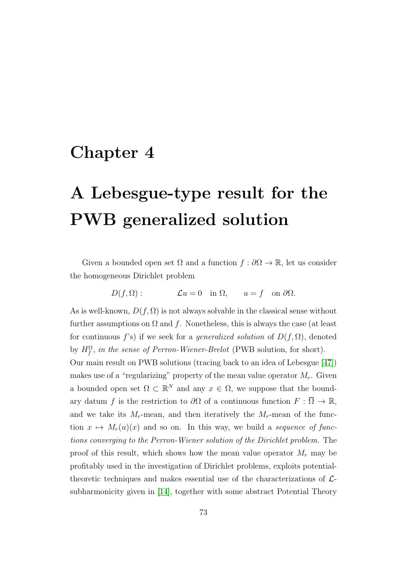### Chapter 4

## A Lebesgue-type result for the PWB generalized solution

Given a bounded open set  $\Omega$  and a function  $f : \partial\Omega \to \mathbb{R}$ , let us consider the homogeneous Dirichlet problem

$$
D(f, \Omega): \qquad \mathcal{L}u = 0 \quad \text{in } \Omega, \qquad u = f \quad \text{on } \partial \Omega.
$$

As is well-known,  $D(f, \Omega)$  is not always solvable in the classical sense without further assumptions on  $\Omega$  and f. Nonetheless, this is always the case (at least for continuous f's) if we seek for a *generalized solution* of  $D(f, \Omega)$ , denoted by  $H_f^{\Omega}$ , in the sense of Perron-Wiener-Brelot (PWB solution, for short).

Our main result on PWB solutions (tracing back to an idea of Lebesgue [\[47\]](#page-126-0)) makes use of a "regularizing" property of the mean value operator  $M_r$ . Given a bounded open set  $\Omega \subset \mathbb{R}^N$  and any  $x \in \Omega$ , we suppose that the boundary datum f is the restriction to  $\partial\Omega$  of a continuous function  $F : \overline{\Omega} \to \mathbb{R}$ , and we take its  $M_r$ -mean, and then iteratively the  $M_r$ -mean of the function  $x \mapsto M_r(u)(x)$  and so on. In this way, we build a sequence of functions converging to the Perron-Wiener solution of the Dirichlet problem. The proof of this result, which shows how the mean value operator  $M_r$  may be profitably used in the investigation of Dirichlet problems, exploits potentialtheoretic techniques and makes essential use of the characterizations of  $\mathcal{L}$ subharmonicity given in [\[14\]](#page-123-0), together with some abstract Potential Theory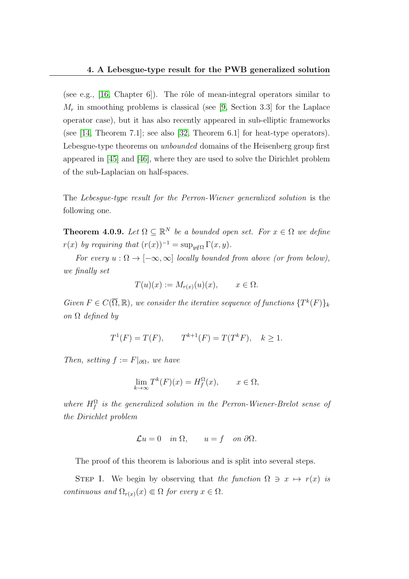(see e.g., [\[16,](#page-123-1) Chapter 6]). The rôle of mean-integral operators similar to  $M_r$  in smoothing problems is classical (see [\[9,](#page-122-0) Section 3.3] for the Laplace operator case), but it has also recently appeared in sub-elliptic frameworks (see [\[14,](#page-123-0) Theorem 7.1]; see also [\[32,](#page-125-0) Theorem 6.1] for heat-type operators). Lebesgue-type theorems on unbounded domains of the Heisenberg group first appeared in [\[45\]](#page-126-1) and [\[46\]](#page-126-2), where they are used to solve the Dirichlet problem of the sub-Laplacian on half-spaces.

The Lebesgue-type result for the Perron-Wiener generalized solution is the following one.

<span id="page-73-0"></span>**Theorem 4.0.9.** Let  $\Omega \subseteq \mathbb{R}^N$  be a bounded open set. For  $x \in \Omega$  we define  $r(x)$  by requiring that  $(r(x))^{-1} = \sup_{y \notin \Omega} \Gamma(x, y)$ .

For every  $u : \Omega \to [-\infty, \infty]$  locally bounded from above (or from below), we finally set

$$
T(u)(x) := M_{r(x)}(u)(x), \qquad x \in \Omega.
$$

Given  $F \in C(\overline{\Omega}, \mathbb{R})$ , we consider the iterative sequence of functions  $\{T^k(F)\}_k$ on  $\Omega$  defined by

$$
T^1(F) = T(F)
$$
,  $T^{k+1}(F) = T(T^k F)$ ,  $k \ge 1$ .

Then, setting  $f := F|_{\partial\Omega}$ , we have

$$
\lim_{k \to \infty} T^k(F)(x) = H_f^{\Omega}(x), \qquad x \in \Omega,
$$

where  $H_f^{\Omega}$  is the generalized solution in the Perron-Wiener-Brelot sense of the Dirichlet problem

$$
\mathcal{L}u = 0 \quad in \ \Omega, \qquad u = f \quad on \ \partial\Omega.
$$

The proof of this theorem is laborious and is split into several steps.

STEP I. We begin by observing that the function  $\Omega \ni x \mapsto r(x)$  is continuous and  $\Omega_{r(x)}(x) \in \Omega$  for every  $x \in \Omega$ .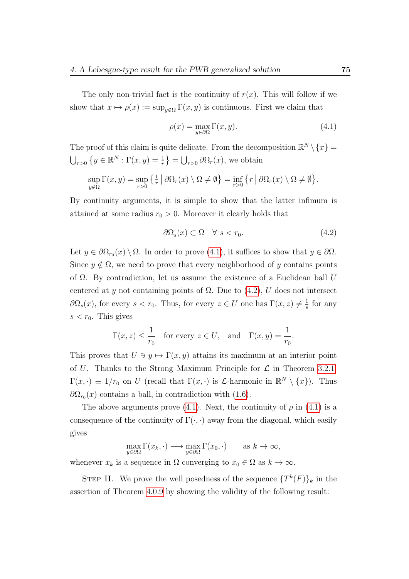The only non-trivial fact is the continuity of  $r(x)$ . This will follow if we show that  $x \mapsto \rho(x) := \sup_{y \notin \Omega} \Gamma(x, y)$  is continuous. First we claim that

<span id="page-74-0"></span>
$$
\rho(x) = \max_{y \in \partial \Omega} \Gamma(x, y). \tag{4.1}
$$

The proof of this claim is quite delicate. From the decomposition  $\mathbb{R}^N \setminus \{x\} =$  $\bigcup_{r>0} \{y \in \mathbb{R}^N : \Gamma(x,y) = \frac{1}{r}\} = \bigcup_{r>0} \partial \Omega_r(x)$ , we obtain

$$
\sup_{y \notin \Omega} \Gamma(x, y) = \sup_{r > 0} \left\{ \frac{1}{r} \, \middle| \, \partial \Omega_r(x) \setminus \Omega \neq \emptyset \right\} = \inf_{r > 0} \left\{ r \, \middle| \, \partial \Omega_r(x) \setminus \Omega \neq \emptyset \right\}.
$$

By continuity arguments, it is simple to show that the latter infimum is attained at some radius  $r_0 > 0$ . Moreover it clearly holds that

<span id="page-74-1"></span>
$$
\partial \Omega_s(x) \subset \Omega \quad \forall \ s < r_0. \tag{4.2}
$$

Let  $y \in \partial \Omega_{r_0}(x) \setminus \Omega$ . In order to prove [\(4.1\)](#page-74-0), it suffices to show that  $y \in \partial \Omega$ . Since  $y \notin \Omega$ , we need to prove that every neighborhood of y contains points of  $\Omega$ . By contradiction, let us assume the existence of a Euclidean ball U centered at y not containing points of  $\Omega$ . Due to [\(4.2\)](#page-74-1), U does not intersect  $\partial\Omega_s(x)$ , for every  $s < r_0$ . Thus, for every  $z \in U$  one has  $\Gamma(x, z) \neq \frac{1}{s}$  $\frac{1}{s}$  for any  $s < r_0$ . This gives

$$
\Gamma(x, z) \leq \frac{1}{r_0}
$$
 for every  $z \in U$ , and  $\Gamma(x, y) = \frac{1}{r_0}$ .

This proves that  $U \ni y \mapsto \Gamma(x, y)$  attains its maximum at an interior point of U. Thanks to the Strong Maximum Principle for  $\mathcal L$  in Theorem [3.2.1,](#page-58-0)  $\Gamma(x, \cdot) \equiv 1/r_0$  on U (recall that  $\Gamma(x, \cdot)$  is *L*-harmonic in  $\mathbb{R}^N \setminus \{x\}$ ). Thus  $\partial\Omega_{r_0}(x)$  contains a ball, in contradiction with [\(1.6\)](#page-15-0).

The above arguments prove [\(4.1\)](#page-74-0). Next, the continuity of  $\rho$  in (4.1) is a consequence of the continuity of  $\Gamma(\cdot, \cdot)$  away from the diagonal, which easily gives

$$
\max_{y \in \partial \Omega} \Gamma(x_k, \cdot) \longrightarrow \max_{y \in \partial \Omega} \Gamma(x_0, \cdot) \quad \text{as } k \to \infty,
$$

whenever  $x_k$  is a sequence in  $\Omega$  converging to  $x_0 \in \Omega$  as  $k \to \infty$ .

STEP II. We prove the well posedness of the sequence  $\{T^k(F)\}_k$  in the assertion of Theorem [4.0.9](#page-73-0) by showing the validity of the following result: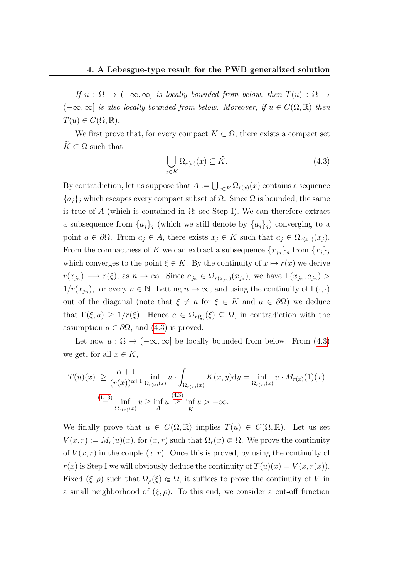If  $u : \Omega \to (-\infty, \infty]$  is locally bounded from below, then  $T(u) : \Omega \to$  $(-\infty,\infty]$  is also locally bounded from below. Moreover, if  $u \in C(\Omega,\mathbb{R})$  then  $T(u) \in C(\Omega,\mathbb{R}).$ 

We first prove that, for every compact  $K \subset \Omega$ , there exists a compact set  $\widetilde{K} \subset \Omega$  such that

<span id="page-75-0"></span>
$$
\bigcup_{x \in K} \Omega_{r(x)}(x) \subseteq \widetilde{K}.\tag{4.3}
$$

By contradiction, let us suppose that  $A := \bigcup_{x \in K} \Omega_{r(x)}(x)$  contains a sequence  ${a_j}_j$  which escapes every compact subset of  $\Omega$ . Since  $\Omega$  is bounded, the same is true of A (which is contained in  $\Omega$ ; see Step I). We can therefore extract a subsequence from  $\{a_j\}_j$  (which we still denote by  $\{a_j\}_j$ ) converging to a point  $a \in \partial\Omega$ . From  $a_j \in A$ , there exists  $x_j \in K$  such that  $a_j \in \Omega_{r(x_j)}(x_j)$ . From the compactness of K we can extract a subsequence  $\{x_{j_n}\}\$ n from  $\{x_j\}_j$ which converges to the point  $\xi \in K$ . By the continuity of  $x \mapsto r(x)$  we derive  $r(x_{j_n}) \longrightarrow r(\xi)$ , as  $n \to \infty$ . Since  $a_{j_n} \in \Omega_{r(x_{j_n})}(x_{j_n})$ , we have  $\Gamma(x_{j_n}, a_{j_n}) >$  $1/r(x_{j_n})$ , for every  $n \in \mathbb{N}$ . Letting  $n \to \infty$ , and using the continuity of  $\Gamma(\cdot, \cdot)$ out of the diagonal (note that  $\xi \neq a$  for  $\xi \in K$  and  $a \in \partial \Omega$ ) we deduce that  $\Gamma(\xi, a) \geq 1/r(\xi)$ . Hence  $a \in \overline{\Omega_{r(\xi)}(\xi)} \subseteq \Omega$ , in contradiction with the assumption  $a \in \partial\Omega$ , and  $(4.3)$  is proved.

Let now  $u : \Omega \to (-\infty, \infty]$  be locally bounded from below. From [\(4.3\)](#page-75-0) we get, for all  $x \in K$ ,

$$
T(u)(x) \ge \frac{\alpha + 1}{(r(x))^{\alpha + 1}} \inf_{\Omega_{r(x)}(x)} u \cdot \int_{\Omega_{r(x)}(x)} K(x, y) dy = \inf_{\Omega_{r(x)}(x)} u \cdot M_{r(x)}(1)(x)
$$
  

$$
\stackrel{(1.13)}{=} \inf_{\Omega_{r(x)}(x)} u \ge \inf_{A} u \ge \inf_{\widetilde{K}} u > -\infty.
$$

We finally prove that  $u \in C(\Omega, \mathbb{R})$  implies  $T(u) \in C(\Omega, \mathbb{R})$ . Let us set  $V(x, r) := M_r(u)(x)$ , for  $(x, r)$  such that  $\Omega_r(x) \in \Omega$ . We prove the continuity of  $V(x, r)$  in the couple  $(x, r)$ . Once this is proved, by using the continuity of  $r(x)$  is Step I we will obviously deduce the continuity of  $T(u)(x) = V(x, r(x))$ . Fixed  $(\xi, \rho)$  such that  $\Omega_{\rho}(\xi) \in \Omega$ , it suffices to prove the continuity of V in a small neighborhood of  $(\xi, \rho)$ . To this end, we consider a cut-off function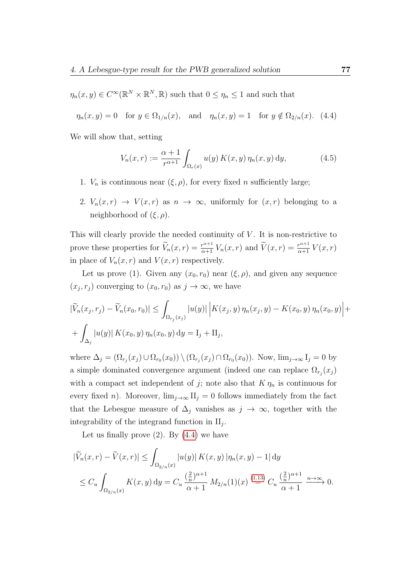$\eta_n(x, y) \in C^\infty(\mathbb{R}^N \times \mathbb{R}^N, \mathbb{R})$  such that  $0 \leq \eta_n \leq 1$  and such that

$$
\eta_n(x, y) = 0
$$
 for  $y \in \Omega_{1/n}(x)$ , and  $\eta_n(x, y) = 1$  for  $y \notin \Omega_{2/n}(x)$ . (4.4)

We will show that, setting

<span id="page-76-0"></span>
$$
V_n(x,r) := \frac{\alpha+1}{r^{\alpha+1}} \int_{\Omega_r(x)} u(y) \, K(x,y) \, \eta_n(x,y) \, dy,\tag{4.5}
$$

- 1.  $V_n$  is continuous near  $(\xi, \rho)$ , for every fixed *n* sufficiently large;
- 2.  $V_n(x,r) \rightarrow V(x,r)$  as  $n \rightarrow \infty$ , uniformly for  $(x,r)$  belonging to a neighborhood of  $(\xi, \rho)$ .

This will clearly provide the needed continuity of  $V$ . It is non-restrictive to prove these properties for  $\widetilde{V}_n(x,r) = \frac{r^{\alpha+1}}{\alpha+1} V_n(x,r)$  and  $\widetilde{V}(x,r) = \frac{r^{\alpha+1}}{\alpha+1} V(x,r)$ in place of  $V_n(x,r)$  and  $V(x,r)$  respectively.

Let us prove (1). Given any  $(x_0, r_0)$  near  $(\xi, \rho)$ , and given any sequence  $(x_j, r_j)$  converging to  $(x_0, r_0)$  as  $j \to \infty$ , we have

$$
\left| \widetilde{V}_n(x_j, r_j) - \widetilde{V}_n(x_0, r_0) \right| \leq \int_{\Omega_{r_j}(x_j)} |u(y)| \left| K(x_j, y) \eta_n(x_j, y) - K(x_0, y) \eta_n(x_0, y) \right| +
$$
  
+ 
$$
\int_{\Delta_j} |u(y)| K(x_0, y) \eta_n(x_0, y) dy = I_j + II_j,
$$

where  $\Delta_j = (\Omega_{r_j}(x_j) \cup \Omega_{r_0}(x_0)) \setminus (\Omega_{r_j}(x_j) \cap \Omega_{r_0}(x_0))$ . Now,  $\lim_{j \to \infty} I_j = 0$  by a simple dominated convergence argument (indeed one can replace  $\Omega_{r_j}(x_j)$ with a compact set independent of j; note also that  $K \eta_n$  is continuous for every fixed n). Moreover,  $\lim_{i\to\infty}$  II<sub>j</sub> = 0 follows immediately from the fact that the Lebesgue measure of  $\Delta_i$  vanishes as  $j \to \infty$ , together with the integrability of the integrand function in  $II_j$ .

Let us finally prove  $(2)$ . By  $(4.4)$  we have

$$
|\widetilde{V}_n(x,r) - \widetilde{V}(x,r)| \le \int_{\Omega_{2/n}(x)} |u(y)| K(x,y) |\eta_n(x,y) - 1| dy
$$
  
 
$$
\le C_u \int_{\Omega_{2/n}(x)} K(x,y) dy = C_u \frac{\left(\frac{2}{n}\right)^{\alpha+1}}{\alpha+1} M_{2/n}(1)(x) \stackrel{(1.13)}{=} C_u \frac{\left(\frac{2}{n}\right)^{\alpha+1}}{\alpha+1} \xrightarrow{n \to \infty} 0.
$$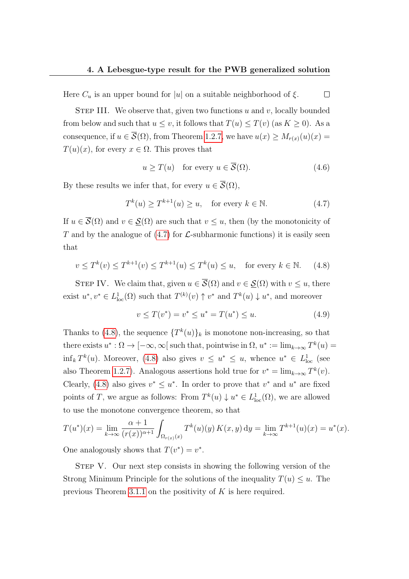Here  $C_u$  is an upper bound for |u| on a suitable neighborhood of  $\xi$ .  $\Box$ 

STEP III. We observe that, given two functions  $u$  and  $v$ , locally bounded from below and such that  $u \leq v$ , it follows that  $T(u) \leq T(v)$  (as  $K \geq 0$ ). As a consequence, if  $u \in \overline{\mathcal{S}}(\Omega)$ , from Theorem [1.2.7,](#page-19-1) we have  $u(x) \geq M_{r(x)}(u)(x) =$  $T(u)(x)$ , for every  $x \in \Omega$ . This proves that

<span id="page-77-2"></span><span id="page-77-0"></span>
$$
u \ge T(u) \quad \text{for every } u \in \overline{\mathcal{S}}(\Omega). \tag{4.6}
$$

By these results we infer that, for every  $u \in \overline{\mathcal{S}}(\Omega)$ ,

$$
T^{k}(u) \ge T^{k+1}(u) \ge u, \quad \text{for every } k \in \mathbb{N}.
$$
 (4.7)

If  $u \in \overline{\mathcal{S}}(\Omega)$  and  $v \in \mathcal{S}(\Omega)$  are such that  $v \leq u$ , then (by the monotonicity of T and by the analogue of  $(4.7)$  for  $\mathcal{L}$ -subharmonic functions) it is easily seen that

<span id="page-77-1"></span>
$$
v \le T^k(v) \le T^{k+1}(v) \le T^{k+1}(u) \le T^k(u) \le u, \quad \text{for every } k \in \mathbb{N}.
$$
 (4.8)

STEP IV. We claim that, given  $u \in \overline{\mathcal{S}}(\Omega)$  and  $v \in \mathcal{S}(\Omega)$  with  $v \leq u$ , there exist  $u^*, v^* \in L^1_{loc}(\Omega)$  such that  $T^{(k)}(v) \uparrow v^*$  and  $T^k(u) \downarrow u^*$ , and moreover

<span id="page-77-3"></span>
$$
v \le T(v^*) = v^* \le u^* = T(u^*) \le u. \tag{4.9}
$$

Thanks to [\(4.8\)](#page-77-1), the sequence  $\{T^k(u)\}_k$  is monotone non-increasing, so that there exists  $u^*: \Omega \to [-\infty, \infty]$  such that, pointwise in  $\Omega, u^* := \lim_{k \to \infty} T^k(u) =$  $\inf_k T^k(u)$ . Moreover, [\(4.8\)](#page-77-1) also gives  $v \leq u^* \leq u$ , whence  $u^* \in L^1_{loc}$  (see also Theorem [1.2.7\)](#page-19-1). Analogous assertions hold true for  $v^* = \lim_{k \to \infty} T^k(v)$ . Clearly, [\(4.8\)](#page-77-1) also gives  $v^* \leq u^*$ . In order to prove that  $v^*$  and  $u^*$  are fixed points of T, we argue as follows: From  $T^k(u) \downarrow u^* \in L^1_{loc}(\Omega)$ , we are allowed to use the monotone convergence theorem, so that

$$
T(u^*)(x) = \lim_{k \to \infty} \frac{\alpha + 1}{(r(x))^{\alpha + 1}} \int_{\Omega_{r(x)}(x)} T^k(u)(y) K(x, y) dy = \lim_{k \to \infty} T^{k+1}(u)(x) = u^*(x).
$$

One analogously shows that  $T(v^*) = v^*$ .

Step V. Our next step consists in showing the following version of the Strong Minimum Principle for the solutions of the inequality  $T(u) \leq u$ . The previous Theorem [3.1.1](#page-54-0) on the positivity of  $K$  is here required.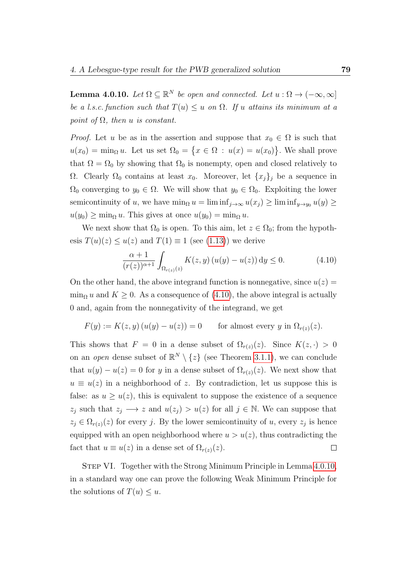<span id="page-78-1"></span>**Lemma 4.0.10.** Let  $\Omega \subseteq \mathbb{R}^N$  be open and connected. Let  $u : \Omega \to (-\infty, \infty]$ be a l.s.c. function such that  $T(u) \leq u$  on  $\Omega$ . If u attains its minimum at a point of  $\Omega$ , then u is constant.

*Proof.* Let u be as in the assertion and suppose that  $x_0 \in \Omega$  is such that  $u(x_0) = \min_{\Omega} u$ . Let us set  $\Omega_0 = \{x \in \Omega : u(x) = u(x_0)\}\.$  We shall prove that  $\Omega = \Omega_0$  by showing that  $\Omega_0$  is nonempty, open and closed relatively to  $Ω$ . Clearly  $Ω<sub>0</sub>$  contains at least  $x<sub>0</sub>$ . Moreover, let  ${x<sub>i</sub>}$ <sub>i</sub> be a sequence in  $\Omega_0$  converging to  $y_0 \in \Omega$ . We will show that  $y_0 \in \Omega_0$ . Exploiting the lower semicontinuity of u, we have  $\min_{\Omega} u = \liminf_{j \to \infty} u(x_j) \ge \liminf_{y \to y_0} u(y) \ge$  $u(y_0) \ge \min_{\Omega} u$ . This gives at once  $u(y_0) = \min_{\Omega} u$ .

We next show that  $\Omega_0$  is open. To this aim, let  $z \in \Omega_0$ ; from the hypothesis  $T(u)(z) \le u(z)$  and  $T(1) \equiv 1$  (see [\(1.13\)](#page-19-0)) we derive

<span id="page-78-0"></span>
$$
\frac{\alpha+1}{(r(z))^{\alpha+1}} \int_{\Omega_{r(z)}(z)} K(z,y) \left( u(y) - u(z) \right) dy \le 0. \tag{4.10}
$$

On the other hand, the above integrand function is nonnegative, since  $u(z) =$  $\min_{\Omega} u$  and  $K \geq 0$ . As a consequence of [\(4.10\)](#page-78-0), the above integral is actually 0 and, again from the nonnegativity of the integrand, we get

$$
F(y) := K(z, y) (u(y) - u(z)) = 0 \quad \text{for almost every } y \text{ in } \Omega_{r(z)}(z).
$$

This shows that  $F = 0$  in a dense subset of  $\Omega_{r(z)}(z)$ . Since  $K(z, \cdot) > 0$ on an *open* dense subset of  $\mathbb{R}^N \setminus \{z\}$  (see Theorem [3.1.1\)](#page-54-0), we can conclude that  $u(y) - u(z) = 0$  for y in a dense subset of  $\Omega_{r(z)}(z)$ . We next show that  $u \equiv u(z)$  in a neighborhood of z. By contradiction, let us suppose this is false: as  $u \geq u(z)$ , this is equivalent to suppose the existence of a sequence  $z_j$  such that  $z_j \longrightarrow z$  and  $u(z_j) > u(z)$  for all  $j \in \mathbb{N}$ . We can suppose that  $z_j \in \Omega_{r(z)}(z)$  for every j. By the lower semicontinuity of u, every  $z_j$  is hence equipped with an open neighborhood where  $u > u(z)$ , thus contradicting the fact that  $u \equiv u(z)$  in a dense set of  $\Omega_{r(z)}(z)$ .  $\Box$ 

Step VI. Together with the Strong Minimum Principle in Lemma [4.0.10,](#page-78-1) in a standard way one can prove the following Weak Minimum Principle for the solutions of  $T(u) \leq u$ .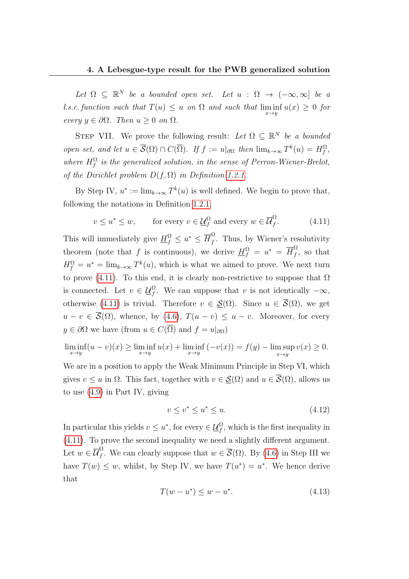Let  $\Omega \subseteq \mathbb{R}^N$  be a bounded open set. Let  $u : \Omega \to (-\infty, \infty]$  be a l.s.c. function such that  $T(u) \leq u$  on  $\Omega$  and such that  $\liminf_{x \to y} u(x) \geq 0$  for every  $y \in \partial \Omega$ . Then  $u \geq 0$  on  $\Omega$ .

STEP VII. We prove the following result: Let  $\Omega \subseteq \mathbb{R}^N$  be a bounded open set, and let  $u \in \overline{\mathcal{S}}(\Omega) \cap C(\overline{\Omega})$ . If  $f := u|_{\partial\Omega}$  then  $\lim_{k \to \infty} T^k(u) = H_f^{\Omega}$ , where  $H_f^{\Omega}$  is the generalized solution, in the sense of Perron-Wiener-Brelot, of the Dirichlet problem  $D(f, \Omega)$  in Definition [1.2.1.](#page-13-0)

By Step IV,  $u^* := \lim_{k \to \infty} T^k(u)$  is well defined. We begin to prove that, following the notations in Definition [1.2.1,](#page-13-0)

<span id="page-79-0"></span>
$$
v \le u^* \le w
$$
, for every  $v \in \underline{\mathcal{U}}_f^{\Omega}$  and every  $w \in \overline{\mathcal{U}}_f^{\Omega}$ . (4.11)

This will immediately give  $\underline{H}_f^{\Omega} \le u^* \le \overline{H}_f^{\Omega}$  $\int_{f}^{x}$ . Thus, by Wiener's resolutivity theorem (note that f is continuous), we derive  $\underline{H}_f^{\Omega} = u^* = \overline{H}_f^{\Omega}$  $f$ <sup>i</sup>, so that  $H_f^{\Omega} = u^* = \lim_{k \to \infty} T^k(u)$ , which is what we aimed to prove. We next turn to prove [\(4.11\)](#page-79-0). To this end, it is clearly non-restrictive to suppose that  $\Omega$ is connected. Let  $v \in \mathcal{U}_f^{\Omega}$ . We can suppose that v is not identically  $-\infty$ , otherwise [\(4.11\)](#page-79-0) is trivial. Therefore  $v \in \underline{\mathcal{S}}(\Omega)$ . Since  $u \in \overline{\mathcal{S}}(\Omega)$ , we get  $u - v \in \overline{\mathcal{S}}(\Omega)$ , whence, by [\(4.6\)](#page-77-2),  $T(u - v) \leq u - v$ . Moreover, for every  $y \in \partial \Omega$  we have (from  $u \in C(\overline{\Omega})$  and  $f = u|_{\partial \Omega}$ )

$$
\liminf_{x \to y} (u - v)(x) \ge \liminf_{x \to y} u(x) + \liminf_{x \to y} (-v(x)) = f(y) - \limsup_{x \to y} v(x) \ge 0.
$$

We are in a position to apply the Weak Minimum Principle in Step VI, which gives  $v \leq u$  in  $\Omega$ . This fact, together with  $v \in \mathcal{S}(\Omega)$  and  $u \in \overline{\mathcal{S}}(\Omega)$ , allows us to use [\(4.9\)](#page-77-3) in Part IV, giving

<span id="page-79-1"></span>
$$
v \le v^* \le u^* \le u. \tag{4.12}
$$

In particular this yields  $v \leq u^*$ , for every  $\in \underline{\mathcal{U}}_f^{\Omega}$ , which is the first inequality in [\(4.11\)](#page-79-0). To prove the second inequality we need a slightly different argument. Let  $w \in \overline{\mathcal{U}}_f^{\Omega}$ <sup>1</sup>. We can clearly suppose that  $w \in \mathcal{S}(\Omega)$ . By [\(4.6\)](#page-77-2) in Step III we have  $T(w) \leq w$ , whilst, by Step IV, we have  $T(u^*) = u^*$ . We hence derive that

$$
T(w - u^*) \le w - u^*.
$$
\n(4.13)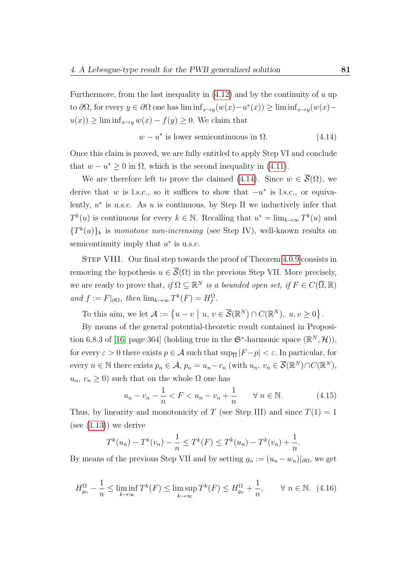Furthermore, from the last inequality in  $(4.12)$  and by the continuity of u up to  $\partial\Omega$ , for every  $y \in \partial\Omega$  one has  $\liminf_{x\to y}(w(x)-u^*(x)) \ge \liminf_{x\to y}(w(x)-u^*(x))$  $u(x)$ ) ≥ lim inf<sub>x→y</sub>  $w(x) - f(y) \geq 0$ . We claim that

<span id="page-80-0"></span>
$$
w - u^* \text{ is lower semicontinuous in } \Omega. \tag{4.14}
$$

Once this claim is proved, we are fully entitled to apply Step VI and conclude that  $w - u^* \geq 0$  in  $\Omega$ , which is the second inequality in [\(4.11\)](#page-79-0).

We are therefore left to prove the claimed [\(4.14\)](#page-80-0). Since  $w \in \overline{\mathcal{S}}(\Omega)$ , we derive that w is l.s.c., so it suffices to show that  $-u^*$  is l.s.c., or equivalently,  $u^*$  is u.s.c. As u is continuous, by Step II we inductively infer that  $T^k(u)$  is continuous for every  $k \in \mathbb{N}$ . Recalling that  $u^* = \lim_{k \to \infty} T^k(u)$  and  ${T^{k}(u)}_{k}$  is monotone non-increasing (see Step IV), well-known results on semicontinuity imply that  $u^*$  is u.s.c.

Step VIII. Our final step towards the proof of Theorem [4.0.9](#page-73-0) consists in removing the hypothesis  $u \in \overline{\mathcal{S}}(\Omega)$  in the previous Step VII. More precisely, we are ready to prove that, if  $\Omega \subseteq \mathbb{R}^N$  is a bounded open set, if  $F \in C(\overline{\Omega}, \mathbb{R})$ and  $f := F|_{\partial\Omega}$ , then  $\lim_{k \to \infty} T^k(F) = H_f^{\Omega}$ .

To this aim, we let  $\mathcal{A} := \{u - v \mid u, v \in \overline{\mathcal{S}}(\mathbb{R}^N) \cap C(\mathbb{R}^N), u, v \ge 0\}$ .

By means of the general potential-theoretic result contained in Proposi-tion 6.8.3 of [\[16,](#page-123-1) page 364] (holding true in the  $\mathfrak{S}^*$ -harmonic space  $(\mathbb{R}^N, \mathcal{H})$ ), for every  $\varepsilon > 0$  there exists  $p \in \mathcal{A}$  such that  $\sup_{\overline{\Omega}} |F - p| < \varepsilon$ . In particular, for every  $n \in \mathbb{N}$  there exists  $p_n \in \mathcal{A}$ ,  $p_n = u_n - v_n$  (with  $u_n, v_n \in \overline{\mathcal{S}}(\mathbb{R}^N) \cap C(\mathbb{R}^N)$ ,  $u_n, v_n \geq 0$ ) such that on the whole  $\Omega$  one has

<span id="page-80-1"></span>
$$
u_n - v_n - \frac{1}{n} < F < u_n - v_n + \frac{1}{n} \qquad \forall \ n \in \mathbb{N}.\tag{4.15}
$$

Thus, by linearity and monotonicity of T (see Step III) and since  $T(1) = 1$  $(see (1.13))$  $(see (1.13))$  $(see (1.13))$  we derive

$$
T^{k}(u_{n}) - T^{k}(v_{n}) - \frac{1}{n} \leq T^{k}(F) \leq T^{k}(u_{n}) - T^{k}(v_{n}) + \frac{1}{n}.
$$

<span id="page-80-2"></span>By means of the previous Step VII and by setting  $g_n := (u_n - w_n)|_{\partial\Omega}$ , we get

$$
H_{g_n}^{\Omega} - \frac{1}{n} \le \liminf_{k \to \infty} T^k(F) \le \limsup_{k \to \infty} T^k(F) \le H_{g_n}^{\Omega} + \frac{1}{n}, \qquad \forall n \in \mathbb{N}. \tag{4.16}
$$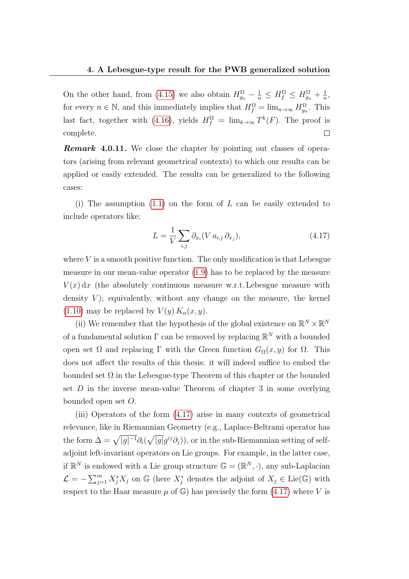On the other hand, from [\(4.15\)](#page-80-1) we also obtain  $H_{g_n}^{\Omega} - \frac{1}{n} \leq H_f^{\Omega} \leq H_{g_n}^{\Omega} + \frac{1}{n}$  $\frac{1}{n}$ , for every  $n \in \mathbb{N}$ , and this immediately implies that  $H_f^{\Omega} = \lim_{n \to \infty} H_{g_n}^{\Omega}$ . This last fact, together with [\(4.16\)](#page-80-2), yields  $H_f^{\Omega} = \lim_{k \to \infty} T^k(F)$ . The proof is complete.  $\Box$ 

**Remark 4.0.11.** We close the chapter by pointing out classes of operators (arising from relevant geometrical contexts) to which our results can be applied or easily extended. The results can be generalized to the following cases:

(i) The assumption  $(1.1)$  on the form of L can be easily extended to include operators like:

<span id="page-81-0"></span>
$$
L = \frac{1}{V} \sum_{i,j} \partial_{x_i} (V a_{i,j} \partial_{x_j}), \qquad (4.17)
$$

where  $V$  is a smooth positive function. The only modification is that Lebesgue measure in our mean-value operator [\(1.9\)](#page-17-0) has to be replaced by the measure  $V(x) dx$  (the absolutely continuous measure w.r.t. Lebesgue measure with density  $V$ ; equivalently, without any change on the measure, the kernel [\(1.10\)](#page-17-1) may be replaced by  $V(y) K_{\alpha}(x, y)$ .

(ii) We remember that the hypothesis of the global existence on  $\mathbb{R}^N \times \mathbb{R}^N$ of a fundamental solution  $\Gamma$  can be removed by replacing  $\mathbb{R}^N$  with a bounded open set Ω and replacing Γ with the Green function  $G_{\Omega}(x, y)$  for Ω. This does not affect the results of this thesis: it will indeed suffice to embed the bounded set  $\Omega$  in the Lebesgue-type Theorem of this chapter or the bounded set  $D$  in the inverse mean-value Theorem of chapter 3 in some overlying bounded open set O.

(iii) Operators of the form [\(4.17\)](#page-81-0) arise in many contexts of geometrical relevance, like in Riemannian Geometry (e.g., Laplace-Beltrami operator has the form  $\Delta = \sqrt{|g|^{-1}} \partial_i(\sqrt{|g|} g^{ij} \partial_j)$ , or in the sub-Riemannian setting of selfadjoint left-invariant operators on Lie groups. For example, in the latter case, if  $\mathbb{R}^N$  is endowed with a Lie group structure  $\mathbb{G} = (\mathbb{R}^N, \cdot)$ , any sub-Laplacian  $\mathcal{L} = -\sum_{j=1}^m X_j^* X_j$  on G (here  $X_j^*$  denotes the adjoint of  $X_j \in \text{Lie}(\mathbb{G})$  with respect to the Haar measure  $\mu$  of  $\mathbb{G}$ ) has precisely the form [\(4.17\)](#page-81-0) where V is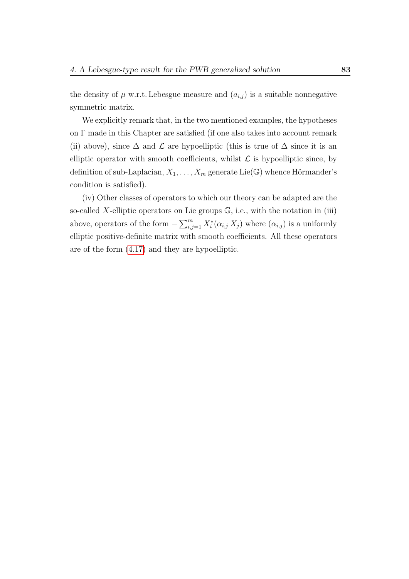the density of  $\mu$  w.r.t. Lebesgue measure and  $(a_{i,j})$  is a suitable nonnegative symmetric matrix.

We explicitly remark that, in the two mentioned examples, the hypotheses on Γ made in this Chapter are satisfied (if one also takes into account remark (ii) above), since  $\Delta$  and  $\mathcal L$  are hypoelliptic (this is true of  $\Delta$  since it is an elliptic operator with smooth coefficients, whilst  $\mathcal L$  is hypoelliptic since, by definition of sub-Laplacian,  $X_1, \ldots, X_m$  generate Lie( $\mathbb{G}$ ) whence Hörmander's condition is satisfied).

(iv) Other classes of operators to which our theory can be adapted are the so-called X-elliptic operators on Lie groups  $\mathbb{G}$ , i.e., with the notation in (iii) above, operators of the form  $-\sum_{i,j=1}^m X_i^*(\alpha_{i,j} X_j)$  where  $(\alpha_{i,j})$  is a uniformly elliptic positive-definite matrix with smooth coefficients. All these operators are of the form [\(4.17\)](#page-81-0) and they are hypoelliptic.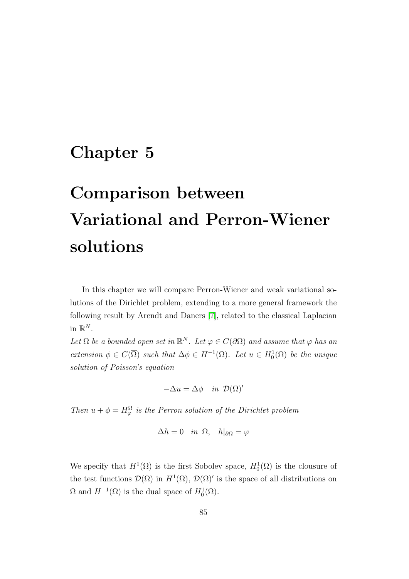## Chapter 5

# Comparison between Variational and Perron-Wiener solutions

In this chapter we will compare Perron-Wiener and weak variational solutions of the Dirichlet problem, extending to a more general framework the following result by Arendt and Daners [\[7\]](#page-122-1), related to the classical Laplacian in  $\mathbb{R}^N$ .

Let  $\Omega$  be a bounded open set in  $\mathbb{R}^N$ . Let  $\varphi \in C(\partial \Omega)$  and assume that  $\varphi$  has an extension  $\phi \in C(\overline{\Omega})$  such that  $\Delta \phi \in H^{-1}(\Omega)$ . Let  $u \in H_0^1(\Omega)$  be the unique solution of Poisson's equation

$$
-\Delta u = \Delta \phi \quad in \ \mathcal{D}(\Omega)'
$$

Then  $u + \phi = H^{\Omega}_{\varphi}$  is the Perron solution of the Dirichlet problem

$$
\Delta h = 0 \quad in \ \Omega, \quad h|_{\partial\Omega} = \varphi
$$

We specify that  $H^1(\Omega)$  is the first Sobolev space,  $H_0^1(\Omega)$  is the clousure of the test functions  $\mathcal{D}(\Omega)$  in  $H^1(\Omega)$ ,  $\mathcal{D}(\Omega)'$  is the space of all distributions on  $\Omega$  and  $H^{-1}(\Omega)$  is the dual space of  $H_0^1(\Omega)$ .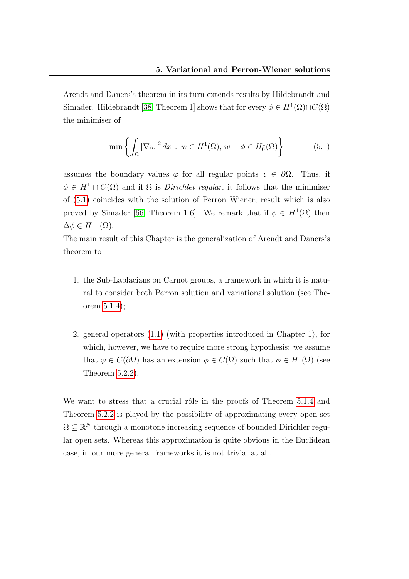Arendt and Daners's theorem in its turn extends results by Hildebrandt and Simader. Hildebrandt [\[38,](#page-125-1) Theorem 1] shows that for every  $\phi \in H^1(\Omega) \cap C(\overline{\Omega})$ the minimiser of

<span id="page-85-0"></span>
$$
\min\left\{\int_{\Omega} |\nabla w|^2 dx : w \in H^1(\Omega), w - \phi \in H_0^1(\Omega)\right\}
$$
(5.1)

assumes the boundary values  $\varphi$  for all regular points  $z \in \partial \Omega$ . Thus, if  $\phi \in H^1 \cap C(\overline{\Omega})$  and if  $\Omega$  is *Dirichlet regular*, it follows that the minimiser of [\(5.1\)](#page-85-0) coincides with the solution of Perron Wiener, result which is also proved by Simader [\[66,](#page-128-0) Theorem 1.6]. We remark that if  $\phi \in H^1(\Omega)$  then  $\Delta \phi \in H^{-1}(\Omega)$ .

The main result of this Chapter is the generalization of Arendt and Daners's theorem to

- 1. the Sub-Laplacians on Carnot groups, a framework in which it is natural to consider both Perron solution and variational solution (see Theorem [5.1.4\)](#page-90-0);
- 2. general operators [\(1.1\)](#page-11-0) (with properties introduced in Chapter 1), for which, however, we have to require more strong hypothesis: we assume that  $\varphi \in C(\partial\Omega)$  has an extension  $\phi \in C(\overline{\Omega})$  such that  $\phi \in H^1(\Omega)$  (see Theorem [5.2.2\)](#page-100-0).

We want to stress that a crucial rôle in the proofs of Theorem [5.1.4](#page-90-0) and Theorem [5.2.2](#page-100-0) is played by the possibility of approximating every open set  $\Omega \subseteq \mathbb{R}^N$  through a monotone increasing sequence of bounded Dirichler regular open sets. Whereas this approximation is quite obvious in the Euclidean case, in our more general frameworks it is not trivial at all.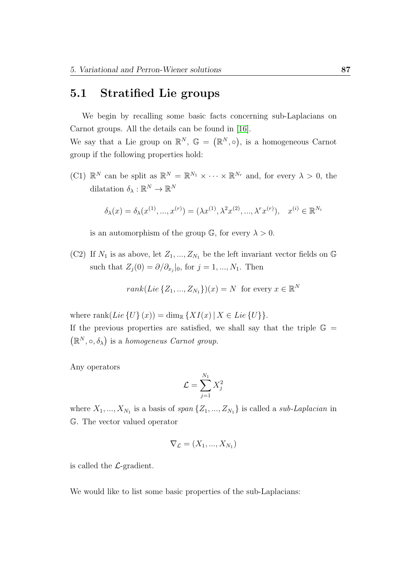#### 5.1 Stratified Lie groups

We begin by recalling some basic facts concerning sub-Laplacians on Carnot groups. All the details can be found in [\[16\]](#page-123-1).

We say that a Lie group on  $\mathbb{R}^N$ ,  $\mathbb{G} = (\mathbb{R}^N, \circ)$ , is a homogeneous Carnot group if the following properties hold:

(C1)  $\mathbb{R}^N$  can be split as  $\mathbb{R}^N = \mathbb{R}^{N_1} \times \cdots \times \mathbb{R}^{N_r}$  and, for every  $\lambda > 0$ , the dilatation  $\delta_{\lambda}: \mathbb{R}^{N} \to \mathbb{R}^{N}$ 

$$
\delta_{\lambda}(x) = \delta_{\lambda}(x^{(1)}, ..., x^{(r)}) = (\lambda x^{(1)}, \lambda^2 x^{(2)}, ..., \lambda^r x^{(r)}), \quad x^{(i)} \in \mathbb{R}^{N_i}
$$

is an automorphism of the group  $\mathbb{G}$ , for every  $\lambda > 0$ .

(C2) If  $N_1$  is as above, let  $Z_1, ..., Z_{N_1}$  be the left invariant vector fields on G such that  $Z_j(0) = \partial/\partial_{x_j}|_0$ , for  $j = 1, ..., N_1$ . Then

$$
rank(Lie\{Z_1, ..., Z_{N_1}\})(x) = N \text{ for every } x \in \mathbb{R}^N
$$

where rank $(Lie \{U\}(x)) = \dim_{\mathbb{R}} \{XI(x) | X \in Lie \{U\}\}.$ If the previous properties are satisfied, we shall say that the triple  $\mathbb{G}$  =  $(\mathbb{R}^N, \circ, \delta_\lambda)$  is a homogeneus Carnot group.

Any operators

$$
\mathcal{L} = \sum_{j=1}^{N_1} X_j^2
$$

where  $X_1, ..., X_{N_1}$  is a basis of span  $\{Z_1, ..., Z_{N_1}\}$  is called a sub-Laplacian in G. The vector valued operator

$$
\nabla_{\mathcal{L}} = (X_1, ..., X_{N_1})
$$

is called the  $\mathcal{L}$ -gradient.

We would like to list some basic properties of the sub-Laplacians: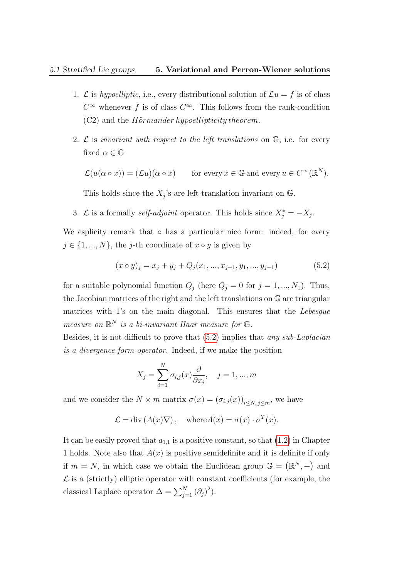- 1.  $\mathcal L$  is hypoelliptic, i.e., every distributional solution of  $\mathcal L u = f$  is of class  $C^{\infty}$  whenever f is of class  $C^{\infty}$ . This follows from the rank-condition  $(C2)$  and the Hörmander hypoellipticity theorem.
- 2.  $\mathcal L$  is invariant with respect to the left translations on  $\mathbb G$ , i.e. for every fixed  $\alpha \in \mathbb{G}$

 $\mathcal{L}(u(\alpha \circ x)) = (\mathcal{L}u)(\alpha \circ x)$  for every  $x \in \mathbb{G}$  and every  $u \in C^{\infty}(\mathbb{R}^N)$ .

This holds since the  $X_j$ 's are left-translation invariant on  $\mathbb{G}$ .

3.  $\mathcal{L}$  is a formally *self-adjoint* operator. This holds since  $X_j^* = -X_j$ .

We esplicity remark that  $\circ$  has a particular nice form: indeed, for every  $j \in \{1, ..., N\}$ , the j-th coordinate of  $x \circ y$  is given by

<span id="page-87-0"></span>
$$
(x \circ y)_j = x_j + y_j + Q_j(x_1, ..., x_{j-1}, y_1, ..., y_{j-1})
$$
\n(5.2)

for a suitable polynomial function  $Q_j$  (here  $Q_j = 0$  for  $j = 1, ..., N_1$ ). Thus, the Jacobian matrices of the right and the left translations on G are triangular matrices with 1's on the main diagonal. This ensures that the Lebesgue measure on  $\mathbb{R}^N$  is a bi-invariant Haar measure for G.

Besides, it is not difficult to prove that [\(5.2\)](#page-87-0) implies that any sub-Laplacian is a divergence form operator. Indeed, if we make the position

$$
X_j = \sum_{i=1}^N \sigma_{i,j}(x) \frac{\partial}{\partial x_i}, \quad j = 1, ..., m
$$

and we consider the  $N \times m$  matrix  $\sigma(x) = (\sigma_{i,j}(x))_{i \leq N, j \leq m}$ , we have

$$
\mathcal{L} = \text{div}(A(x)\nabla), \quad \text{where}\n\begin{align*}\nA(x) &= \sigma(x) \cdot \sigma^T(x).\n\end{align*}
$$

It can be easily proved that  $a_{1,1}$  is a positive constant, so that  $(1.2)$  in Chapter 1 holds. Note also that  $A(x)$  is positive semidefinite and it is definite if only if  $m = N$ , in which case we obtain the Euclidean group  $\mathbb{G} = (\mathbb{R}^N, +)$  and  $\mathcal L$  is a (strictly) elliptic operator with constant coefficients (for example, the classical Laplace operator  $\Delta = \sum_{j=1}^{N} (\partial_j)^2$ .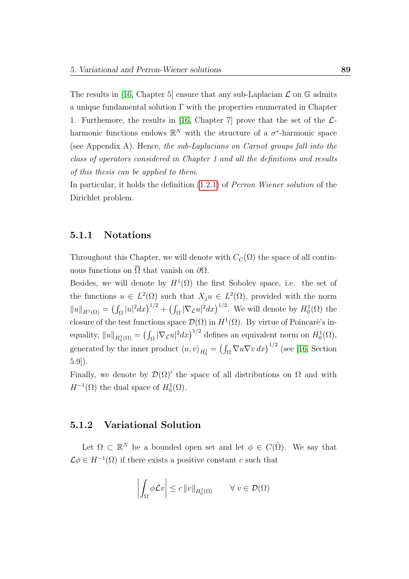The results in [\[16,](#page-123-1) Chapter 5] ensure that any sub-Laplacian  $\mathcal L$  on  $\mathbb G$  admits a unique fundamental solution  $\Gamma$  with the properties enumerated in Chapter 1. Furthemore, the results in [\[16,](#page-123-1) Chapter 7] prove that the set of the  $\mathcal{L}$ harmonic functions endows  $\mathbb{R}^N$  with the structure of a  $\sigma^*$ -harmonic space (see Appendix A). Hence, the sub-Laplacians on Carnot groups fall into the class of operators considered in Chapter 1 and all the definitions and results of this thesis can be applied to them.

In particular, it holds the definition [\(1.2.1\)](#page-13-0) of Perron Wiener solution of the Dirichlet problem.

#### 5.1.1 Notations

Throughout this Chapter, we will denote with  $C_C(\Omega)$  the space of all continuous functions on  $\overline{\Omega}$  that vanish on  $\partial\Omega$ .

Besides, we will denote by  $H^1(\Omega)$  the first Sobolev space, i.e. the set of the functions  $u \in L^2(\Omega)$  such that  $X_j u \in L^2(\Omega)$ , provided with the norm  $||u||_{H^1(\Omega)} = (\int_{\Omega} |u|^2 dx)^{1/2} + (\int_{\Omega} |\nabla_{\mathcal{L}} u|^2 dx)^{1/2}$ . We will denote by  $H_0^1(\Omega)$  the closure of the test functions space  $\mathcal{D}(\Omega)$  in  $H^1(\Omega)$ . By virtue of Poincarè's inequality,  $||u||_{H_0^1(\Omega)} = (\int_{\Omega} |\nabla_{\mathcal{L}} u|^2 dx)^{1/2}$  defines an equivalent norm on  $H_0^1(\Omega)$ , generated by the inner product  $\langle u, v \rangle_{H_0^1} = (\int_{\Omega} \nabla u \nabla v \, dx)^{1/2}$  (see [\[16,](#page-123-1) Section 5.9]).

Finally, we denote by  $\mathcal{D}(\Omega)'$  the space of all distributions on  $\Omega$  and with  $H^{-1}(\Omega)$  the dual space of  $H_0^1(\Omega)$ .

#### 5.1.2 Variational Solution

Let  $\Omega \subset \mathbb{R}^N$  be a bounded open set and let  $\phi \in C(\overline{\Omega})$ . We say that  $\mathcal{L}\phi \in H^{-1}(\Omega)$  if there exists a positive constant c such that

$$
\left| \int_{\Omega} \phi \mathcal{L} v \right| \leq c \left\| v \right\|_{H_0^1(\Omega)} \qquad \forall \ v \in \mathcal{D}(\Omega)
$$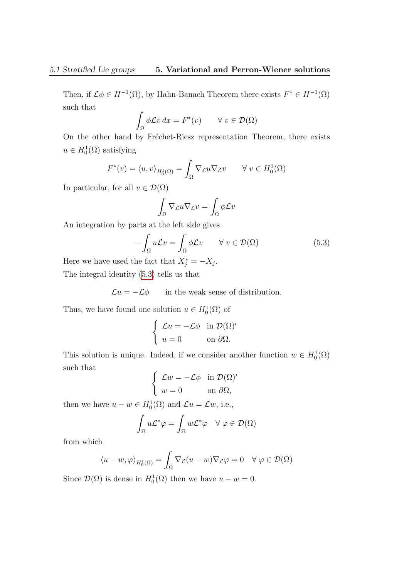Then, if  $\mathcal{L}\phi \in H^{-1}(\Omega)$ , by Hahn-Banach Theorem there exists  $F^* \in H^{-1}(\Omega)$ such that

$$
\int_{\Omega} \phi \mathcal{L} v \, dx = F^*(v) \qquad \forall \ v \in \mathcal{D}(\Omega)
$$

On the other hand by Fréchet-Riesz representation Theorem, there exists  $u \in H_0^1(\Omega)$  satisfying

$$
F^*(v) = \langle u, v \rangle_{H_0^1(\Omega)} = \int_{\Omega} \nabla_{\mathcal{L}} u \nabla_{\mathcal{L}} v \qquad \forall \ v \in H_0^1(\Omega)
$$

In particular, for all  $v \in \mathcal{D}(\Omega)$ 

<span id="page-89-0"></span>
$$
\int_{\Omega} \nabla_{\mathcal{L}} u \nabla_{\mathcal{L}} v = \int_{\Omega} \phi \mathcal{L} v
$$

An integration by parts at the left side gives

$$
-\int_{\Omega} u\mathcal{L}v = \int_{\Omega} \phi \mathcal{L}v \qquad \forall \ v \in \mathcal{D}(\Omega) \tag{5.3}
$$

Here we have used the fact that  $X_j^* = -X_j$ . The integral identity [\(5.3\)](#page-89-0) tells us that

 $\mathcal{L}u = -\mathcal{L}\phi$  in the weak sense of distribution.

Thus, we have found one solution  $u \in H_0^1(\Omega)$  of

$$
\begin{cases}\n\mathcal{L}u = -\mathcal{L}\phi & \text{in } \mathcal{D}(\Omega)'\nu = 0 & \text{on } \partial\Omega.\n\end{cases}
$$

This solution is unique. Indeed, if we consider another function  $w \in H_0^1(\Omega)$ such that

$$
\begin{cases}\n\mathcal{L}w = -\mathcal{L}\phi & \text{in } \mathcal{D}(\Omega) \\
w = 0 & \text{on } \partial\Omega,\n\end{cases}
$$

then we have  $u - w \in H_0^1(\Omega)$  and  $\mathcal{L}u = \mathcal{L}w$ , i.e.,

$$
\int_{\Omega} u \mathcal{L}^* \varphi = \int_{\Omega} w \mathcal{L}^* \varphi \quad \forall \ \varphi \in \mathcal{D}(\Omega)
$$

from which

$$
\langle u - w, \varphi \rangle_{H_0^1(\Omega)} = \int_{\Omega} \nabla_{\mathcal{L}} (u - w) \nabla_{\mathcal{L}} \varphi = 0 \quad \forall \varphi \in \mathcal{D}(\Omega)
$$

Since  $\mathcal{D}(\Omega)$  is dense in  $H_0^1(\Omega)$  then we have  $u - w = 0$ .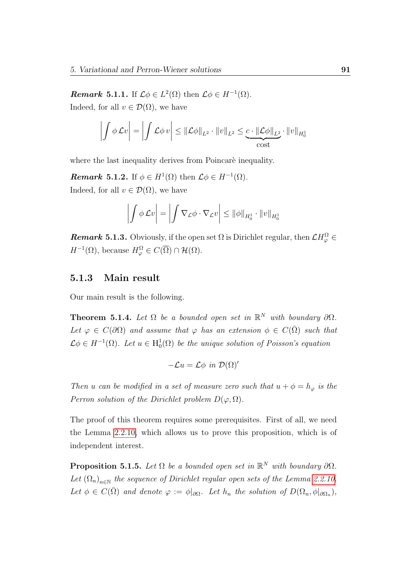**Remark 5.1.1.** If  $\mathcal{L}\phi \in L^2(\Omega)$  then  $\mathcal{L}\phi \in H^{-1}(\Omega)$ . Indeed, for all  $v \in \mathcal{D}(\Omega)$ , we have

$$
\left| \int \phi \, \mathcal{L}v \right| = \left| \int \mathcal{L}\phi \, v \right| \leq \| \mathcal{L}\phi \|_{L^2} \cdot \| v \|_{L^2} \leq \underbrace{c \cdot \| \mathcal{L}\phi \|_{L^2}}_{\text{cost}} \cdot \| v \|_{H_0^1}
$$

where the last inequality derives from Poincaré inequality.

**Remark 5.1.2.** If  $\phi \in H^1(\Omega)$  then  $\mathcal{L}\phi \in H^{-1}(\Omega)$ . Indeed, for all  $v \in \mathcal{D}(\Omega)$ , we have

$$
\left| \int \phi \, \mathcal{L}v \right| = \left| \int \nabla_{\mathcal{L}} \phi \cdot \nabla_{\mathcal{L}} v \right| \leq ||\phi||_{H_0^1} \cdot ||v||_{H_0^1}
$$

**Remark 5.1.3.** Obviously, if the open set  $\Omega$  is Dirichlet regular, then  $\mathcal{L}H^{\Omega}_{\varphi} \in$  $H^{-1}(\Omega)$ , because  $H_{\varphi}^{\Omega} \in C(\overline{\Omega}) \cap \mathcal{H}(\Omega)$ .

#### 5.1.3 Main result

Our main result is the following.

<span id="page-90-0"></span>**Theorem 5.1.4.** Let  $\Omega$  be a bounded open set in  $\mathbb{R}^N$  with boundary  $\partial\Omega$ . Let  $\varphi \in C(\partial\Omega)$  and assume that  $\varphi$  has an extension  $\phi \in C(\overline{\Omega})$  such that  $\mathcal{L}\phi \in H^{-1}(\Omega)$ . Let  $u \in H_0^1(\Omega)$  be the unique solution of Poisson's equation

$$
-\mathcal{L}u = \mathcal{L}\phi \text{ in } \mathcal{D}(\Omega)'
$$

Then u can be modified in a set of measure zero such that  $u + \phi = h_{\varphi}$  is the Perron solution of the Dirichlet problem  $D(\varphi, \Omega)$ .

The proof of this theorem requires some prerequisites. First of all, we need the Lemma [2.2.10,](#page-30-0) which allows us to prove this proposition, which is of independent interest.

**Proposition 5.1.5.** Let  $\Omega$  be a bounded open set in  $\mathbb{R}^N$  with boundary  $\partial\Omega$ . Let  $(\Omega_n)_{n\in\mathbb{N}}$  the sequence of Dirichlet regular open sets of the Lemma [2.2.10.](#page-30-0) Let  $\phi \in C(\overline{\Omega})$  and denote  $\varphi := \phi|_{\partial \Omega}$ . Let  $h_n$  the solution of  $D(\Omega_n, \phi|_{\partial \Omega_n})$ ,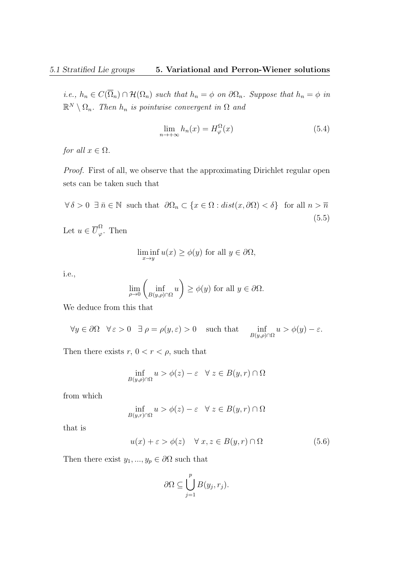*i.e.*,  $h_n \in C(\overline{\Omega}_n) \cap \mathcal{H}(\Omega_n)$  such that  $h_n = \phi$  on  $\partial \Omega_n$ . Suppose that  $h_n = \phi$  in  $\mathbb{R}^N \setminus \Omega_n$ . Then  $h_n$  is pointwise convergent in  $\Omega$  and

<span id="page-91-2"></span><span id="page-91-0"></span>
$$
\lim_{n \to +\infty} h_n(x) = H^{\Omega}_{\varphi}(x) \tag{5.4}
$$

for all  $x \in \Omega$ .

Proof. First of all, we observe that the approximating Dirichlet regular open sets can be taken such that

 $\forall \delta > 0 \ \exists \ \bar{n} \in \mathbb{N} \ \text{ such that } \ \partial \Omega_n \subset \{x \in \Omega : dist(x, \partial \Omega) < \delta \} \ \text{ for all } n > \overline{n}$ (5.5)

Let  $u \in \overline{U}_{\varphi}^{\Omega}$  $\frac{1}{\varphi}$ . Then

$$
\liminf_{x \to y} u(x) \ge \phi(y) \text{ for all } y \in \partial \Omega,
$$

i.e.,

$$
\lim_{\rho \to 0} \left( \inf_{B(y,\rho) \cap \Omega} u \right) \ge \phi(y) \text{ for all } y \in \partial \Omega.
$$

We deduce from this that

 $\forall y \in \partial \Omega \quad \forall \varepsilon > 0 \quad \exists \rho = \rho(y, \varepsilon) > 0 \quad \text{such that} \quad \inf_{B(y, \rho) \cap \Omega} u > \phi(y) - \varepsilon.$ 

Then there exists  $r, 0 < r < \rho$ , such that

$$
\inf_{B(y,\rho)\cap\Omega} u > \phi(z) - \varepsilon \quad \forall \ z \in B(y,r) \cap \Omega
$$

from which

$$
\inf_{B(y,r)\cap\Omega} u > \phi(z) - \varepsilon \quad \forall \ z \in B(y,r) \cap \Omega
$$

<span id="page-91-1"></span>that is

$$
u(x) + \varepsilon > \phi(z) \quad \forall \ x, z \in B(y, r) \cap \Omega \tag{5.6}
$$

Then there exist  $y_1, ..., y_p \in \partial\Omega$  such that

$$
\partial\Omega \subseteq \bigcup_{j=1}^p B(y_j,r_j).
$$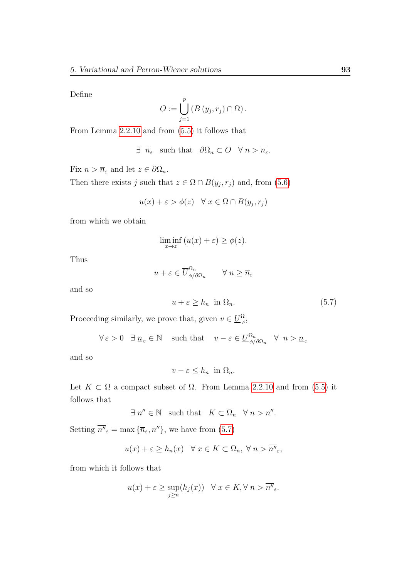Define

$$
O:=\bigcup_{j=1}^p (B(y_j,r_j)\cap\Omega).
$$

From Lemma 2.2.[10](#page-30-0) and from [\(5.5\)](#page-91-0) it follows that

 $\exists \overline{n}_{\varepsilon} \text{ such that } \partial \Omega_n \subset O \quad \forall \ n > \overline{n}_{\varepsilon}.$ 

Fix  $n > \overline{n}_{\varepsilon}$  and let  $z \in \partial \Omega_n$ .

Then there exists j such that  $z \in \Omega \cap B(y_j, r_j)$  and, from (5.[6\)](#page-91-1)

$$
u(x) + \varepsilon > \phi(z) \quad \forall \ x \in \Omega \cap B(y_j, r_j)
$$

from which we obtain

$$
\liminf_{x \to z} (u(x) + \varepsilon) \ge \phi(z).
$$

Thus

$$
u + \varepsilon \in \overline{U}_{\phi/\partial\Omega_n}^{\Omega_n} \qquad \forall \ n \ge \overline{n}_{\varepsilon}
$$

<span id="page-92-0"></span>and so

$$
u + \varepsilon \ge h_n \quad \text{in } \Omega_n. \tag{5.7}
$$

Proceeding similarly, we prove that, given  $v \in \underline{U}_{\varphi}^{\Omega}$ ,

$$
\forall \varepsilon > 0 \quad \exists \underline{n}_{\varepsilon} \in \mathbb{N} \quad \text{such that} \quad v - \varepsilon \in \underline{U}^{\Omega_n}_{\phi/\partial \Omega_n} \quad \forall \ n > \underline{n}_{\varepsilon}
$$

and so

$$
v - \varepsilon \le h_n \text{ in } \Omega_n.
$$

Let  $K \subset \Omega$  a compact subset of  $\Omega$ . From Lemma 2.2.[10](#page-30-0) and from [\(5.5\)](#page-91-0) it follows that

 $\exists n'' \in \mathbb{N}$  such that  $K \subset \Omega_n \quad \forall n > n''$ .

Setting  $\overline{n''}_{\varepsilon} = \max{\{\overline{n}_{\varepsilon}, n''\}}$ , we have from [\(5.7\)](#page-92-0)

$$
u(x) + \varepsilon \ge h_n(x) \quad \forall \ x \in K \subset \Omega_n, \ \forall \ n > \overline{n''}_{\varepsilon},
$$

from which it follows that

$$
u(x) + \varepsilon \ge \sup_{j \ge n} (h_j(x)) \quad \forall \ x \in K, \forall \ n > \overline{n''}_{\varepsilon}.
$$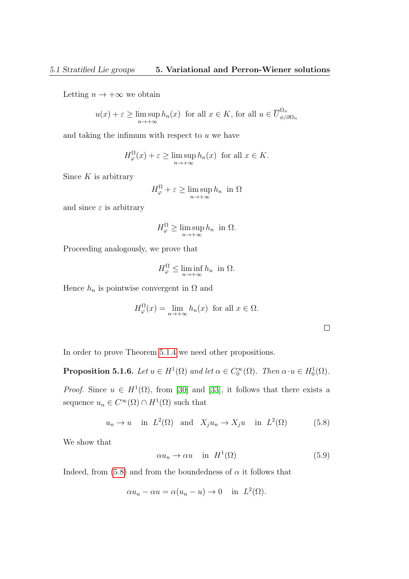Letting  $n \to +\infty$  we obtain

$$
u(x) + \varepsilon \ge \limsup_{n \to +\infty} h_n(x)
$$
 for all  $x \in K$ , for all  $u \in \overline{U}_{\phi/\partial\Omega_n}^{\Omega_n}$ 

and taking the infimum with respect to  $u$  we have

$$
H_{\varphi}^{\Omega}(x) + \varepsilon \ge \limsup_{n \to +\infty} h_n(x) \text{ for all } x \in K.
$$

Since  $K$  is arbitrary

$$
H^{\Omega}_{\varphi} + \varepsilon \ge \limsup_{n \to +\infty} h_n \text{ in } \Omega
$$

and since  $\varepsilon$  is arbitrary

$$
H_{\varphi}^{\Omega} \ge \limsup_{n \to +\infty} h_n \text{ in } \Omega.
$$

Proceeding analogously, we prove that

$$
H_{\varphi}^{\Omega} \le \liminf_{n \to +\infty} h_n \text{ in } \Omega.
$$

Hence  $h_n$  is pointwise convergent in  $\Omega$  and

$$
H_{\varphi}^{\Omega}(x) = \lim_{n \to +\infty} h_n(x) \text{ for all } x \in \Omega.
$$

 $\Box$ 

In order to prove Theorem [5](#page-90-0).1.4 we need other propositions.

**Proposition 5.1.6.** Let  $u \in H^1(\Omega)$  and let  $\alpha \in C_0^{\infty}(\Omega)$ . Then  $\alpha \cdot u \in H_0^1(\Omega)$ .

*Proof.* Since  $u \in H^1(\Omega)$ , from [\[30\]](#page-125-2) and [\[33\]](#page-125-3), it follows that there exists a sequence  $u_n \in C^{\infty}(\Omega) \cap H^1(\Omega)$  such that

> <span id="page-93-1"></span> $u_n \to u$  in  $L^2(\Omega)$  and  $X_j u_n \to X_j u$  in  $L^2$  $(5.8)$

We show that

<span id="page-93-0"></span>
$$
\alpha u_n \to \alpha u \quad \text{in} \ \ H^1(\Omega) \tag{5.9}
$$

Indeed, from  $(5.8)$  and from the boundedness of  $\alpha$  it follows that

$$
\alpha u_n - \alpha u = \alpha (u_n - u) \to 0 \quad \text{in} \ \ L^2(\Omega).
$$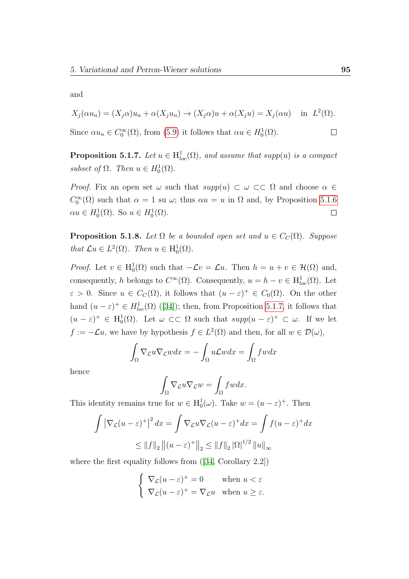and

$$
X_j(\alpha u_n) = (X_j \alpha)u_n + \alpha(X_j u_n) \to (X_j \alpha)u + \alpha(X_j u) = X_j(\alpha u) \quad \text{in } L^2(\Omega).
$$

Since  $\alpha u_n \in C_0^{\infty}(\Omega)$ , from [\(5.9\)](#page-93-1) it follows that  $\alpha u \in H_0^1(\Omega)$ .

<span id="page-94-0"></span>**Proposition 5.1.7.** Let  $u \in H^1_{loc}(\Omega)$ , and assume that supp(u) is a compact subset of  $\Omega$ . Then  $u \in H_0^1(\Omega)$ .

*Proof.* Fix an open set  $\omega$  such that  $supp(u) \subset \omega \subset\subset \Omega$  and choose  $\alpha \in$  $C_0^{\infty}(\Omega)$  such that  $\alpha = 1$  su  $\omega$ ; thus  $\alpha u = u$  in  $\Omega$  and, by Proposition [5.1.6](#page-93-1)  $\alpha u \in H_0^1(\Omega)$ . So  $u \in H_0^1(\Omega)$ .  $\Box$ 

<span id="page-94-1"></span>**Proposition 5.1.8.** Let  $\Omega$  be a bounded open set and  $u \in C_c(\Omega)$ . Suppose that  $\mathcal{L}u \in L^2(\Omega)$ . Then  $u \in H_0^1(\Omega)$ .

*Proof.* Let  $v \in H_0^1(\Omega)$  such that  $-\mathcal{L}v = \mathcal{L}u$ . Then  $h = u + v \in \mathcal{H}(\Omega)$  and, consequently, h belongs to  $C^{\infty}(\Omega)$ . Consequently,  $u = h - v \in H_{loc}^1(\Omega)$ . Let  $\varepsilon > 0$ . Since  $u \in C_c(\Omega)$ , it follows that  $(u - \varepsilon)^+ \in C_0(\Omega)$ . On the other hand $(u - \varepsilon)^+ \in H^1_{loc}(\Omega)$  ([\[34\]](#page-125-4)); then, from Proposition [5.1.7,](#page-94-0) it follows that  $(u - \varepsilon)^+ \in H_0^1(\Omega)$ . Let  $\omega \subset\subset \Omega$  such that  $supp(u - \varepsilon)^+ \subset \omega$ . If we let  $f := -\mathcal{L}u$ , we have by hypothesis  $f \in L^2(\Omega)$  and then, for all  $w \in \mathcal{D}(\omega)$ ,

$$
\int_{\Omega} \nabla_{\mathcal{L}} u \nabla_{\mathcal{L}} w dx = -\int_{\Omega} u \mathcal{L} w dx = \int_{\Omega} f w dx
$$

hence

$$
\int_{\Omega} \nabla_{\mathcal{L}} u \nabla_{\mathcal{L}} w = \int_{\Omega} f w dx.
$$

This identity remains true for  $w \in H_0^1(\omega)$ . Take  $w = (u - \varepsilon)^+$ . Then

$$
\int \left| \nabla \mathcal{L}(u - \varepsilon)^+ \right|^2 dx = \int \nabla \mathcal{L}u \nabla \mathcal{L}(u - \varepsilon)^+ dx = \int f(u - \varepsilon)^+ dx
$$
  

$$
\leq ||f||_2 \left\| (u - \varepsilon)^+ \right\|_2 \leq ||f||_2 |\Omega|^{1/2} \left\| u \right\|_{\infty}
$$

where the first equality follows from([\[34,](#page-125-4) Corollary 2.2])

$$
\begin{cases} \nabla_{\mathcal{L}}(u-\varepsilon)^{+} = 0 & \text{when } u < \varepsilon \\ \nabla_{\mathcal{L}}(u-\varepsilon)^{+} = \nabla_{\mathcal{L}}u & \text{when } u \ge \varepsilon. \n\end{cases}
$$

 $\Box$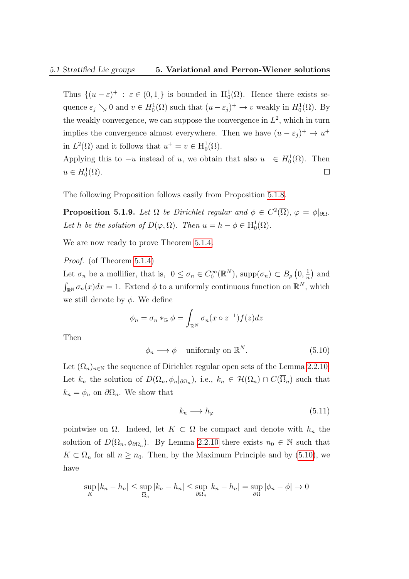Thus  $\{(u-\varepsilon)^+ : \varepsilon \in (0,1]\}$  is bounded in  $H_0^1(\Omega)$ . Hence there exists sequence  $\varepsilon_j \searrow 0$  and  $v \in H_0^1(\Omega)$  such that  $(u - \varepsilon_j)^+ \to v$  weakly in  $H_0^1(\Omega)$ . By the weakly convergence, we can suppose the convergence in  $L^2$ , which in turn implies the convergence almost everywhere. Then we have  $(u - \varepsilon_j)^+ \to u^+$ in  $L^2(\Omega)$  and it follows that  $u^+ = v \in H_0^1(\Omega)$ .

Applying this to  $-u$  instead of u, we obtain that also  $u^- \in H_0^1(\Omega)$ . Then  $u \in H_0^1(\Omega)$ .  $\Box$ 

The following Proposition follows easily from Proposition [5.1.8.](#page-94-1)

<span id="page-95-1"></span>**Proposition 5.1.9.** Let  $\Omega$  be Dirichlet regular and  $\phi \in C^2(\overline{\Omega})$ ,  $\varphi = \phi|_{\partial\Omega}$ . Let h be the solution of  $D(\varphi, \Omega)$ . Then  $u = h - \phi \in H_0^1(\Omega)$ .

We are now ready to prove Theorem [5.1.4.](#page-90-0)

Proof. (of Theorem [5](#page-90-0).1.4)

Let  $\sigma_n$  be a mollifier, that is,  $0 \leq \sigma_n \in C_0^{\infty}(\mathbb{R}^N)$ , supp $(\sigma_n) \subset B_\rho(0, \frac{1}{n})$  $\frac{1}{n}$  and  $\int_{\mathbb{R}^N} \sigma_n(x) dx = 1$ . Extend  $\phi$  to a uniformly continuous function on  $\mathbb{R}^N$ , which we still denote by  $\phi$ . We define

$$
\phi_n = \sigma_n *_{\mathbb{G}} \phi = \int_{\mathbb{R}^N} \sigma_n(x \circ z^{-1}) f(z) dz
$$

<span id="page-95-0"></span>Then

$$
\phi_n \longrightarrow \phi \quad \text{uniformly on } \mathbb{R}^N. \tag{5.10}
$$

Let  $(\Omega_n)_{n\in\mathbb{N}}$  the sequence of Dirichlet regular open sets of the Lemma [2.2.10.](#page-30-0) Let  $k_n$  the solution of  $D(\Omega_n, \phi_n|_{\partial \Omega_n})$ , i.e.,  $k_n \in \mathcal{H}(\Omega_n) \cap C(\Omega_n)$  such that  $k_n = \phi_n$  on  $\partial \Omega_n$ . We show that

<span id="page-95-2"></span>
$$
k_n \longrightarrow h_\varphi \tag{5.11}
$$

pointwise on  $\Omega$ . Indeed, let  $K \subset \Omega$  be compact and denote with  $h_n$  the solution of  $D(\Omega_n, \phi_{\partial \Omega_n})$ . By Lemma 2.2.[10](#page-30-0) there exists  $n_0 \in \mathbb{N}$  such that  $K \subset \Omega_n$  for all  $n \geq n_0$ . Then, by the Maximum Principle and by [\(5.10\)](#page-95-0), we have

$$
\sup_{K} |k_n - h_n| \leq \sup_{\overline{\Omega}_n} |k_n - h_n| \leq \sup_{\partial \Omega_n} |k_n - h_n| = \sup_{\partial \Omega} |\phi_n - \phi| \to 0
$$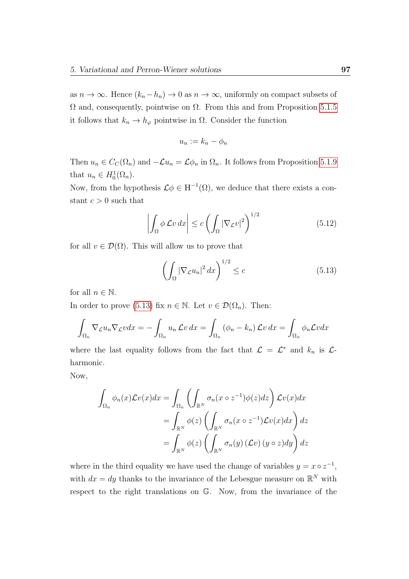as  $n \to \infty$ . Hence  $(k_n - h_n) \to 0$  as  $n \to \infty$ , uniformly on compact subsets of Ω and, consequently, pointwise on Ω. From this and from Proposition [5.1.5](#page-92-0) it follows that  $k_n \to h_\varphi$  pointwise in  $\Omega$ . Consider the function

$$
u_n := k_n - \phi_n
$$

Then  $u_n \in C_c(\Omega_n)$  and  $-\mathcal{L}u_n = \mathcal{L}\phi_n$  in  $\Omega_n$ . It follows from Proposition [5.1.9](#page-95-1) that  $u_n \in H_0^1(\Omega_n)$ .

Now, from the hypothesis  $\mathcal{L}\phi \in H^{-1}(\Omega)$ , we deduce that there exists a constant  $c > 0$  such that

<span id="page-96-1"></span>
$$
\left| \int_{\Omega} \phi \mathcal{L} v \, dx \right| \le c \left( \int_{\Omega} |\nabla_{\mathcal{L}} v|^2 \right)^{1/2} \tag{5.12}
$$

for all  $v \in \mathcal{D}(\Omega)$ . This will allow us to prove that

<span id="page-96-0"></span>
$$
\left(\int_{\Omega} |\nabla_{\mathcal{L}} u_n|^2 dx\right)^{1/2} \le c \tag{5.13}
$$

for all  $n \in \mathbb{N}$ .

In order to prove [\(5.13\)](#page-96-0) fix  $n \in \mathbb{N}$ . Let  $v \in \mathcal{D}(\Omega_n)$ . Then:

$$
\int_{\Omega_n} \nabla_{\mathcal{L}} u_n \nabla_{\mathcal{L}} v dx = -\int_{\Omega_n} u_n \mathcal{L} v dx = \int_{\Omega_n} (\phi_n - k_n) \mathcal{L} v dx = \int_{\Omega_n} \phi_n \mathcal{L} v dx
$$

where the last equality follows from the fact that  $\mathcal{L} = \mathcal{L}^*$  and  $k_n$  is  $\mathcal{L}$ harmonic.

Now,

$$
\int_{\Omega_n} \phi_n(x) \mathcal{L}v(x) dx = \int_{\Omega_n} \left( \int_{\mathbb{R}^N} \sigma_n(x \circ z^{-1}) \phi(z) dz \right) \mathcal{L}v(x) dx
$$

$$
= \int_{\mathbb{R}^N} \phi(z) \left( \int_{\mathbb{R}^N} \sigma_n(x \circ z^{-1}) \mathcal{L}v(x) dx \right) dz
$$

$$
= \int_{\mathbb{R}^N} \phi(z) \left( \int_{\mathbb{R}^N} \sigma_n(y) \left( \mathcal{L}v \right) (y \circ z) dy \right) dz
$$

where in the third equality we have used the change of variables  $y = x \circ z^{-1}$ , with  $dx = dy$  thanks to the invariance of the Lebesgue measure on  $\mathbb{R}^N$  with respect to the right translations on G. Now, from the invariance of the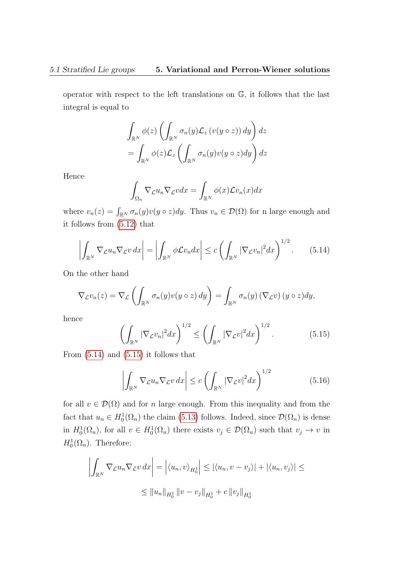operator with respect to the left translations on G, it follows that the last integral is equal to

$$
\int_{\mathbb{R}^N} \phi(z) \left( \int_{\mathbb{R}^N} \sigma_n(y) \mathcal{L}_z \left( v(y \circ z) \right) dy \right) dz
$$
  
= 
$$
\int_{\mathbb{R}^N} \phi(z) \mathcal{L}_z \left( \int_{\mathbb{R}^N} \sigma_n(y) v(y \circ z) dy \right) dz
$$

Hence

<span id="page-97-0"></span>
$$
\int_{\Omega_n} \nabla_{\mathcal{L}} u_n \nabla_{\mathcal{L}} v dx = \int_{\mathbb{R}^N} \phi(x) \mathcal{L} v_n(x) dx
$$

where  $v_n(z) = \int_{\mathbb{R}^N} \sigma_n(y)v(y \circ z) dy$ . Thus  $v_n \in \mathcal{D}(\Omega)$  for n large enough and it follows from [\(5.12\)](#page-96-1) that

$$
\left| \int_{\mathbb{R}^N} \nabla_{\mathcal{L}} u_n \nabla_{\mathcal{L}} v \, dx \right| = \left| \int_{\mathbb{R}^N} \phi \mathcal{L} v_n dx \right| \le c \left( \int_{\mathbb{R}^N} |\nabla_{\mathcal{L}} v_n|^2 dx \right)^{1/2}.
$$
 (5.14)

On the other hand

$$
\nabla_{\mathcal{L}} v_n(z) = \nabla_{\mathcal{L}} \left( \int_{\mathbb{R}^N} \sigma_n(y) v(y \circ z) \, dy \right) = \int_{\mathbb{R}^N} \sigma_n(y) \left( \nabla_{\mathcal{L}} v \right) (y \circ z) dy,
$$

<span id="page-97-1"></span>hence

$$
\left(\int_{\mathbb{R}^N} |\nabla_{\mathcal{L}} v_n|^2 dx\right)^{1/2} \le \left(\int_{\mathbb{R}^N} |\nabla_{\mathcal{L}} v|^2 dx\right)^{1/2}.\tag{5.15}
$$

From  $(5.14)$  and  $(5.15)$  it follows that

$$
\left| \int_{\mathbb{R}^N} \nabla_{\mathcal{L}} u_n \nabla_{\mathcal{L}} v \, dx \right| \le c \left( \int_{\mathbb{R}^N} |\nabla_{\mathcal{L}} v|^2 dx \right)^{1/2} \tag{5.16}
$$

for all  $v \in \mathcal{D}(\Omega)$  and for *n* large enough. From this inequality and from the fact that  $u_n \in H_0^1(\Omega_n)$  the claim [\(5.13\)](#page-96-0) follows. Indeed, since  $\mathcal{D}(\Omega_n)$  is dense in  $H_0^1(\Omega_n)$ , for all  $v \in H_0^1(\Omega_n)$  there exists  $v_j \in \mathcal{D}(\Omega_n)$  such that  $v_j \to v$  in  $H_0^1(\Omega_n)$ . Therefore:

$$
\left| \int_{\mathbb{R}^N} \nabla_{\mathcal{L}} u_n \nabla_{\mathcal{L}} v \, dx \right| = \left| \langle u_n, v \rangle_{H_0^1} \right| \leq \left| \langle u_n, v - v_j \rangle \right| + \left| \langle u_n, v_j \rangle \right| \leq
$$
  

$$
\leq \left| \left| u_n \right| \right|_{H_0^1} \left| \left| v - v_j \right| \right|_{H_0^1} + c \left| \left| v_j \right| \right|_{H_0^1}
$$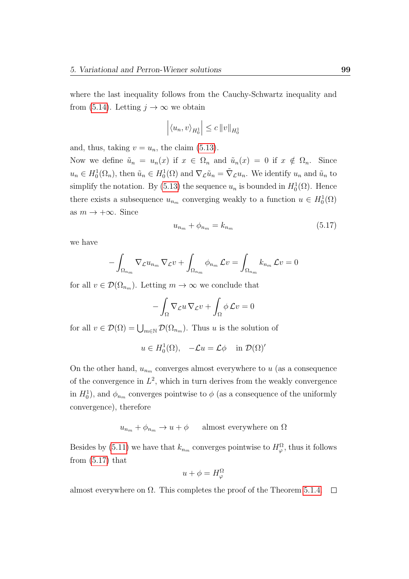where the last inequality follows from the Cauchy-Schwartz inequality and from [\(5.14\)](#page-97-0). Letting  $j \to \infty$  we obtain

$$
\left| \langle u_n, v \rangle_{H_0^1} \right| \le c \left\| v \right\|_{H_0^1}
$$

and, thus, taking  $v = u_n$ , the claim [\(5.13\)](#page-96-0).

Now we define  $\tilde{u}_n = u_n(x)$  if  $x \in \Omega_n$  and  $\tilde{u}_n(x) = 0$  if  $x \notin \Omega_n$ . Since  $u_n \in H_0^1(\Omega_n)$ , then  $\tilde{u}_n \in H_0^1(\Omega)$  and  $\nabla_{\mathcal{L}} \tilde{u}_n = \tilde{\nabla}_{\mathcal{L}} u_n$ . We identify  $u_n$  and  $\tilde{u}_n$  to simplify the notation. By [\(5.13\)](#page-96-0) the sequence  $u_n$  is bounded in  $H_0^1(\Omega)$ . Hence there exists a subsequence  $u_{n_m}$  converging weakly to a function  $u \in H_0^1(\Omega)$ as  $m \to +\infty$ . Since

<span id="page-98-0"></span>
$$
u_{n_m} + \phi_{n_m} = k_{n_m} \tag{5.17}
$$

we have

$$
-\int_{\Omega_{n_m}} \nabla_{\mathcal{L}} u_{n_m} \nabla_{\mathcal{L}} v + \int_{\Omega_{n_m}} \phi_{n_m} \mathcal{L} v = \int_{\Omega_{n_m}} k_{n_m} \mathcal{L} v = 0
$$

for all  $v \in \mathcal{D}(\Omega_{n_m})$ . Letting  $m \to \infty$  we conclude that

$$
-\int_{\Omega} \nabla_{\mathcal{L}} u \, \nabla_{\mathcal{L}} v + \int_{\Omega} \phi \, \mathcal{L} v = 0
$$

for all  $v \in \mathcal{D}(\Omega) = \bigcup_{m \in \mathbb{N}} \mathcal{D}(\Omega_{n_m})$ . Thus u is the solution of

$$
u \in H_0^1(\Omega)
$$
,  $-\mathcal{L}u = \mathcal{L}\phi$  in  $\mathcal{D}(\Omega)'$ 

On the other hand,  $u_{n_m}$  converges almost everywhere to u (as a consequence of the convergence in  $L^2$ , which in turn derives from the weakly convergence in  $H_0^1$ ), and  $\phi_{n_m}$  converges pointwise to  $\phi$  (as a consequence of the uniformly convergence), therefore

$$
u_{n_m} + \phi_{n_m} \to u + \phi
$$
 almost everywhere on  $\Omega$ 

Besides by [\(5.11\)](#page-95-2) we have that  $k_{n_m}$  converges pointwise to  $H^{\Omega}_{\varphi}$ , thus it follows from  $(5.17)$  that

$$
u + \phi = H^{\Omega}_{\varphi}
$$

almost everywhere on  $\Omega$ . This completes the proof of the Theorem [5.1.4.](#page-90-0)  $\Box$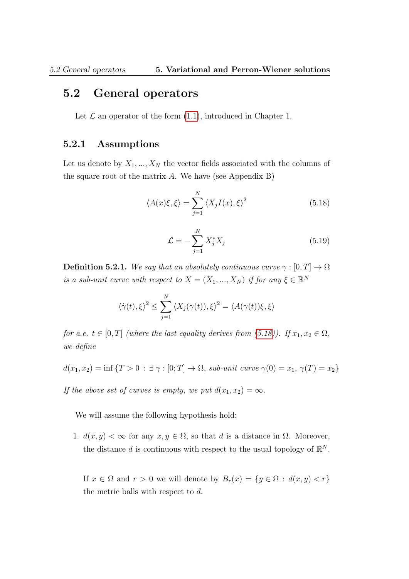#### 5.2 General operators

Let  $\mathcal L$  an operator of the form [\(1.1\)](#page-11-0), introduced in Chapter 1.

#### 5.2.1 Assumptions

Let us denote by  $X_1, ..., X_N$  the vector fields associated with the columns of the square root of the matrix  $A$ . We have (see Appendix B)

$$
\langle A(x)\xi, \xi \rangle = \sum_{j=1}^{N} \langle X_j I(x), \xi \rangle^2
$$
 (5.18)

<span id="page-99-0"></span>
$$
\mathcal{L} = -\sum_{j=1}^{N} X_j^* X_j \tag{5.19}
$$

<span id="page-99-1"></span>**Definition 5.2.1.** We say that an absolutely continuous curve  $\gamma : [0, T] \to \Omega$ is a sub-unit curve with respect to  $X = (X_1, ..., X_N)$  if for any  $\xi \in \mathbb{R}^N$ 

$$
\langle \dot{\gamma}(t), \xi \rangle^2 \le \sum_{j=1}^N \langle X_j(\gamma(t)), \xi \rangle^2 = \langle A(\gamma(t))\xi, \xi \rangle
$$

for a.e.  $t \in [0, T]$  (where the last equality derives from [\(5.18\)](#page-99-0)). If  $x_1, x_2 \in \Omega$ , we define

 $d(x_1, x_2) = \inf \{T > 0 : \exists \gamma : [0; T] \to \Omega, \text{ sub-unit curve } \gamma(0) = x_1, \gamma(T) = x_2\}$ 

If the above set of curves is empty, we put  $d(x_1, x_2) = \infty$ .

We will assume the following hypothesis hold:

1.  $d(x, y) < \infty$  for any  $x, y \in \Omega$ , so that d is a distance in  $\Omega$ . Moreover, the distance d is continuous with respect to the usual topology of  $\mathbb{R}^N$ .

If  $x \in \Omega$  and  $r > 0$  we will denote by  $B_r(x) = \{y \in \Omega : d(x, y) < r\}$ the metric balls with respect to d.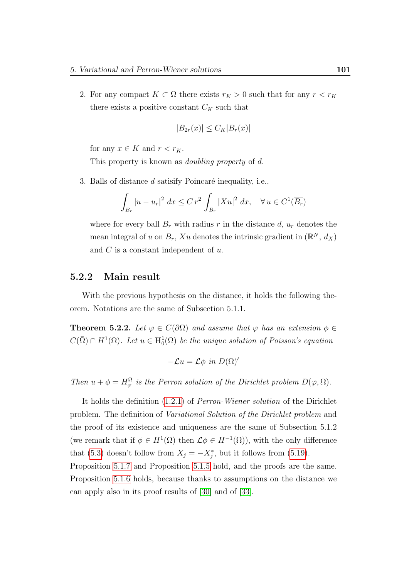2. For any compact  $K \subset \Omega$  there exists  $r_K > 0$  such that for any  $r < r_K$ there exists a positive constant  $C_K$  such that

$$
|B_{2r}(x)| \le C_K |B_r(x)|
$$

for any  $x \in K$  and  $r < r_K$ .

This property is known as *doubling property* of d.

3. Balls of distance  $d$  satisify Poincaré inequality, i.e.,

$$
\int_{B_r} |u - u_r|^2 \, dx \le C \, r^2 \, \int_{B_r} |Xu|^2 \, dx, \quad \forall \, u \in C^1(\overline{B_r})
$$

where for every ball  $B_r$  with radius r in the distance  $d, u_r$  denotes the mean integral of u on  $B_r$ , Xu denotes the intrinsic gradient in  $(\mathbb{R}^N, d_X)$ and C is a constant independent of u.

#### 5.2.2 Main result

With the previous hypothesis on the distance, it holds the following theorem. Notations are the same of Subsection 5.1.1.

<span id="page-100-0"></span>**Theorem 5.2.2.** Let  $\varphi \in C(\partial\Omega)$  and assume that  $\varphi$  has an extension  $\phi \in$  $C(\overline{\Omega}) \cap H^1(\Omega)$ . Let  $u \in H_0^1(\Omega)$  be the unique solution of Poisson's equation

$$
-\mathcal{L}u = \mathcal{L}\phi \text{ in } D(\Omega)'
$$

Then  $u + \phi = H^{\Omega}_{\varphi}$  is the Perron solution of the Dirichlet problem  $D(\varphi, \Omega)$ .

It holds the definition [\(1.2.1\)](#page-13-0) of Perron-Wiener solution of the Dirichlet problem. The definition of Variational Solution of the Dirichlet problem and the proof of its existence and uniqueness are the same of Subsection 5.1.2 (we remark that if  $\phi \in H^1(\Omega)$  then  $\mathcal{L}\phi \in H^{-1}(\Omega)$ ), with the only difference that [\(5.3\)](#page-89-0) doesn't follow from  $X_j = -X_j^*$ , but it follows from [\(5.19\)](#page-99-1).

Proposition [5.1.7](#page-94-0) and Proposition [5.1.5](#page-92-0) hold, and the proofs are the same. Proposition [5.1.6](#page-93-1) holds, because thanks to assumptions on the distance we can apply also in its proof results of [\[30\]](#page-125-2) and of [\[33\]](#page-125-3).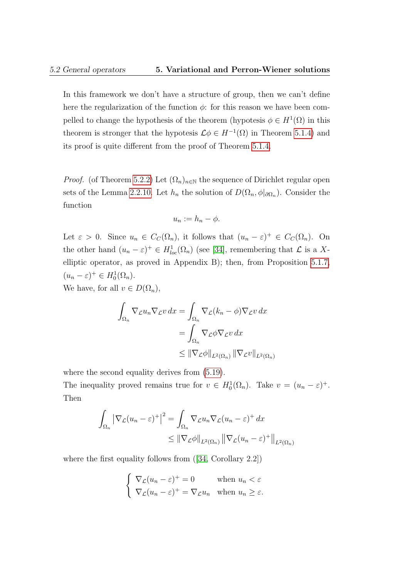In this framework we don't have a structure of group, then we can't define here the regularization of the function  $\phi$ : for this reason we have been compelled to change the hypothesis of the theorem (hypotesis  $\phi \in H^1(\Omega)$  in this theorem is stronger that the hypotesis  $\mathcal{L} \phi \in H^{-1}(\Omega)$  in Theorem [5.1.4\)](#page-90-0) and its proof is quite different from the proof of Theorem [5.1.4.](#page-90-0)

*Proof.* (of Theorem [5.2.2\)](#page-100-0) Let  $(\Omega_n)_{n\in\mathbb{N}}$  the sequence of Dirichlet regular open sets of the Lemma [2.2.10.](#page-30-0) Let  $h_n$  the solution of  $D(\Omega_n, \phi|_{\partial \Omega_n})$ . Consider the function

$$
u_n := h_n - \phi.
$$

Let  $\varepsilon > 0$ . Since  $u_n \in C_c(\Omega_n)$ , it follows that  $(u_n - \varepsilon)^+ \in C_c(\Omega_n)$ . On the other hand  $(u_n - \varepsilon)^+ \in H^1_{loc}(\Omega_n)$  (see [\[34\]](#page-125-4), remembering that  $\mathcal L$  is a Xelliptic operator, as proved in Appendix B); then, from Proposition [5.1.7,](#page-94-0)  $(u_n - \varepsilon)^+ \in H_0^1(\Omega_n).$ 

We have, for all  $v \in D(\Omega_n)$ ,

$$
\int_{\Omega_n} \nabla_{\mathcal{L}} u_n \nabla_{\mathcal{L}} v \, dx = \int_{\Omega_n} \nabla_{\mathcal{L}} (k_n - \phi) \nabla_{\mathcal{L}} v \, dx
$$

$$
= \int_{\Omega_n} \nabla_{\mathcal{L}} \phi \nabla_{\mathcal{L}} v \, dx
$$

$$
\leq \|\nabla_{\mathcal{L}} \phi\|_{L^2(\Omega_n)} \|\nabla_{\mathcal{L}} v\|_{L^2(\Omega_n)}
$$

where the second equality derives from  $(5.19)$ .

The inequality proved remains true for  $v \in H_0^1(\Omega_n)$ . Take  $v = (u_n - \varepsilon)^+$ . Then

$$
\int_{\Omega_n} \left| \nabla_{\mathcal{L}} (u_n - \varepsilon)^+ \right|^2 = \int_{\Omega_n} \nabla_{\mathcal{L}} u_n \nabla_{\mathcal{L}} (u_n - \varepsilon)^+ dx
$$
  

$$
\leq \left\| \nabla_{\mathcal{L}} \phi \right\|_{L^2(\Omega_n)} \left\| \nabla_{\mathcal{L}} (u_n - \varepsilon)^+ \right\|_{L^2(\Omega_n)}
$$

wherethe first equality follows from  $([34, Corollary 2.2])$  $([34, Corollary 2.2])$  $([34, Corollary 2.2])$ 

$$
\begin{cases} \nabla_{\mathcal{L}}(u_n - \varepsilon)^+ = 0 & \text{when } u_n < \varepsilon \\ \nabla_{\mathcal{L}}(u_n - \varepsilon)^+ = \nabla_{\mathcal{L}} u_n & \text{when } u_n \ge \varepsilon. \n\end{cases}
$$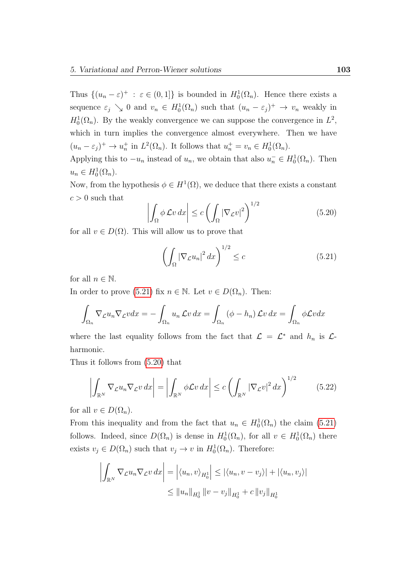Thus  $\{(u_n - \varepsilon)^+ : \varepsilon \in (0,1]\}$  is bounded in  $H_0^1(\Omega_n)$ . Hence there exists a sequence  $\varepsilon_j \searrow 0$  and  $v_n \in H_0^1(\Omega_n)$  such that  $(u_n - \varepsilon_j)^+ \to v_n$  weakly in  $H_0^1(\Omega_n)$ . By the weakly convergence we can suppose the convergence in  $L^2$ , which in turn implies the convergence almost everywhere. Then we have  $(u_n - \varepsilon_j)^+ \to u_n^+$  in  $L^2(\Omega_n)$ . It follows that  $u_n^+ = v_n \in H_0^1(\Omega_n)$ .

Applying this to  $-u_n$  instead of  $u_n$ , we obtain that also  $u_n^- \in H_0^1(\Omega_n)$ . Then  $u_n \in H_0^1(\Omega_n).$ 

Now, from the hypothesis  $\phi \in H^1(\Omega)$ , we deduce that there exists a constant  $c > 0$  such that

<span id="page-102-1"></span>
$$
\left| \int_{\Omega} \phi \mathcal{L} v \, dx \right| \le c \left( \int_{\Omega} |\nabla_{\mathcal{L}} v|^2 \right)^{1/2} \tag{5.20}
$$

for all  $v \in D(\Omega)$ . This will allow us to prove that

<span id="page-102-0"></span>
$$
\left(\int_{\Omega} |\nabla_{\mathcal{L}} u_n|^2 dx\right)^{1/2} \le c \tag{5.21}
$$

for all  $n \in \mathbb{N}$ .

In order to prove [\(5.21\)](#page-102-0) fix  $n \in \mathbb{N}$ . Let  $v \in D(\Omega_n)$ . Then:

$$
\int_{\Omega_n} \nabla_{\mathcal{L}} u_n \nabla_{\mathcal{L}} v dx = -\int_{\Omega_n} u_n \mathcal{L} v dx = \int_{\Omega_n} (\phi - h_n) \mathcal{L} v dx = \int_{\Omega_n} \phi \mathcal{L} v dx
$$

where the last equality follows from the fact that  $\mathcal{L} = \mathcal{L}^*$  and  $h_n$  is  $\mathcal{L}$ harmonic.

Thus it follows from [\(5.20\)](#page-102-1) that

<span id="page-102-2"></span>
$$
\left| \int_{\mathbb{R}^N} \nabla_{\mathcal{L}} u_n \nabla_{\mathcal{L}} v \, dx \right| = \left| \int_{\mathbb{R}^N} \phi \mathcal{L} v \, dx \right| \le c \left( \int_{\mathbb{R}^N} |\nabla_{\mathcal{L}} v|^2 \, dx \right)^{1/2} \tag{5.22}
$$

for all  $v \in D(\Omega_n)$ .

From this inequality and from the fact that  $u_n \in H_0^1(\Omega_n)$  the claim [\(5.21\)](#page-102-0) follows. Indeed, since  $D(\Omega_n)$  is dense in  $H_0^1(\Omega_n)$ , for all  $v \in H_0^1(\Omega_n)$  there exists  $v_j \in D(\Omega_n)$  such that  $v_j \to v$  in  $H_0^1(\Omega_n)$ . Therefore:

$$
\left| \int_{\mathbb{R}^N} \nabla_{\mathcal{L}} u_n \nabla_{\mathcal{L}} v \, dx \right| = \left| \langle u_n, v \rangle_{H_0^1} \right| \leq \left| \langle u_n, v - v_j \rangle \right| + \left| \langle u_n, v_j \rangle \right|
$$
  

$$
\leq \|u_n\|_{H_0^1} \|v - v_j\|_{H_0^1} + c \|v_j\|_{H_0^1}
$$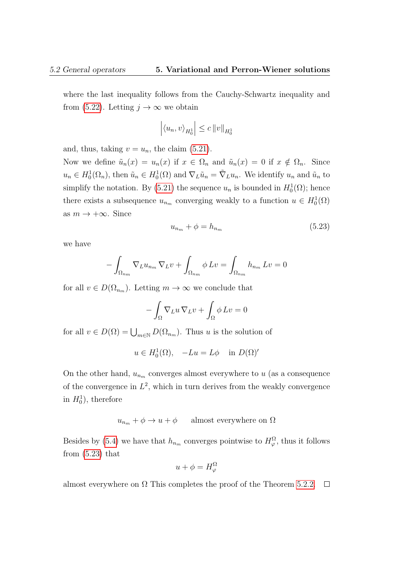where the last inequality follows from the Cauchy-Schwartz inequality and from [\(5.22\)](#page-102-2). Letting  $j \to \infty$  we obtain

$$
\left| \langle u_n, v \rangle_{H_0^1} \right| \le c \left\| v \right\|_{H_0^1}
$$

and, thus, taking  $v = u_n$ , the claim [\(5.21\)](#page-102-0).

Now we define  $\tilde{u}_n(x) = u_n(x)$  if  $x \in \Omega_n$  and  $\tilde{u}_n(x) = 0$  if  $x \notin \Omega_n$ . Since  $u_n \in H_0^1(\Omega_n)$ , then  $\tilde{u}_n \in H_0^1(\Omega)$  and  $\nabla_L \tilde{u}_n = \tilde{\nabla}_L u_n$ . We identify  $u_n$  and  $\tilde{u}_n$  to simplify the notation. By [\(5.21\)](#page-102-0) the sequence  $u_n$  is bounded in  $H_0^1(\Omega)$ ; hence there exists a subsequence  $u_{n_m}$  converging weakly to a function  $u \in H_0^1(\Omega)$ as  $m \to +\infty$ . Since

<span id="page-103-0"></span>
$$
u_{n_m} + \phi = h_{n_m} \tag{5.23}
$$

we have

$$
-\int_{\Omega_{n_m}} \nabla_L u_{n_m} \nabla_L v + \int_{\Omega_{n_m}} \phi \, Lv = \int_{\Omega_{n_m}} h_{n_m} \, Lv = 0
$$

for all  $v \in D(\Omega_{n_m})$ . Letting  $m \to \infty$  we conclude that

$$
-\int_{\Omega}\nabla_{L}u\,\nabla_{L}v+\int_{\Omega}\phi\,Lv=0
$$

for all  $v \in D(\Omega) = \bigcup_{m \in \mathbb{N}} D(\Omega_{n_m})$ . Thus u is the solution of

$$
u \in H_0^1(\Omega), \quad -Lu = L\phi \quad \text{in } D(\Omega)'
$$

On the other hand,  $u_{n_m}$  converges almost everywhere to u (as a consequence of the convergence in  $L^2$ , which in turn derives from the weakly convergence in  $H_0^1$ , therefore

 $u_{n_m} + \phi \to u + \phi$  almost everywhere on  $\Omega$ 

Besides by [\(5.4\)](#page-91-2) we have that  $h_{n_m}$  converges pointwise to  $H_{\varphi}^{\Omega}$ , thus it follows from  $(5.23)$  that

$$
u + \phi = H^{\Omega}_{\varphi}
$$

almost everywhere on  $\Omega$  This completes the proof of the Theorem [5.2.2.](#page-100-0)  $\Box$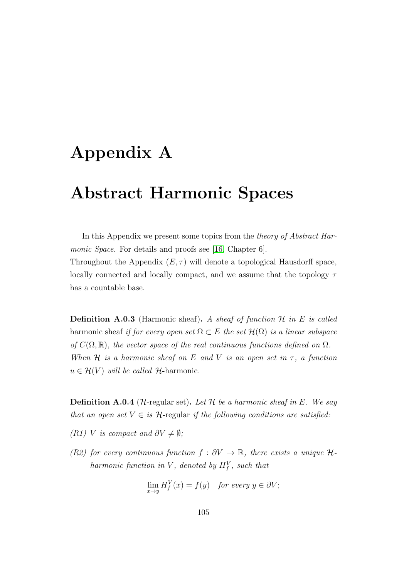## Appendix A

## Abstract Harmonic Spaces

In this Appendix we present some topics from the *theory of Abstract Har-*monic Space. For details and proofs see [\[16,](#page-123-1) Chapter 6].

Throughout the Appendix  $(E, \tau)$  will denote a topological Hausdorff space, locally connected and locally compact, and we assume that the topology  $\tau$ has a countable base.

**Definition A.0.3** (Harmonic sheaf). A sheaf of function  $H$  in  $E$  is called harmonic sheaf if for every open set  $\Omega \subset E$  the set  $\mathcal{H}(\Omega)$  is a linear subspace of  $C(\Omega,\mathbb{R})$ , the vector space of the real continuous functions defined on  $\Omega$ . When H is a harmonic sheaf on E and V is an open set in  $\tau$ , a function  $u \in \mathcal{H}(V)$  will be called  $\mathcal{H}$ -harmonic.

**Definition A.0.4** (*H*-regular set). Let H be a harmonic sheaf in E. We say that an open set  $V \in i$  H-regular if the following conditions are satisfied:

- (R1)  $\overline{V}$  is compact and  $\partial V \neq \emptyset$ ;
- (R2) for every continuous function  $f : \partial V \to \mathbb{R}$ , there exists a unique Hharmonic function in V, denoted by  $H_f^V$ , such that

$$
\lim_{x \to y} H_f^V(x) = f(y) \quad \text{for every } y \in \partial V;
$$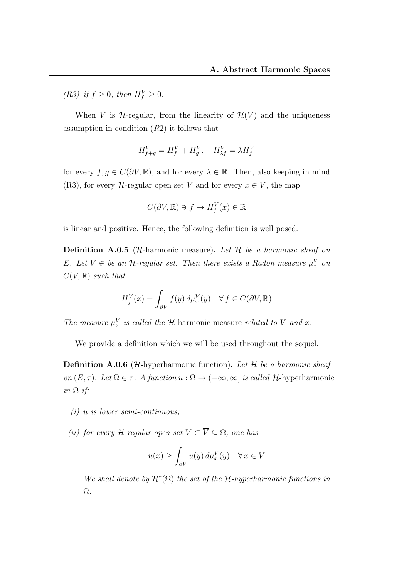(R3) if  $f \geq 0$ , then  $H_f^V \geq 0$ .

When V is  $\mathcal{H}$ -regular, from the linearity of  $\mathcal{H}(V)$  and the uniqueness assumption in condition  $(R2)$  it follows that

$$
H_{f+g}^V = H_f^V + H_g^V, \quad H_{\lambda f}^V = \lambda H_f^V
$$

for every  $f, g \in C(\partial V, \mathbb{R})$ , and for every  $\lambda \in \mathbb{R}$ . Then, also keeping in mind (R3), for every  $\mathcal{H}$ -regular open set V and for every  $x \in V$ , the map

$$
C(\partial V, \mathbb{R}) \ni f \mapsto H_f^V(x) \in \mathbb{R}
$$

is linear and positive. Hence, the following definition is well posed.

**Definition A.0.5** (H-harmonic measure). Let H be a harmonic sheaf on E. Let  $V \in$  be an H-regular set. Then there exists a Radon measure  $\mu_x^V$  on  $C(V, \mathbb{R})$  such that

$$
H_f^V(x) = \int_{\partial V} f(y) \, d\mu_x^V(y) \quad \forall \, f \in C(\partial V, \mathbb{R})
$$

The measure  $\mu_x^V$  is called the H-harmonic measure related to V and x.

We provide a definition which we will be used throughout the sequel.

**Definition A.0.6** (*H*-hyperharmonic function). Let  $H$  be a harmonic sheaf on  $(E, \tau)$ . Let  $\Omega \in \tau$ . A function  $u : \Omega \to (-\infty, \infty]$  is called H-hyperharmonic in  $\Omega$  if:

- $(i)$  u is lower semi-continuous:
- (ii) for every H-regular open set  $V \subset \overline{V} \subset \Omega$ , one has

$$
u(x) \ge \int_{\partial V} u(y) \, d\mu_x^V(y) \quad \forall \, x \in V
$$

We shall denote by  $\mathcal{H}^*(\Omega)$  the set of the H-hyperharmonic functions in Ω.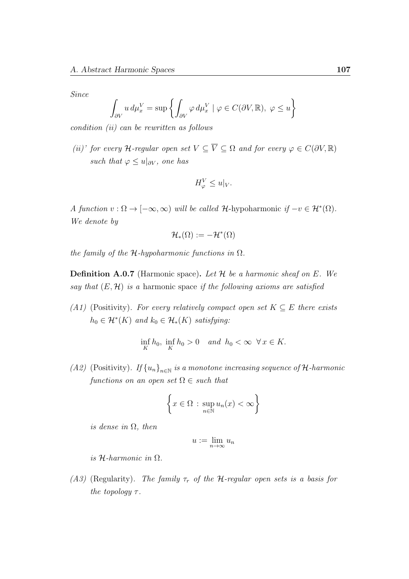Since

$$
\int_{\partial V} u \, d\mu_x^V = \sup \left\{ \int_{\partial V} \varphi \, d\mu_x^V \mid \varphi \in C(\partial V, \mathbb{R}), \ \varphi \le u \right\}
$$

condition (ii) can be rewritten as follows

(ii)' for every H-regular open set  $V \subseteq \overline{V} \subseteq \Omega$  and for every  $\varphi \in C(\partial V, \mathbb{R})$ such that  $\varphi \leq u|_{\partial V}$ , one has

$$
H_{\varphi}^V \le u|_V.
$$

A function  $v : \Omega \to [-\infty, \infty)$  will be called H-hypoharmonic if  $-v \in \mathcal{H}^*(\Omega)$ . We denote by

$$
\mathcal{H}_*(\Omega):=-\mathcal{H}^*(\Omega)
$$

the family of the H-hypoharmonic functions in  $\Omega$ .

**Definition A.0.7** (Harmonic space). Let  $H$  be a harmonic sheaf on E. We say that  $(E, \mathcal{H})$  is a harmonic space if the following axioms are satisfied

(A1) (Positivity). For every relatively compact open set  $K \subseteq E$  there exists  $h_0 \in \mathcal{H}^*(K)$  and  $k_0 \in \mathcal{H}_*(K)$  satisfying:

$$
\inf_{K} h_0, \inf_{K} h_0 > 0 \quad and \quad h_0 < \infty \quad \forall x \in K.
$$

(A2) (Positivity). If  ${u_n}_{n\in\mathbb{N}}$  is a monotone increasing sequence of H-harmonic functions on an open set  $\Omega \in \text{such that}$ 

$$
\left\{x \in \Omega : \sup_{n \in \mathbb{N}} u_n(x) < \infty\right\}
$$

is dense in  $\Omega$ , then

$$
u := \lim_{n \to \infty} u_n
$$

is  $H$ -harmonic in  $\Omega$ .

(A3) (Regularity). The family  $\tau_r$  of the H-regular open sets is a basis for the topology  $\tau$ .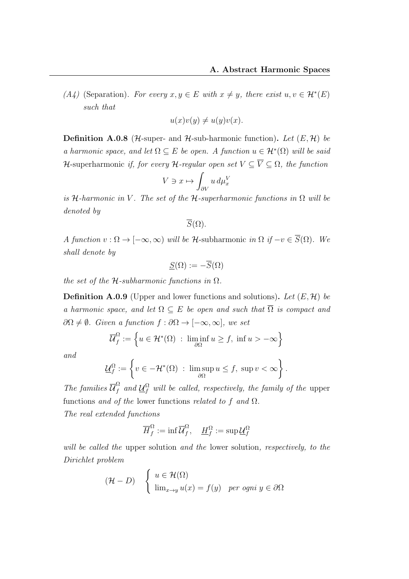(A4) (Separation). For every  $x, y \in E$  with  $x \neq y$ , there exist  $u, v \in \mathcal{H}^*(E)$ such that

$$
u(x)v(y) \neq u(y)v(x).
$$

**Definition A.0.8** (*H*-super- and *H*-sub-harmonic function). Let  $(E, \mathcal{H})$  be a harmonic space, and let  $\Omega \subseteq E$  be open. A function  $u \in \mathcal{H}^*(\Omega)$  will be said H-superharmonic if, for every H-regular open set  $V \subseteq \overline{V} \subseteq \Omega$ , the function

$$
V \ni x \mapsto \int_{\partial V} u \, d\mu_x^V
$$

is H-harmonic in V. The set of the H-superharmonic functions in  $\Omega$  will be denoted by

 $\overline{S}(\Omega)$ .

A function  $v : \Omega \to [-\infty, \infty)$  will be H-subharmonic in  $\Omega$  if  $-v \in \overline{S}(\Omega)$ . We shall denote by

$$
\underline{S}(\Omega) := -\overline{S}(\Omega)
$$

the set of the H-subharmonic functions in  $\Omega$ .

**Definition A.0.9** (Upper and lower functions and solutions). Let  $(E, \mathcal{H})$  be a harmonic space, and let  $\Omega \subseteq E$  be open and such that  $\overline{\Omega}$  is compact and  $\partial\Omega \neq \emptyset$ . Given a function  $f : \partial\Omega \to [-\infty, \infty]$ , we set

$$
\overline{\mathcal{U}}_f^{\Omega} := \left\{ u \in \mathcal{H}^*(\Omega) \ : \ \liminf_{\partial \Omega} u \ge f, \ \inf u > -\infty \right\}
$$

and

$$
\underline{\mathcal{U}}_f^{\Omega} := \left\{ v \in -\mathcal{H}^*(\Omega) \; : \; \limsup_{\partial \Omega} u \le f, \; \sup v < \infty \right\}.
$$

The families  $\overline{\mathcal{U}}_f^{\Omega}$  and  $\underline{\mathcal{U}}_f^{\Omega}$  will be called, respectively, the family of the upper functions and of the lower functions related to f and  $\Omega$ . The real extended functions

$$
\overline{H}_f^{\Omega} := \inf \overline{U}_f^{\Omega}, \quad \underline{H}_f^{\Omega} := \sup \underline{\mathcal{U}}_f^{\Omega}
$$

will be called the upper solution and the lower solution, respectively, to the Dirichlet problem

$$
(\mathcal{H} - D) \quad \begin{cases} u \in \mathcal{H}(\Omega) \\ \lim_{x \to y} u(x) = f(y) \quad \text{per ogni } y \in \partial \Omega \end{cases}
$$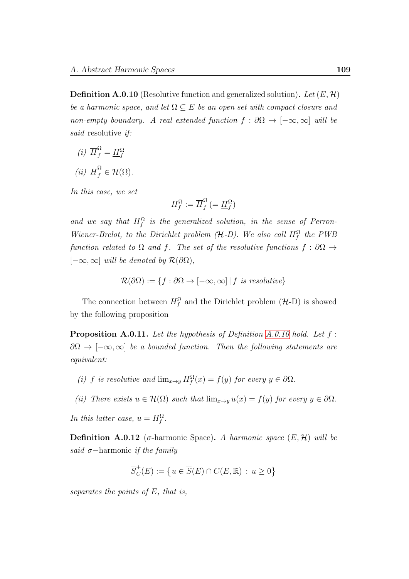<span id="page-108-0"></span>**Definition A.0.10** (Resolutive function and generalized solution). Let  $(E, \mathcal{H})$ be a harmonic space, and let  $\Omega \subseteq E$  be an open set with compact closure and non-empty boundary. A real extended function  $f : \partial\Omega \to [-\infty,\infty]$  will be said resolutive if:

(i) 
$$
\overline{H}_f^{\Omega} = \underline{H}_f^{\Omega}
$$
  
(ii)  $\overline{H}_f^{\Omega} \in \mathcal{H}(\Omega)$ .

In this case, we set

$$
H_f^{\Omega}:=\overline{H}_f^{\Omega}\left(=\underline{H}_f^{\Omega}\right)
$$

and we say that  $H_f^{\Omega}$  is the generalized solution, in the sense of Perron-Wiener-Brelot, to the Dirichlet problem  $(H-D)$ . We also call  $H_f^{\Omega}$  the PWB function related to  $\Omega$  and f. The set of the resolutive functions  $f : \partial \Omega \rightarrow$  $[-\infty,\infty]$  will be denoted by  $\mathcal{R}(\partial\Omega)$ ,

$$
\mathcal{R}(\partial\Omega) := \{ f : \partial\Omega \to [-\infty, \infty] \mid f \text{ is resolutive} \}
$$

The connection between  $H_f^{\Omega}$  and the Dirichlet problem  $(\mathcal{H}$ -D) is showed by the following proposition

**Proposition A.0.11.** Let the hypothesis of Definition [A.0.10](#page-108-0) hold. Let  $f$ :  $\partial\Omega \to [-\infty,\infty]$  be a bounded function. Then the following statements are equivalent:

- (i) f is resolutive and  $\lim_{x\to y} H_f^{\Omega}(x) = f(y)$  for every  $y \in \partial \Omega$ .
- (ii) There exists  $u \in \mathcal{H}(\Omega)$  such that  $\lim_{x \to y} u(x) = f(y)$  for every  $y \in \partial \Omega$ .

In this latter case,  $u = H_f^{\Omega}$ .

**Definition A.0.12** ( $\sigma$ -harmonic Space). A harmonic space  $(E, \mathcal{H})$  will be said  $\sigma$ −harmonic *if the family* 

$$
\overline{S}_C^+(E) := \left\{ u \in \overline{S}(E) \cap C(E, \mathbb{R}) \, : \, u \ge 0 \right\}
$$

separates the points of  $E$ , that is,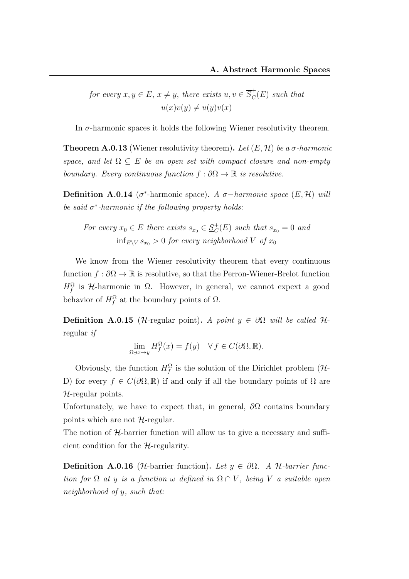for every  $x, y \in E$ ,  $x \neq y$ , there exists  $u, v \in \overline{S}_C^+(E)$  such that  $u(x)v(y) \neq u(y)v(x)$ 

In  $\sigma$ -harmonic spaces it holds the following Wiener resolutivity theorem.

**Theorem A.0.13** (Wiener resolutivity theorem). Let  $(E, \mathcal{H})$  be a  $\sigma$ -harmonic space, and let  $\Omega \subseteq E$  be an open set with compact closure and non-empty boundary. Every continuous function  $f : \partial\Omega \to \mathbb{R}$  is resolutive.

**Definition A.0.14** ( $\sigma^*$ -harmonic space). A  $\sigma$ -harmonic space (E, H) will be said  $\sigma^*$ -harmonic if the following property holds:

For every 
$$
x_0 \in E
$$
 there exists  $s_{x_0} \in \underline{S}_C^+(E)$  such that  $s_{x_0} = 0$  and  
inf<sub>E\setminus V</sub>  $s_{x_0} > 0$  for every neighborhood V of  $x_0$ 

We know from the Wiener resolutivity theorem that every continuous function  $f : \partial\Omega \to \mathbb{R}$  is resolutive, so that the Perron-Wiener-Brelot function  $H_f^{\Omega}$  is H-harmonic in  $\Omega$ . However, in general, we cannot expext a good behavior of  $H_f^{\Omega}$  at the boundary points of  $\Omega$ .

**Definition A.0.15** (H-regular point). A point  $y \in \partial\Omega$  will be called Hregular if

$$
\lim_{\Omega \ni x \to y} H_f^{\Omega}(x) = f(y) \quad \forall \, f \in C(\partial \Omega, \mathbb{R}).
$$

Obviously, the function  $H_f^{\Omega}$  is the solution of the Dirichlet problem (*H*-D) for every  $f \in C(\partial\Omega,\mathbb{R})$  if and only if all the boundary points of  $\Omega$  are  $H$ -regular points.

Unfortunately, we have to expect that, in general,  $\partial\Omega$  contains boundary points which are not  $H$ -regular.

The notion of  $H$ -barrier function will allow us to give a necessary and sufficient condition for the  $H$ -regularity.

Definition A.0.16 (H-barrier function). Let  $y \in \partial \Omega$ . A H-barrier function for  $\Omega$  at y is a function  $\omega$  defined in  $\Omega \cap V$ , being V a suitable open neighborhood of y, such that: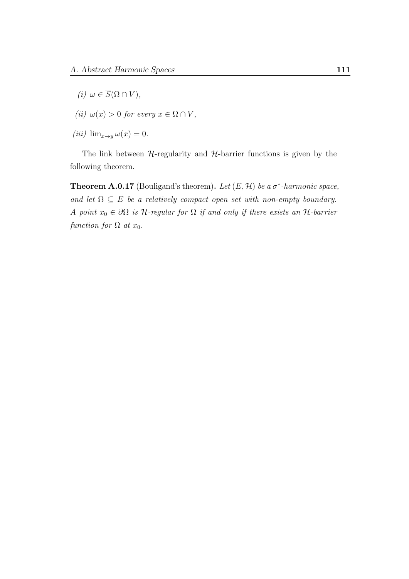- (i)  $\omega \in \overline{S}(\Omega \cap V)$ ,
- (ii)  $\omega(x) > 0$  for every  $x \in \Omega \cap V$ ,
- (iii)  $\lim_{x\to y}\omega(x)=0.$

The link between  $H$ -regularity and  $H$ -barrier functions is given by the following theorem.

**Theorem A.0.17** (Bouligand's theorem). Let  $(E, \mathcal{H})$  be a  $\sigma^*$ -harmonic space, and let  $\Omega \subseteq E$  be a relatively compact open set with non-empty boundary. A point  $x_0 \in \partial\Omega$  is H-regular for  $\Omega$  if and only if there exists an H-barrier function for  $\Omega$  at  $x_0$ .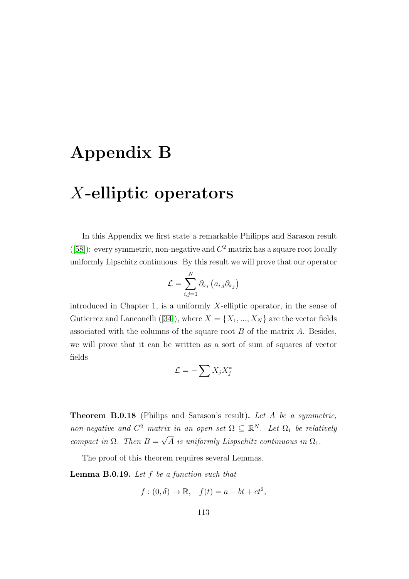## Appendix B

## X-elliptic operators

In this Appendix we first state a remarkable Philipps and Sarason result ([\[58\]](#page-127-0)): every symmetric, non-negative and  $C^2$  matrix has a square root locally uniformly Lipschitz continuous. By this result we will prove that our operator

$$
\mathcal{L} = \sum_{i,j=1}^N \partial_{x_i} \left( a_{i,j} \partial_{x_j} \right)
$$

introduced in Chapter 1, is a uniformly  $X$ -elliptic operator, in the sense of Gutierrez and Lanconelli ([\[34\]](#page-125-0)), where  $X = \{X_1, ..., X_N\}$  are the vector fields associated with the columns of the square root  $B$  of the matrix  $A$ . Besides, we will prove that it can be written as a sort of sum of squares of vector fields

$$
\mathcal{L} = -\sum X_j X_j^*
$$

<span id="page-112-1"></span>Theorem B.0.18 (Philips and Sarason's result). Let A be a symmetric, non-negative and  $C^2$  matrix in an open set  $\Omega \subseteq \mathbb{R}^N$ . Let  $\Omega_1$  be relatively compact in  $\Omega$ . Then  $B =$ √ A is uniformly Lispschitz continuous in  $\Omega_1$ .

The proof of this theorem requires several Lemmas.

<span id="page-112-0"></span>**Lemma B.0.19.** Let  $f$  be a function such that

$$
f:(0,\delta)\to\mathbb{R},\quad f(t)=a-bt+ct^2,
$$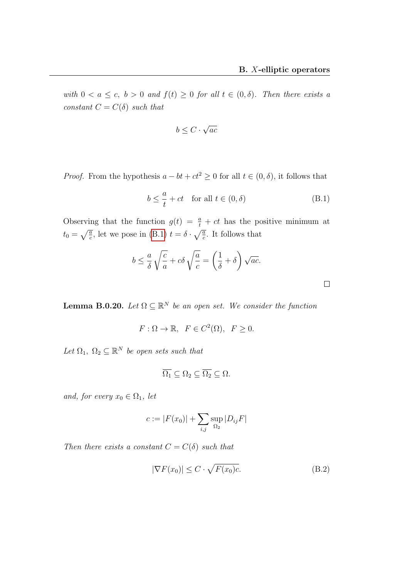<span id="page-113-0"></span> $\Box$ 

with  $0 < a \leq c, b > 0$  and  $f(t) \geq 0$  for all  $t \in (0, \delta)$ . Then there exists a constant  $C = C(\delta)$  such that

$$
b \leq C \cdot \sqrt{ac}
$$

*Proof.* From the hypothesis  $a - bt + ct^2 \ge 0$  for all  $t \in (0, \delta)$ , it follows that

$$
b \le \frac{a}{t} + ct \quad \text{for all } t \in (0, \delta)
$$
 (B.1)

Observing that the function  $g(t) = \frac{a}{t} + ct$  has the positive minimum at  $t_0 = \sqrt{\frac{a}{c}}$ , let we pose in [\(B.1\)](#page-113-0)  $t = \delta \cdot \sqrt{\frac{a}{c}}$ . It follows that

$$
b \le \frac{a}{\delta} \sqrt{\frac{c}{a}} + c\delta \sqrt{\frac{a}{c}} = \left(\frac{1}{\delta} + \delta\right) \sqrt{ac}.
$$

**Lemma B.0.20.** Let  $\Omega \subseteq \mathbb{R}^N$  be an open set. We consider the function

$$
F: \Omega \to \mathbb{R}, \ \ F \in C^2(\Omega), \ \ F \ge 0.
$$

Let  $\Omega_1, \ \Omega_2 \subseteq \mathbb{R}^N$  be open sets such that

$$
\overline{\Omega_1} \subseteq \Omega_2 \subseteq \overline{\Omega_2} \subseteq \Omega.
$$

and, for every  $x_0 \in \Omega_1$ , let

$$
c := |F(x_0)| + \sum_{i,j} \sup_{\Omega_2} |D_{ij}F|
$$

Then there exists a constant  $C = C(\delta)$  such that

<span id="page-113-1"></span>
$$
|\nabla F(x_0)| \le C \cdot \sqrt{F(x_0)c}.\tag{B.2}
$$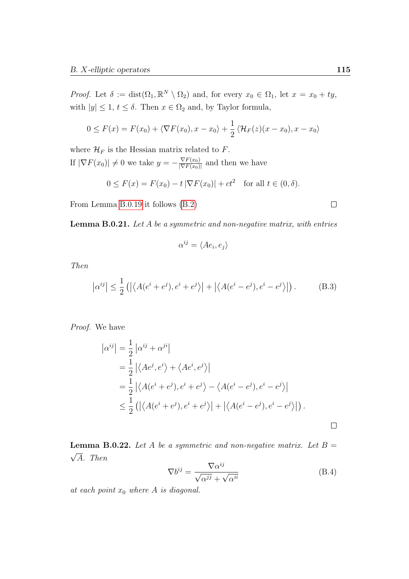*Proof.* Let  $\delta := \text{dist}(\Omega_1, \mathbb{R}^N \setminus \Omega_2)$  and, for every  $x_0 \in \Omega_1$ , let  $x = x_0 + ty$ , with  $|y| \leq 1$ ,  $t \leq \delta$ . Then  $x \in \Omega_2$  and, by Taylor formula,

$$
0 \le F(x) = F(x_0) + \langle \nabla F(x_0), x - x_0 \rangle + \frac{1}{2} \langle \mathcal{H}_F(z)(x - x_0), x - x_0 \rangle
$$

where  $\mathcal{H}_F$  is the Hessian matrix related to F. If  $|\nabla F(x_0)| \neq 0$  we take  $y = -\frac{\nabla F(x_0)}{|\nabla F(x_0)|}$  $\frac{\nabla F(x_0)}{|\nabla F(x_0)|}$  and then we have

$$
0 \le F(x) = F(x_0) - t |\nabla F(x_0)| + ct^2
$$
 for all  $t \in (0, \delta)$ .

From Lemma [B.0.19](#page-112-0) it follows [\(B.2\)](#page-113-1)

Lemma B.0.21. Let A be a symmetric and non-negative matrix, with entries

$$
\alpha^{ij} = \langle Ae_i, e_j \rangle
$$

<span id="page-114-1"></span>Then

$$
\left|\alpha^{ij}\right| \leq \frac{1}{2} \left( \left|\left\langle A(e^i + e^j), e^i + e^j \right\rangle \right| + \left|\left\langle A(e^i - e^j), e^i - e^j \right\rangle \right| \right). \tag{B.3}
$$

Proof. We have

$$
|\alpha^{ij}| = \frac{1}{2} |\alpha^{ij} + \alpha^{ji}|
$$
  
=  $\frac{1}{2} |\langle Ae^j, e^i \rangle + \langle Ae^i, e^j \rangle|$   
=  $\frac{1}{2} |\langle A(e^i + e^j), e^i + e^j \rangle - \langle A(e^i - e^j), e^i - e^j \rangle|$   
 $\leq \frac{1}{2} (|\langle A(e^i + e^j), e^i + e^j \rangle| + |\langle A(e^i - e^j), e^i - e^j \rangle|).$ 

<span id="page-114-0"></span>**Lemma B.0.22.** Let A be a symmetric and non-negative matrix. Let  $B =$ √ A. Then

$$
\nabla b^{ij} = \frac{\nabla \alpha^{ij}}{\sqrt{\alpha^{jj}} + \sqrt{\alpha^{ii}}}
$$
(B.4)

at each point  $x_0$  where A is diagonal.

 $\Box$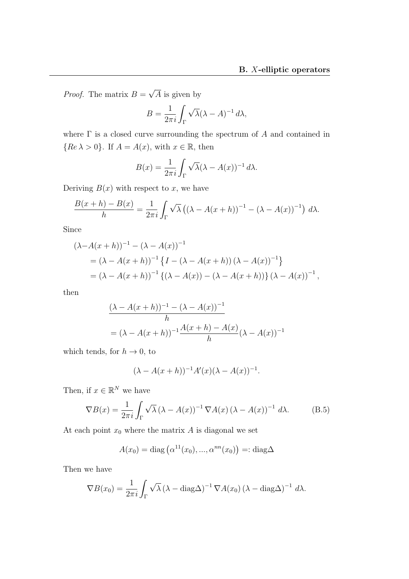*Proof.* The matrix  $B =$ √ A is given by

$$
B = \frac{1}{2\pi i} \int_{\Gamma} \sqrt{\lambda} (\lambda - A)^{-1} d\lambda,
$$

where  $\Gamma$  is a closed curve surrounding the spectrum of  $A$  and contained in  ${Re \lambda > 0}.$  If  $A = A(x)$ , with  $x \in \mathbb{R}$ , then

$$
B(x) = \frac{1}{2\pi i} \int_{\Gamma} \sqrt{\lambda} (\lambda - A(x))^{-1} d\lambda.
$$

Deriving  $B(x)$  with respect to x, we have

$$
\frac{B(x+h)-B(x)}{h} = \frac{1}{2\pi i} \int_{\Gamma} \sqrt{\lambda} \left( (\lambda - A(x+h))^{-1} - (\lambda - A(x))^{-1} \right) d\lambda.
$$

Since

$$
(\lambda - A(x + h))^{-1} - (\lambda - A(x))^{-1}
$$
  
=  $(\lambda - A(x + h))^{-1} \{I - (\lambda - A(x + h)) (\lambda - A(x))^{-1}\}$   
=  $(\lambda - A(x + h))^{-1} \{(\lambda - A(x)) - (\lambda - A(x + h))\} (\lambda - A(x))^{-1},$ 

then

$$
\frac{(\lambda - A(x+h))^{-1} - (\lambda - A(x))^{-1}}{h}
$$
  
=  $(\lambda - A(x+h))^{-1} \frac{A(x+h) - A(x)}{h} (\lambda - A(x))^{-1}$ 

which tends, for  $h \to 0$ , to

$$
(\lambda - A(x+h))^{-1}A'(x)(\lambda - A(x))^{-1}
$$
.

Then, if  $x \in \mathbb{R}^N$  we have

$$
\nabla B(x) = \frac{1}{2\pi i} \int_{\Gamma} \sqrt{\lambda} (\lambda - A(x))^{-1} \nabla A(x) (\lambda - A(x))^{-1} d\lambda.
$$
 (B.5)

At each point  $x_0$  where the matrix A is diagonal we set

$$
A(x_0) = diag(\alpha^{11}(x_0), ..., \alpha^{nn}(x_0)) = idiag\Delta
$$

Then we have

$$
\nabla B(x_0) = \frac{1}{2\pi i} \int_{\Gamma} \sqrt{\lambda} (\lambda - \text{diag}\Delta)^{-1} \nabla A(x_0) (\lambda - \text{diag}\Delta)^{-1} d\lambda.
$$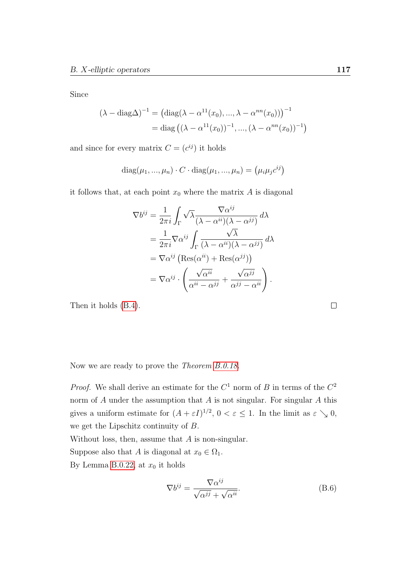Since

$$
(\lambda - \text{diag}\Delta)^{-1} = (\text{diag}(\lambda - \alpha^{11}(x_0), ..., \lambda - \alpha^{nn}(x_0)))^{-1}
$$
  
= diag ((\lambda - \alpha^{11}(x\_0))^{-1}, ..., (\lambda - \alpha^{nn}(x\_0))^{-1})

and since for every matrix  $C = (c^{ij})$  it holds

diag
$$
(\mu_1, ..., \mu_n) \cdot C \cdot \text{diag}(\mu_1, ..., \mu_n) = (\mu_i \mu_j c^{ij})
$$

it follows that, at each point  $x_0$  where the matrix A is diagonal

$$
\nabla b^{ij} = \frac{1}{2\pi i} \int_{\Gamma} \sqrt{\lambda} \frac{\nabla \alpha^{ij}}{(\lambda - \alpha^{ii})(\lambda - \alpha^{jj})} d\lambda
$$
  
=  $\frac{1}{2\pi i} \nabla \alpha^{ij} \int_{\Gamma} \frac{\sqrt{\lambda}}{(\lambda - \alpha^{ii})(\lambda - \alpha^{jj})} d\lambda$   
=  $\nabla \alpha^{ij} (\text{Res}(\alpha^{ii}) + \text{Res}(\alpha^{jj}))$   
=  $\nabla \alpha^{ij} \cdot \left( \frac{\sqrt{\alpha^{ii}}}{\alpha^{ii} - \alpha^{jj}} + \frac{\sqrt{\alpha^{jj}}}{\alpha^{jj} - \alpha^{ii}} \right).$ 

Then it holds [\(B.4\)](#page-114-0).

Now we are ready to prove the Theorem [B.0.18.](#page-112-1)

*Proof.* We shall derive an estimate for the  $C^1$  norm of B in terms of the  $C^2$ norm of A under the assumption that A is not singular. For singular A this gives a uniform estimate for  $(A + \varepsilon I)^{1/2}$ ,  $0 < \varepsilon \le 1$ . In the limit as  $\varepsilon \searrow 0$ , we get the Lipschitz continuity of B.

Without loss, then, assume that  $A$  is non-singular.

Suppose also that A is diagonal at  $x_0 \in \Omega_1$ .

By Lemma [B.0.22,](#page-114-0) at  $x_0$  it holds

<span id="page-116-0"></span>
$$
\nabla b^{ij} = \frac{\nabla \alpha^{ij}}{\sqrt{\alpha^{jj}} + \sqrt{\alpha^{ii}}}.
$$
\n(B.6)

 $\Box$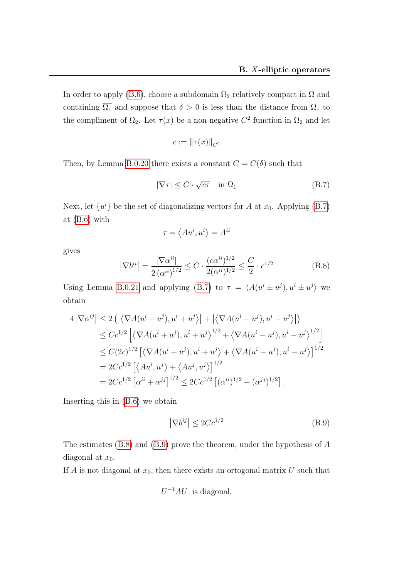In order to apply [\(B.6\)](#page-116-0), choose a subdomain  $\Omega_2$  relatively compact in  $\Omega$  and containing  $\overline{\Omega_1}$  and suppose that  $\delta > 0$  is less than the distance from  $\Omega_1$  to the compliment of  $\Omega_2$ . Let  $\tau(x)$  be a non-negative  $C^2$  function in  $\overline{\Omega_2}$  and let

<span id="page-117-0"></span>
$$
c:=\|\tau(x)\|_{C^2}
$$

Then, by Lemma [B.0.20](#page-113-1) there exists a constant  $C = C(\delta)$  such that

$$
|\nabla \tau| \le C \cdot \sqrt{c\tau} \quad \text{in } \Omega_1 \tag{B.7}
$$

Next, let  $\{u^i\}$  be the set of diagonalizing vectors for A at  $x_0$ . Applying [\(B.7\)](#page-117-0) at [\(B.6\)](#page-116-0) with

$$
\tau = \langle A u^i, u^i \rangle = A^{ii}
$$

<span id="page-117-1"></span>gives

$$
\left|\nabla b^{ii}\right| = \frac{\left|\nabla \alpha^{ii}\right|}{2\left(\alpha^{ii}\right)^{1/2}} \le C \cdot \frac{(c\alpha^{ii})^{1/2}}{2(\alpha^{ii})^{1/2}} \le \frac{C}{2} \cdot c^{1/2}
$$
\n(B.8)

Using Lemma [B.0.21](#page-114-1) and applying [\(B.7\)](#page-117-0) to  $\tau = \langle A(u^i \pm u^j), u^i \pm u^j \rangle$  we obtain

$$
4 |\nabla \alpha^{ij}| \leq 2 (|\langle \nabla A(u^{i} + u^{j}), u^{i} + u^{j} \rangle| + |\langle \nabla A(u^{i} - u^{j}), u^{i} - u^{j} \rangle|)
$$
  
\n
$$
\leq C c^{1/2} \left[ \langle \nabla A(u^{i} + u^{j}), u^{i} + u^{j} \rangle^{1/2} + \langle \nabla A(u^{i} - u^{j}), u^{i} - u^{j} \rangle^{1/2} \right]
$$
  
\n
$$
\leq C (2c)^{1/2} \left[ \langle \nabla A(u^{i} + u^{j}), u^{i} + u^{j} \rangle + \langle \nabla A(u^{i} - u^{j}), u^{i} - u^{j} \rangle \right]^{1/2}
$$
  
\n
$$
= 2C c^{1/2} \left[ \langle A u^{i}, u^{j} \rangle + \langle A u^{j}, u^{j} \rangle \right]^{1/2}
$$
  
\n
$$
= 2C c^{1/2} \left[ \alpha^{ii} + \alpha^{jj} \right]^{1/2} \leq 2C c^{1/2} \left[ (\alpha^{ii})^{1/2} + (\alpha^{jj})^{1/2} \right].
$$

Inserting this in [\(B.6\)](#page-116-0) we obtain

<span id="page-117-2"></span>
$$
\left|\nabla b^{ij}\right| \le 2Cc^{1/2} \tag{B.9}
$$

The estimates [\(B.8\)](#page-117-1) and [\(B.9\)](#page-117-2) prove the theorem, under the hypothesis of A diagonal at  $x_0$ .

If A is not diagonal at  $x_0$ , then there exists an ortogonal matrix U such that

$$
U^{-1}AU
$$
 is diagonal.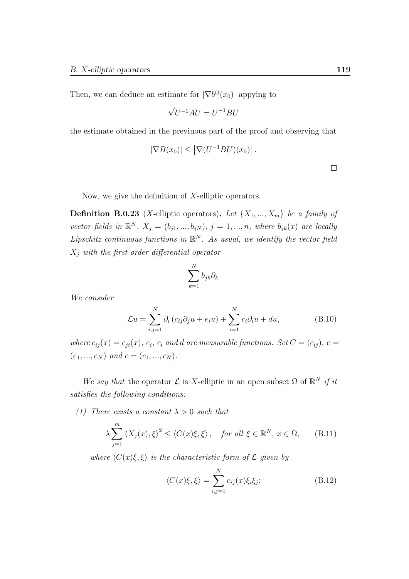Then, we can deduce an estimate for  $|\nabla b^{ij}(x_0)|$  appying to

$$
\sqrt{U^{-1}AU} = U^{-1}BU
$$

the estimate obtained in the previuous part of the proof and observing that

$$
|\nabla B(x_0)| \leq |\nabla (U^{-1}BU)(x_0)|.
$$

 $\Box$ 

Now, we give the definition of X-elliptic operators.

**Definition B.0.23** (X-elliptic operators). Let  $\{X_1, ..., X_m\}$  be a family of vector fields in  $\mathbb{R}^N$ ,  $X_j = (b_{j1},...,b_{jN})$ ,  $j = 1,...,n$ , where  $b_{jk}(x)$  are locally Lipschitz continuous functions in  $\mathbb{R}^N$ . As usual, we identify the vector field  $X_i$  with the first order differential operator

$$
\sum_{k=1}^N b_{jk}\partial_k
$$

We consider

$$
\mathcal{L}u = \sum_{i,j=1}^{N} \partial_i (c_{ij}\partial_j u + e_i u) + \sum_{i=1}^{N} c_i \partial_i u + du,
$$
 (B.10)

where  $c_{ij}(x) = c_{ji}(x)$ ,  $e_i$ ,  $c_i$  and d are measurable functions. Set  $C = (c_{ij})$ ,  $e =$  $(e_1, ..., e_N)$  and  $c = (c_1, ..., c_N)$ .

We say that the operator  $\mathcal L$  is X-elliptic in an open subset  $\Omega$  of  $\mathbb R^N$  if it satisfies the following conditions:

(1) There exists a constant  $\lambda > 0$  such that

$$
\lambda \sum_{j=1}^{m} \left\langle X_j(x), \xi \right\rangle^2 \le \left\langle C(x)\xi, \xi \right\rangle, \quad \text{for all } \xi \in \mathbb{R}^N, x \in \Omega, \qquad \text{(B.11)}
$$

where  $\langle C(x)\xi, \xi \rangle$  is the characteristic form of  $\mathcal L$  given by

<span id="page-118-1"></span><span id="page-118-0"></span>
$$
\langle C(x)\xi, \xi \rangle = \sum_{i,j=1}^{N} c_{ij}(x)\xi_i \xi_j; \tag{B.12}
$$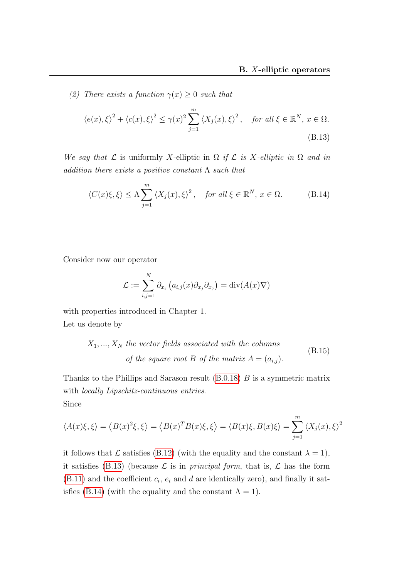(2) There exists a function  $\gamma(x) \geq 0$  such that

<span id="page-119-0"></span>
$$
\langle e(x), \xi \rangle^2 + \langle c(x), \xi \rangle^2 \le \gamma(x)^2 \sum_{j=1}^m \langle X_j(x), \xi \rangle^2, \text{ for all } \xi \in \mathbb{R}^N, x \in \Omega.
$$
\n(B.13)

We say that  $\mathcal L$  is uniformly X-elliptic in  $\Omega$  if  $\mathcal L$  is X-elliptic in  $\Omega$  and in addition there exists a positive constant  $\Lambda$  such that

<span id="page-119-1"></span>
$$
\langle C(x)\xi,\xi\rangle \le \Lambda \sum_{j=1}^{m} \langle X_j(x),\xi\rangle^2, \quad \text{for all } \xi \in \mathbb{R}^N, x \in \Omega. \tag{B.14}
$$

Consider now our operator

<span id="page-119-2"></span>
$$
\mathcal{L} := \sum_{i,j=1}^N \partial_{x_i} \left( a_{i,j}(x) \partial_{x_j} \partial_{x_j} \right) = \text{div}(A(x) \nabla)
$$

with properties introduced in Chapter 1. Let us denote by

$$
X_1, ..., X_N
$$
 the vector fields associated with the columns  
of the square root B of the matrix  $A = (a_{i,j})$ . (B.15)

Thanks to the Phillips and Sarason result  $(B.0.18)$  B is a symmetric matrix with locally Lipschitz-continuous entries. Since

$$
\langle A(x)\xi, \xi \rangle = \langle B(x)^2 \xi, \xi \rangle = \langle B(x)^T B(x)\xi, \xi \rangle = \langle B(x)\xi, B(x)\xi \rangle = \sum_{j=1}^m \langle X_j(x), \xi \rangle^2
$$

it follows that  $\mathcal L$  satisfies [\(B.12\)](#page-118-0) (with the equality and the constant  $\lambda = 1$ ), it satisfies [\(B.13\)](#page-119-0) (because  $\mathcal L$  is in principal form, that is,  $\mathcal L$  has the form  $(B.11)$  and the coefficient  $c_i$ ,  $e_i$  and d are identically zero), and finally it sat-isfies [\(B.14\)](#page-119-1) (with the equality and the constant  $\Lambda = 1$ ).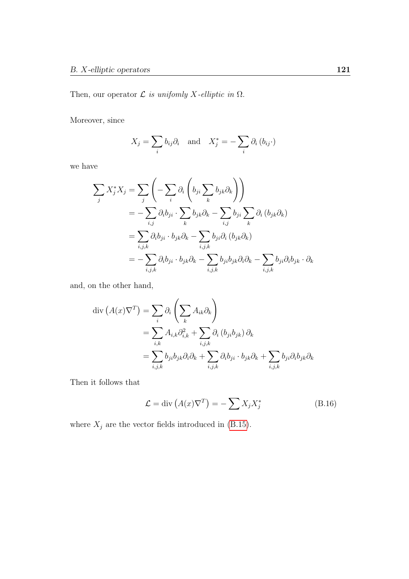Then, our operator  $\mathcal L$  is unifomly X-elliptic in  $\Omega$ .

Moreover, since

$$
X_j = \sum_i b_{ij} \partial_i \quad \text{and} \quad X_j^* = -\sum_i \partial_i (b_{ij} \cdot)
$$

we have

$$
\sum_{j} X_{j}^{*} X_{j} = \sum_{j} \left( - \sum_{i} \partial_{i} \left( b_{ji} \sum_{k} b_{jk} \partial_{k} \right) \right)
$$
\n
$$
= - \sum_{i,j} \partial_{i} b_{ji} \cdot \sum_{k} b_{jk} \partial_{k} - \sum_{i,j} b_{ji} \sum_{k} \partial_{i} \left( b_{jk} \partial_{k} \right)
$$
\n
$$
= \sum_{i,j,k} \partial_{i} b_{ji} \cdot b_{jk} \partial_{k} - \sum_{i,j,k} b_{ji} \partial_{i} \left( b_{jk} \partial_{k} \right)
$$
\n
$$
= - \sum_{i,j,k} \partial_{i} b_{ji} \cdot b_{jk} \partial_{k} - \sum_{i,j,k} b_{ji} b_{jk} \partial_{i} \partial_{k} - \sum_{i,j,k} b_{ji} \partial_{i} b_{jk} \cdot \partial_{k}
$$

and, on the other hand,

$$
\operatorname{div} (A(x)\nabla^T) = \sum_i \partial_i \left( \sum_k A_{ik} \partial_k \right)
$$
  
=  $\sum_{i,k} A_{i,k} \partial_{i,k}^2 + \sum_{i,j,k} \partial_i (b_{ji} b_{jk}) \partial_k$   
=  $\sum_{i,j,k} b_{ji} b_{jk} \partial_i \partial_k + \sum_{i,j,k} \partial_i b_{ji} \cdot b_{jk} \partial_k + \sum_{i,j,k} b_{ji} \partial_i b_{jk} \partial_k$ 

Then it follows that

$$
\mathcal{L} = \text{div}\left(A(x)\nabla^T\right) = -\sum X_j X_j^* \tag{B.16}
$$

where  $X_j$  are the vector fields introduced in [\(B.15\)](#page-119-2).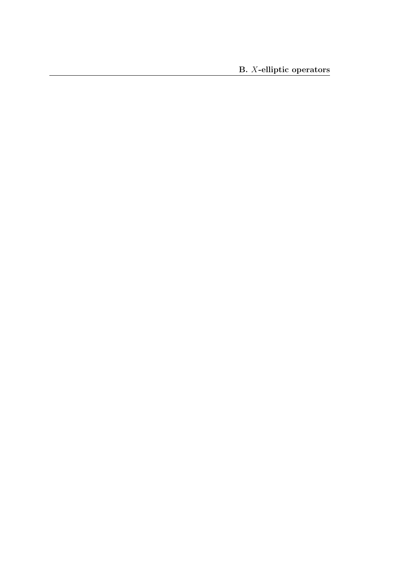B. X-elliptic operators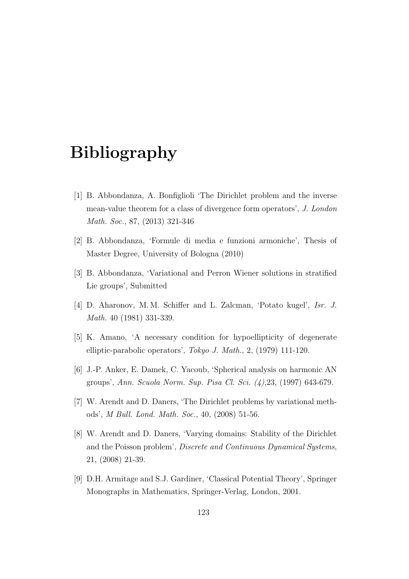## Bibliography

- [1] B. Abbondanza, A. Bonfiglioli 'The Dirichlet problem and the inverse mean-value theorem for a class of divergence form operators', J. London Math. Soc., 87, (2013) 321-346
- [2] B. Abbondanza, 'Formule di media e funzioni armoniche', Thesis of Master Degree, University of Bologna (2010)
- [3] B. Abbondanza, 'Variational and Perron Wiener solutions in stratified Lie groups', Submitted
- [4] D. Aharonov, M. M. Schiffer and L. Zalcman, 'Potato kugel', Isr. J. Math. 40 (1981) 331-339.
- [5] K. Amano, 'A necessary condition for hypoellipticity of degenerate elliptic-parabolic operators', Tokyo J. Math., 2, (1979) 111-120.
- [6] J.-P. Anker, E. Damek, C. Yacoub, 'Spherical analysis on harmonic AN groups', Ann. Scuola Norm. Sup. Pisa Cl. Sci. (4),23, (1997) 643-679.
- [7] W. Arendt and D. Daners, 'The Dirichlet problems by variational methods', M Bull. Lond. Math. Soc., 40, (2008) 51-56.
- [8] W. Arendt and D. Daners, 'Varying domains: Stability of the Dirichlet and the Poisson problem', Discrete and Continuous Dynamical Systems, 21, (2008) 21-39.
- [9] D.H. Armitage and S.J. Gardiner, 'Classical Potential Theory', Springer Monographs in Mathematics, Springer-Verlag, London, 2001.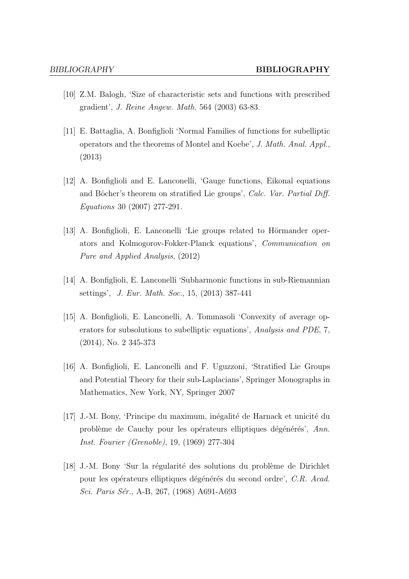- [10] Z.M. Balogh, 'Size of characteristic sets and functions with prescribed gradient', J. Reine Angew. Math. 564 (2003) 63-83.
- [11] E. Battaglia, A. Bonfiglioli 'Normal Families of functions for subelliptic operators and the theorems of Montel and Koebe', J. Math. Anal. Appl., (2013)
- [12] A. Bonfiglioli and E. Lanconelli, 'Gauge functions, Eikonal equations and Bôcher's theorem on stratified Lie groups', Calc. Var. Partial Diff. Equations 30 (2007) 277-291.
- [13] A. Bonfiglioli, E. Lanconelli 'Lie groups related to Hörmander operators and Kolmogorov-Fokker-Planck equations', Communication on Pure and Applied Analysis, (2012)
- [14] A. Bonfiglioli, E. Lanconelli 'Subharmonic functions in sub-Riemannian settings', J. Eur. Math. Soc., 15, (2013) 387-441
- [15] A. Bonfiglioli, E. Lanconelli, A. Tommasoli 'Convexity of average operators for subsolutions to subelliptic equations', Analysis and PDE, 7, (2014), No. 2 345-373
- [16] A. Bonfiglioli, E. Lanconelli and F. Uguzzoni, 'Stratified Lie Groups and Potential Theory for their sub-Laplacians', Springer Monographs in Mathematics, New York, NY, Springer 2007
- [17] J.-M. Bony, 'Principe du maximum, inégalité de Harnack et unicité du problème de Cauchy pour les opérateurs elliptiques dégénérés', Ann. Inst. Fourier (Grenoble), 19, (1969) 277-304
- [18] J.-M. Bony 'Sur la régularité des solutions du problème de Dirichlet pour les opérateurs elliptiques dégénérés du second ordre', C.R. Acad. Sci. Paris Sér., A-B, 267, (1968) A691-A693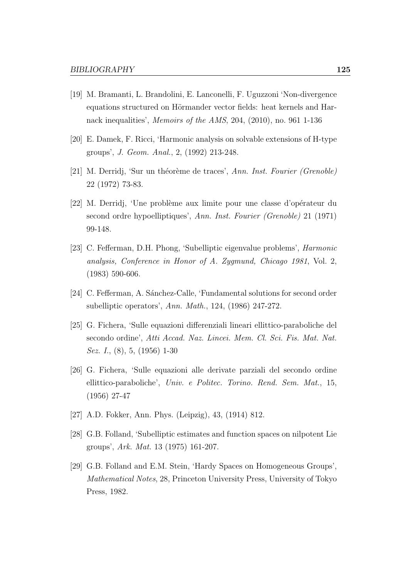- [19] M. Bramanti, L. Brandolini, E. Lanconelli, F. Uguzzoni 'Non-divergence equations structured on Hörmander vector fields: heat kernels and Harnack inequalities', *Memoirs of the AMS*, 204, (2010), no. 961 1-136
- [20] E. Damek, F. Ricci, 'Harmonic analysis on solvable extensions of H-type groups', J. Geom. Anal., 2, (1992) 213-248.
- [21] M. Derridi, 'Sur un théorème de traces', Ann. Inst. Fourier (Grenoble) 22 (1972) 73-83.
- [22] M. Derridj, 'Une problème aux limite pour une classe d'opérateur du second ordre hypoelliptiques', Ann. Inst. Fourier (Grenoble) 21 (1971) 99-148.
- [23] C. Fefferman, D.H. Phong, 'Subelliptic eigenvalue problems', Harmonic analysis, Conference in Honor of A. Zygmund, Chicago 1981, Vol. 2, (1983) 590-606.
- [24] C. Fefferman, A. Sánchez-Calle, 'Fundamental solutions for second order subelliptic operators', Ann. Math., 124, (1986) 247-272.
- [25] G. Fichera, 'Sulle equazioni differenziali lineari ellittico-paraboliche del secondo ordine', Atti Accad. Naz. Lincei. Mem. Cl. Sci. Fis. Mat. Nat. Sez. I., (8), 5, (1956) 1-30
- [26] G. Fichera, 'Sulle equazioni alle derivate parziali del secondo ordine ellittico-paraboliche', Univ. e Politec. Torino. Rend. Sem. Mat., 15, (1956) 27-47
- [27] A.D. Fokker, Ann. Phys. (Leipzig), 43, (1914) 812.
- [28] G.B. Folland, 'Subelliptic estimates and function spaces on nilpotent Lie groups', Ark. Mat. 13 (1975) 161-207.
- [29] G.B. Folland and E.M. Stein, 'Hardy Spaces on Homogeneous Groups', Mathematical Notes, 28, Princeton University Press, University of Tokyo Press, 1982.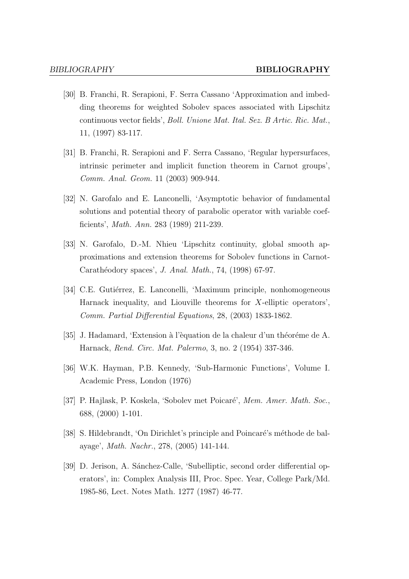- [30] B. Franchi, R. Serapioni, F. Serra Cassano 'Approximation and imbedding theorems for weighted Sobolev spaces associated with Lipschitz continuous vector fields', Boll. Unione Mat. Ital. Sez. B Artic. Ric. Mat., 11, (1997) 83-117.
- [31] B. Franchi, R. Serapioni and F. Serra Cassano, 'Regular hypersurfaces, intrinsic perimeter and implicit function theorem in Carnot groups', Comm. Anal. Geom. 11 (2003) 909-944.
- [32] N. Garofalo and E. Lanconelli, 'Asymptotic behavior of fundamental solutions and potential theory of parabolic operator with variable coefficients', Math. Ann. 283 (1989) 211-239.
- [33] N. Garofalo, D.-M. Nhieu 'Lipschitz continuity, global smooth approximations and extension theorems for Sobolev functions in Carnot-Carathéodory spaces', *J. Anal. Math.*, 74, (1998) 67-97.
- <span id="page-125-0"></span>[34] C.E. Gutiérrez, E. Lanconelli, 'Maximum principle, nonhomogeneous Harnack inequality, and Liouville theorems for X-elliptic operators', Comm. Partial Differential Equations, 28, (2003) 1833-1862.
- [35] J. Hadamard, 'Extension à l'èquation de la chaleur d'un théoréme de A. Harnack, Rend. Circ. Mat. Palermo, 3, no. 2 (1954) 337-346.
- [36] W.K. Hayman, P.B. Kennedy, 'Sub-Harmonic Functions', Volume I. Academic Press, London (1976)
- [37] P. Hajlask, P. Koskela, 'Sobolev met Poicaré', Mem. Amer. Math. Soc., 688, (2000) 1-101.
- [38] S. Hildebrandt, 'On Dirichlet's principle and Poincaré's méthode de balayage', Math. Nachr., 278, (2005) 141-144.
- [39] D. Jerison, A. Sánchez-Calle, 'Subelliptic, second order differential operators', in: Complex Analysis III, Proc. Spec. Year, College Park/Md. 1985-86, Lect. Notes Math. 1277 (1987) 46-77.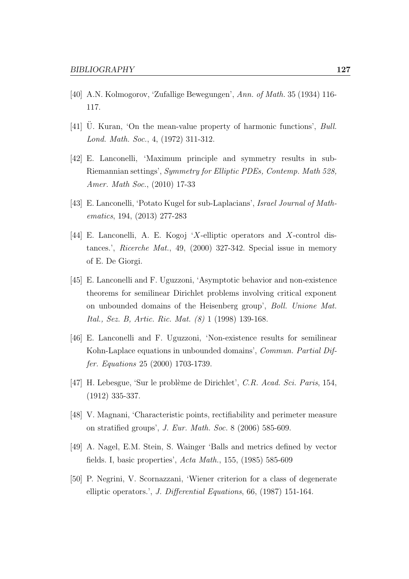- [40] A.N. Kolmogorov, 'Zufallige Bewegungen', Ann. of Math. 35 (1934) 116- 117.
- [41]  $\ddot{\text{U}}$ . Kuran, 'On the mean-value property of harmonic functions', *Bull.* Lond. Math. Soc., 4, (1972) 311-312.
- [42] E. Lanconelli, 'Maximum principle and symmetry results in sub-Riemannian settings', Symmetry for Elliptic PDEs, Contemp. Math 528, Amer. Math Soc., (2010) 17-33
- [43] E. Lanconelli, 'Potato Kugel for sub-Laplacians', Israel Journal of Mathematics, 194, (2013) 277-283
- [44] E. Lanconelli, A. E. Kogoj 'X-elliptic operators and X-control distances.', Ricerche Mat., 49, (2000) 327-342. Special issue in memory of E. De Giorgi.
- [45] E. Lanconelli and F. Uguzzoni, 'Asymptotic behavior and non-existence theorems for semilinear Dirichlet problems involving critical exponent on unbounded domains of the Heisenberg group', Boll. Unione Mat. Ital., Sez. B, Artic. Ric. Mat. (8) 1 (1998) 139-168.
- [46] E. Lanconelli and F. Uguzzoni, 'Non-existence results for semilinear Kohn-Laplace equations in unbounded domains', Commun. Partial Differ. Equations 25 (2000) 1703-1739.
- [47] H. Lebesgue, 'Sur le problème de Dirichlet', C.R. Acad. Sci. Paris, 154, (1912) 335-337.
- [48] V. Magnani, 'Characteristic points, rectifiability and perimeter measure on stratified groups', J. Eur. Math. Soc. 8 (2006) 585-609.
- [49] A. Nagel, E.M. Stein, S. Wainger 'Balls and metrics defined by vector fields. I, basic properties', Acta Math., 155, (1985) 585-609
- [50] P. Negrini, V. Scornazzani, 'Wiener criterion for a class of degenerate elliptic operators.', J. Differential Equations, 66, (1987) 151-164.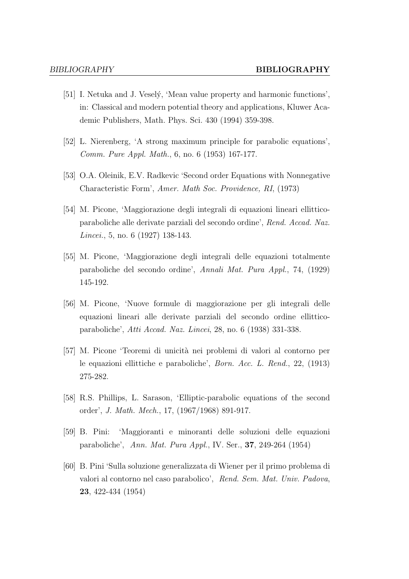- [51] I. Netuka and J. Veselý, 'Mean value property and harmonic functions', in: Classical and modern potential theory and applications, Kluwer Academic Publishers, Math. Phys. Sci. 430 (1994) 359-398.
- [52] L. Nierenberg, 'A strong maximum principle for parabolic equations', Comm. Pure Appl. Math., 6, no. 6 (1953) 167-177.
- [53] O.A. Oleinik, E.V. Radkevic 'Second order Equations with Nonnegative Characteristic Form', Amer. Math Soc. Providence, RI, (1973)
- [54] M. Picone, 'Maggiorazione degli integrali di equazioni lineari ellitticoparaboliche alle derivate parziali del secondo ordine', Rend. Accad. Naz. Lincei., 5, no. 6 (1927) 138-143.
- [55] M. Picone, 'Maggiorazione degli integrali delle equazioni totalmente paraboliche del secondo ordine', Annali Mat. Pura Appl., 74, (1929) 145-192.
- [56] M. Picone, 'Nuove formule di maggiorazione per gli integrali delle equazioni lineari alle derivate parziali del secondo ordine ellitticoparaboliche', Atti Accad. Naz. Lincei, 28, no. 6 (1938) 331-338.
- [57] M. Picone 'Teoremi di unicit`a nei problemi di valori al contorno per le equazioni ellittiche e paraboliche', Born. Acc. L. Rend., 22, (1913) 275-282.
- <span id="page-127-0"></span>[58] R.S. Phillips, L. Sarason, 'Elliptic-parabolic equations of the second order', J. Math. Mech., 17, (1967/1968) 891-917.
- [59] B. Pini: 'Maggioranti e minoranti delle soluzioni delle equazioni paraboliche', Ann. Mat. Pura Appl., IV. Ser., 37, 249-264 (1954)
- [60] B. Pini 'Sulla soluzione generalizzata di Wiener per il primo problema di valori al contorno nel caso parabolico', Rend. Sem. Mat. Univ. Padova, 23, 422-434 (1954)